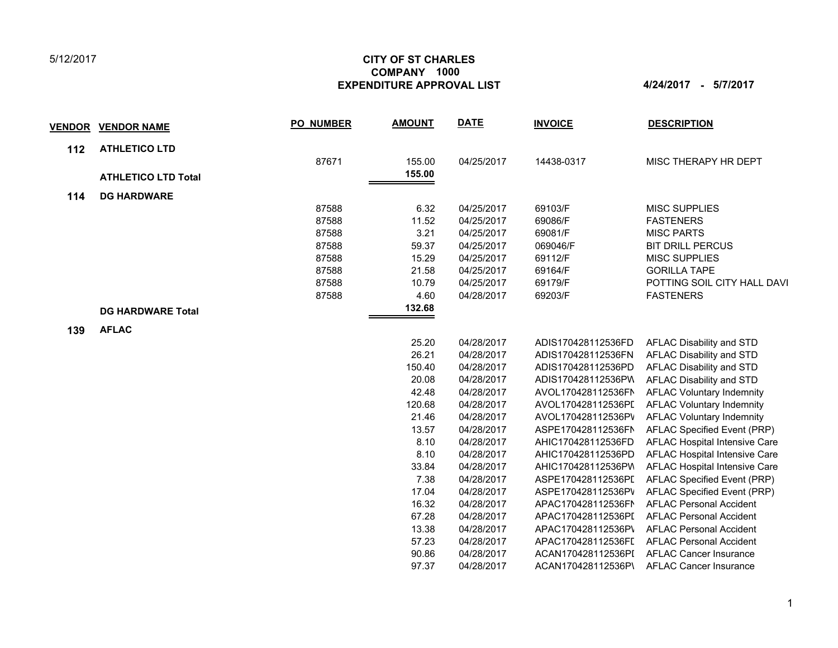## 5/12/2017

## **CITY OF ST CHARLES EXPENDITURE APPROVAL LIST 4/24/2017 - 5/7/2017 COMPANY 1000**

| <u>VENDOR</u> | <b>VENDOR NAME</b>         | <b>PO NUMBER</b> | <b>AMOUNT</b> | <b>DATE</b> | <b>INVOICE</b>     | <b>DESCRIPTION</b>               |
|---------------|----------------------------|------------------|---------------|-------------|--------------------|----------------------------------|
| 112           | <b>ATHLETICO LTD</b>       |                  |               |             |                    |                                  |
|               |                            | 87671            | 155.00        | 04/25/2017  | 14438-0317         | MISC THERAPY HR DEPT             |
|               | <b>ATHLETICO LTD Total</b> |                  | 155.00        |             |                    |                                  |
| 114           | <b>DG HARDWARE</b>         |                  |               |             |                    |                                  |
|               |                            | 87588            | 6.32          | 04/25/2017  | 69103/F            | <b>MISC SUPPLIES</b>             |
|               |                            | 87588            | 11.52         | 04/25/2017  | 69086/F            | <b>FASTENERS</b>                 |
|               |                            | 87588            | 3.21          | 04/25/2017  | 69081/F            | <b>MISC PARTS</b>                |
|               |                            | 87588            | 59.37         | 04/25/2017  | 069046/F           | <b>BIT DRILL PERCUS</b>          |
|               |                            | 87588            | 15.29         | 04/25/2017  | 69112/F            | <b>MISC SUPPLIES</b>             |
|               |                            | 87588            | 21.58         | 04/25/2017  | 69164/F            | <b>GORILLA TAPE</b>              |
|               |                            | 87588            | 10.79         | 04/25/2017  | 69179/F            | POTTING SOIL CITY HALL DAVI      |
|               |                            | 87588            | 4.60          | 04/28/2017  | 69203/F            | <b>FASTENERS</b>                 |
|               | <b>DG HARDWARE Total</b>   |                  | 132.68        |             |                    |                                  |
| 139           | <b>AFLAC</b>               |                  |               |             |                    |                                  |
|               |                            |                  | 25.20         | 04/28/2017  | ADIS170428112536FD | AFLAC Disability and STD         |
|               |                            |                  | 26.21         | 04/28/2017  | ADIS170428112536FN | AFLAC Disability and STD         |
|               |                            |                  | 150.40        | 04/28/2017  | ADIS170428112536PD | AFLAC Disability and STD         |
|               |                            |                  | 20.08         | 04/28/2017  | ADIS170428112536PW | AFLAC Disability and STD         |
|               |                            |                  | 42.48         | 04/28/2017  | AVOL170428112536FN | <b>AFLAC Voluntary Indemnity</b> |
|               |                            |                  | 120.68        | 04/28/2017  | AVOL170428112536PI | <b>AFLAC Voluntary Indemnity</b> |
|               |                            |                  | 21.46         | 04/28/2017  | AVOL170428112536PV | <b>AFLAC Voluntary Indemnity</b> |
|               |                            |                  | 13.57         | 04/28/2017  | ASPE170428112536FN | AFLAC Specified Event (PRP)      |
|               |                            |                  | 8.10          | 04/28/2017  | AHIC170428112536FD | AFLAC Hospital Intensive Care    |
|               |                            |                  | 8.10          | 04/28/2017  | AHIC170428112536PD | AFLAC Hospital Intensive Care    |
|               |                            |                  | 33.84         | 04/28/2017  | AHIC170428112536PV | AFLAC Hospital Intensive Care    |
|               |                            |                  | 7.38          | 04/28/2017  | ASPE170428112536PI | AFLAC Specified Event (PRP)      |
|               |                            |                  | 17.04         | 04/28/2017  | ASPE170428112536PV | AFLAC Specified Event (PRP)      |
|               |                            |                  | 16.32         | 04/28/2017  | APAC170428112536FN | <b>AFLAC Personal Accident</b>   |
|               |                            |                  | 67.28         | 04/28/2017  | APAC170428112536PI | <b>AFLAC Personal Accident</b>   |
|               |                            |                  | 13.38         | 04/28/2017  | APAC170428112536P\ | <b>AFLAC Personal Accident</b>   |
|               |                            |                  | 57.23         | 04/28/2017  | APAC170428112536FI | <b>AFLAC Personal Accident</b>   |
|               |                            |                  | 90.86         | 04/28/2017  | ACAN170428112536PI | <b>AFLAC Cancer Insurance</b>    |
|               |                            |                  | 97.37         | 04/28/2017  | ACAN170428112536P\ | <b>AFLAC Cancer Insurance</b>    |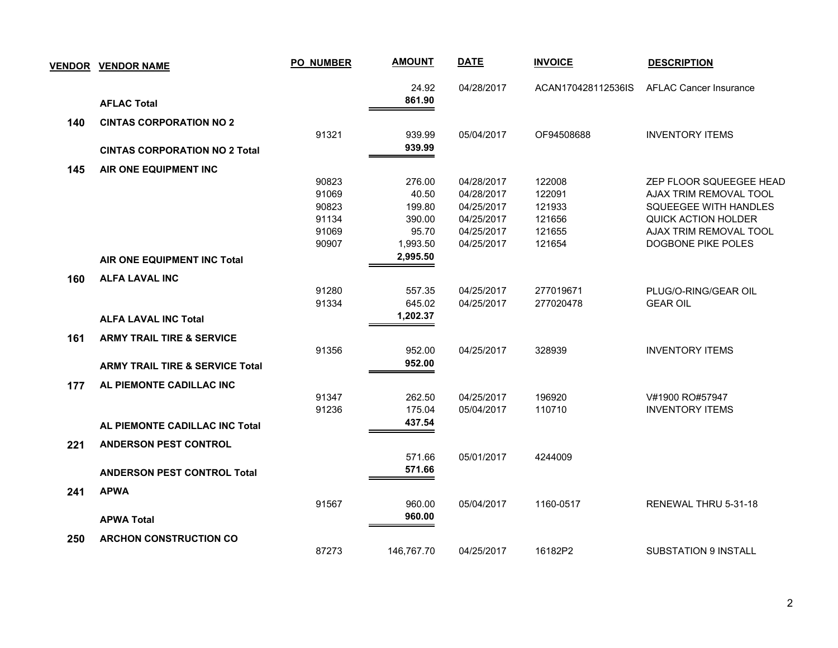|     | <b>VENDOR VENDOR NAME</b>                  | <b>PO NUMBER</b> | <b>AMOUNT</b> | <b>DATE</b> | <b>INVOICE</b>     | <b>DESCRIPTION</b>            |
|-----|--------------------------------------------|------------------|---------------|-------------|--------------------|-------------------------------|
|     |                                            |                  | 24.92         | 04/28/2017  | ACAN170428112536IS | <b>AFLAC Cancer Insurance</b> |
|     | <b>AFLAC Total</b>                         |                  | 861.90        |             |                    |                               |
| 140 | <b>CINTAS CORPORATION NO 2</b>             |                  |               |             |                    |                               |
|     |                                            | 91321            | 939.99        | 05/04/2017  | OF94508688         | <b>INVENTORY ITEMS</b>        |
|     | <b>CINTAS CORPORATION NO 2 Total</b>       |                  | 939.99        |             |                    |                               |
| 145 | AIR ONE EQUIPMENT INC                      |                  |               |             |                    |                               |
|     |                                            | 90823            | 276.00        | 04/28/2017  | 122008             | ZEP FLOOR SQUEEGEE HEAD       |
|     |                                            | 91069            | 40.50         | 04/28/2017  | 122091             | AJAX TRIM REMOVAL TOOL        |
|     |                                            | 90823            | 199.80        | 04/25/2017  | 121933             | <b>SQUEEGEE WITH HANDLES</b>  |
|     |                                            | 91134            | 390.00        | 04/25/2017  | 121656             | <b>QUICK ACTION HOLDER</b>    |
|     |                                            | 91069            | 95.70         | 04/25/2017  | 121655             | AJAX TRIM REMOVAL TOOL        |
|     |                                            | 90907            | 1,993.50      | 04/25/2017  | 121654             | DOGBONE PIKE POLES            |
|     | AIR ONE EQUIPMENT INC Total                |                  | 2,995.50      |             |                    |                               |
| 160 | <b>ALFA LAVAL INC</b>                      |                  |               |             |                    |                               |
|     |                                            | 91280            | 557.35        | 04/25/2017  | 277019671          | PLUG/O-RING/GEAR OIL          |
|     |                                            | 91334            | 645.02        | 04/25/2017  | 277020478          | <b>GEAR OIL</b>               |
|     | <b>ALFA LAVAL INC Total</b>                |                  | 1,202.37      |             |                    |                               |
| 161 | <b>ARMY TRAIL TIRE &amp; SERVICE</b>       |                  |               |             |                    |                               |
|     |                                            | 91356            | 952.00        | 04/25/2017  | 328939             | <b>INVENTORY ITEMS</b>        |
|     | <b>ARMY TRAIL TIRE &amp; SERVICE Total</b> |                  | 952.00        |             |                    |                               |
| 177 | AL PIEMONTE CADILLAC INC                   |                  |               |             |                    |                               |
|     |                                            | 91347            | 262.50        | 04/25/2017  | 196920             | V#1900 RO#57947               |
|     |                                            | 91236            | 175.04        | 05/04/2017  | 110710             | <b>INVENTORY ITEMS</b>        |
|     | AL PIEMONTE CADILLAC INC Total             |                  | 437.54        |             |                    |                               |
| 221 | <b>ANDERSON PEST CONTROL</b>               |                  |               |             |                    |                               |
|     |                                            |                  | 571.66        | 05/01/2017  | 4244009            |                               |
|     | <b>ANDERSON PEST CONTROL Total</b>         |                  | 571.66        |             |                    |                               |
| 241 | <b>APWA</b>                                |                  |               |             |                    |                               |
|     |                                            | 91567            | 960.00        | 05/04/2017  | 1160-0517          | RENEWAL THRU 5-31-18          |
|     |                                            |                  | 960.00        |             |                    |                               |
|     | <b>APWA Total</b>                          |                  |               |             |                    |                               |
| 250 | <b>ARCHON CONSTRUCTION CO</b>              |                  |               |             |                    |                               |
|     |                                            | 87273            | 146,767.70    | 04/25/2017  | 16182P2            | <b>SUBSTATION 9 INSTALL</b>   |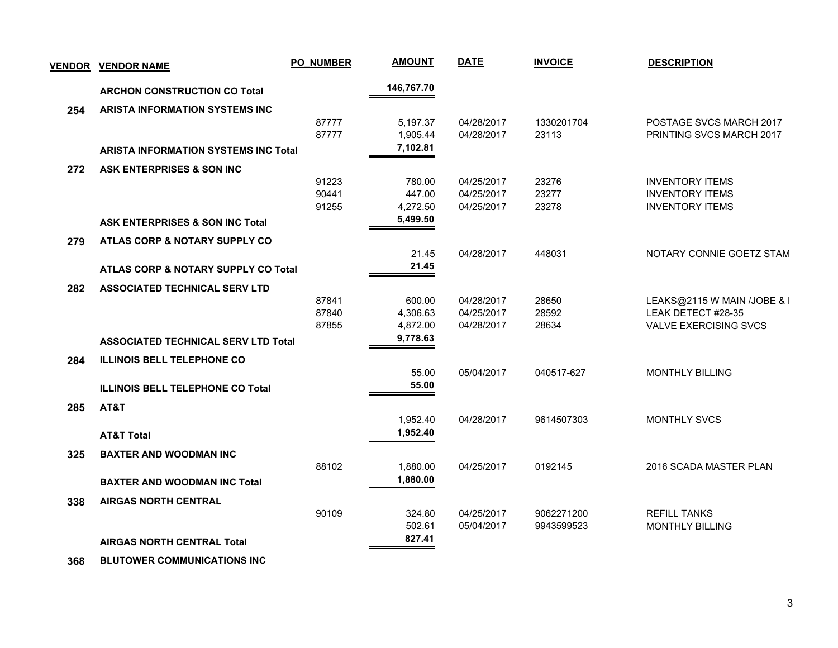| <b>VENDOR</b> | <b>VENDOR NAME</b>                          | <b>PO_NUMBER</b> | <b>AMOUNT</b> | <b>DATE</b> | <b>INVOICE</b> | <b>DESCRIPTION</b>           |
|---------------|---------------------------------------------|------------------|---------------|-------------|----------------|------------------------------|
|               | <b>ARCHON CONSTRUCTION CO Total</b>         |                  | 146,767.70    |             |                |                              |
| 254           | <b>ARISTA INFORMATION SYSTEMS INC</b>       |                  |               |             |                |                              |
|               |                                             | 87777            | 5,197.37      | 04/28/2017  | 1330201704     | POSTAGE SVCS MARCH 2017      |
|               |                                             | 87777            | 1,905.44      | 04/28/2017  | 23113          | PRINTING SVCS MARCH 2017     |
|               | <b>ARISTA INFORMATION SYSTEMS INC Total</b> |                  | 7,102.81      |             |                |                              |
| 272           | ASK ENTERPRISES & SON INC                   |                  |               |             |                |                              |
|               |                                             | 91223            | 780.00        | 04/25/2017  | 23276          | <b>INVENTORY ITEMS</b>       |
|               |                                             | 90441            | 447.00        | 04/25/2017  | 23277          | <b>INVENTORY ITEMS</b>       |
|               |                                             | 91255            | 4,272.50      | 04/25/2017  | 23278          | <b>INVENTORY ITEMS</b>       |
|               | <b>ASK ENTERPRISES &amp; SON INC Total</b>  |                  | 5,499.50      |             |                |                              |
| 279           | ATLAS CORP & NOTARY SUPPLY CO               |                  |               |             |                |                              |
|               |                                             |                  | 21.45         | 04/28/2017  | 448031         | NOTARY CONNIE GOETZ STAM     |
|               | ATLAS CORP & NOTARY SUPPLY CO Total         |                  | 21.45         |             |                |                              |
| 282           | <b>ASSOCIATED TECHNICAL SERV LTD</b>        |                  |               |             |                |                              |
|               |                                             | 87841            | 600.00        | 04/28/2017  | 28650          | LEAKS@2115 W MAIN /JOBE & I  |
|               |                                             | 87840            | 4,306.63      | 04/25/2017  | 28592          | LEAK DETECT #28-35           |
|               |                                             | 87855            | 4,872.00      | 04/28/2017  | 28634          | <b>VALVE EXERCISING SVCS</b> |
|               | <b>ASSOCIATED TECHNICAL SERV LTD Total</b>  |                  | 9,778.63      |             |                |                              |
| 284           | <b>ILLINOIS BELL TELEPHONE CO</b>           |                  |               |             |                |                              |
|               |                                             |                  | 55.00         | 05/04/2017  | 040517-627     | <b>MONTHLY BILLING</b>       |
|               | <b>ILLINOIS BELL TELEPHONE CO Total</b>     |                  | 55.00         |             |                |                              |
| 285           | AT&T                                        |                  |               |             |                |                              |
|               |                                             |                  | 1,952.40      | 04/28/2017  | 9614507303     | <b>MONTHLY SVCS</b>          |
|               | <b>AT&amp;T Total</b>                       |                  | 1,952.40      |             |                |                              |
| 325           | <b>BAXTER AND WOODMAN INC</b>               |                  |               |             |                |                              |
|               |                                             | 88102            | 1,880.00      | 04/25/2017  | 0192145        | 2016 SCADA MASTER PLAN       |
|               | <b>BAXTER AND WOODMAN INC Total</b>         |                  | 1,880.00      |             |                |                              |
| 338           | <b>AIRGAS NORTH CENTRAL</b>                 |                  |               |             |                |                              |
|               |                                             | 90109            | 324.80        | 04/25/2017  | 9062271200     | <b>REFILL TANKS</b>          |
|               |                                             |                  | 502.61        | 05/04/2017  | 9943599523     | <b>MONTHLY BILLING</b>       |
|               |                                             |                  | 827.41        |             |                |                              |
|               | <b>AIRGAS NORTH CENTRAL Total</b>           |                  |               |             |                |                              |

 **368 BLUTOWER COMMUNICATIONS INC**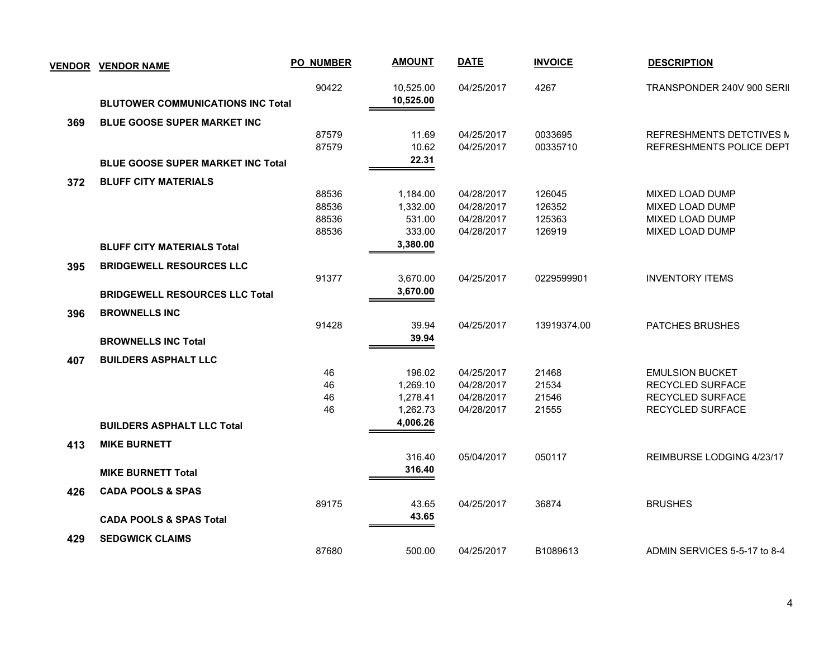|     | <b>VENDOR VENDOR NAME</b>                | <b>PO_NUMBER</b> | <b>AMOUNT</b> | <b>DATE</b> | <b>INVOICE</b> | <b>DESCRIPTION</b>           |
|-----|------------------------------------------|------------------|---------------|-------------|----------------|------------------------------|
|     |                                          | 90422            | 10,525.00     | 04/25/2017  | 4267           | TRANSPONDER 240V 900 SERII   |
|     | <b>BLUTOWER COMMUNICATIONS INC Total</b> |                  | 10,525.00     |             |                |                              |
| 369 | <b>BLUE GOOSE SUPER MARKET INC</b>       |                  |               |             |                |                              |
|     |                                          | 87579            | 11.69         | 04/25/2017  | 0033695        | REFRESHMENTS DETCTIVES M     |
|     |                                          | 87579            | 10.62         | 04/25/2017  | 00335710       | REFRESHMENTS POLICE DEPT     |
|     | <b>BLUE GOOSE SUPER MARKET INC Total</b> |                  | 22.31         |             |                |                              |
| 372 | <b>BLUFF CITY MATERIALS</b>              |                  |               |             |                |                              |
|     |                                          | 88536            | 1,184.00      | 04/28/2017  | 126045         | MIXED LOAD DUMP              |
|     |                                          | 88536            | 1,332.00      | 04/28/2017  | 126352         | MIXED LOAD DUMP              |
|     |                                          | 88536            | 531.00        | 04/28/2017  | 125363         | MIXED LOAD DUMP              |
|     |                                          | 88536            | 333.00        | 04/28/2017  | 126919         | MIXED LOAD DUMP              |
|     | <b>BLUFF CITY MATERIALS Total</b>        |                  | 3,380.00      |             |                |                              |
| 395 | <b>BRIDGEWELL RESOURCES LLC</b>          |                  |               |             |                |                              |
|     |                                          | 91377            | 3,670.00      | 04/25/2017  | 0229599901     | <b>INVENTORY ITEMS</b>       |
|     | <b>BRIDGEWELL RESOURCES LLC Total</b>    |                  | 3,670.00      |             |                |                              |
| 396 | <b>BROWNELLS INC</b>                     |                  |               |             |                |                              |
|     |                                          | 91428            | 39.94         | 04/25/2017  | 13919374.00    | PATCHES BRUSHES              |
|     | <b>BROWNELLS INC Total</b>               |                  | 39.94         |             |                |                              |
| 407 | <b>BUILDERS ASPHALT LLC</b>              |                  |               |             |                |                              |
|     |                                          | 46               | 196.02        | 04/25/2017  | 21468          | <b>EMULSION BUCKET</b>       |
|     |                                          | 46               | 1,269.10      | 04/28/2017  | 21534          | RECYCLED SURFACE             |
|     |                                          | 46               | 1,278.41      | 04/28/2017  | 21546          | <b>RECYCLED SURFACE</b>      |
|     |                                          | 46               | 1,262.73      | 04/28/2017  | 21555          | RECYCLED SURFACE             |
|     | <b>BUILDERS ASPHALT LLC Total</b>        |                  | 4,006.26      |             |                |                              |
| 413 | <b>MIKE BURNETT</b>                      |                  |               |             |                |                              |
|     |                                          |                  | 316.40        | 05/04/2017  | 050117         | REIMBURSE LODGING 4/23/17    |
|     | <b>MIKE BURNETT Total</b>                |                  | 316.40        |             |                |                              |
| 426 | <b>CADA POOLS &amp; SPAS</b>             |                  |               |             |                |                              |
|     |                                          | 89175            | 43.65         | 04/25/2017  | 36874          | <b>BRUSHES</b>               |
|     | <b>CADA POOLS &amp; SPAS Total</b>       |                  | 43.65         |             |                |                              |
| 429 | <b>SEDGWICK CLAIMS</b>                   |                  |               |             |                |                              |
|     |                                          | 87680            | 500.00        | 04/25/2017  | B1089613       | ADMIN SERVICES 5-5-17 to 8-4 |
|     |                                          |                  |               |             |                |                              |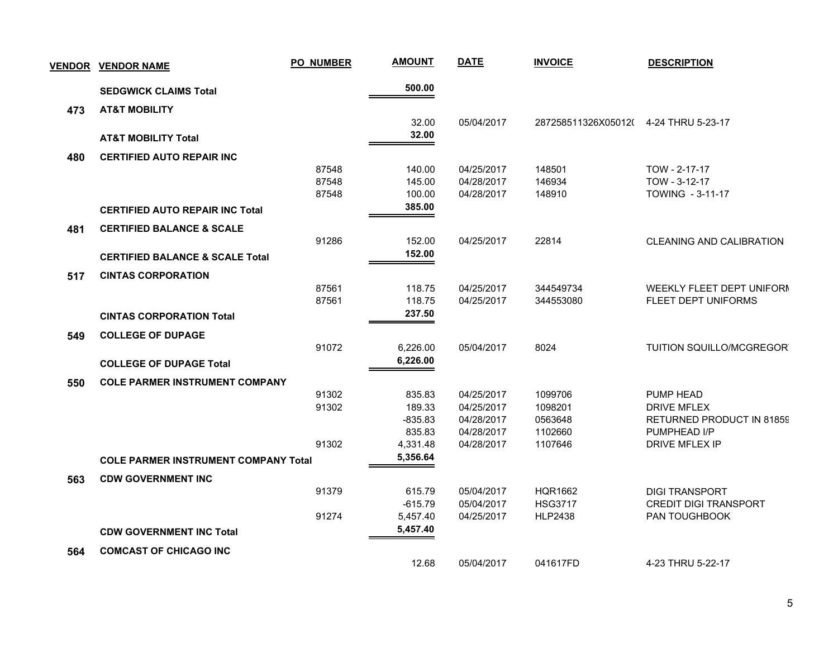| <b>VENDOR</b> | <b>VENDOR NAME</b>                          | <b>PO_NUMBER</b> | <b>AMOUNT</b> | <b>DATE</b> | <b>INVOICE</b>                       | <b>DESCRIPTION</b>              |
|---------------|---------------------------------------------|------------------|---------------|-------------|--------------------------------------|---------------------------------|
|               | <b>SEDGWICK CLAIMS Total</b>                |                  | 500.00        |             |                                      |                                 |
| 473           | <b>AT&amp;T MOBILITY</b>                    |                  |               |             |                                      |                                 |
|               |                                             |                  | 32.00         | 05/04/2017  | 287258511326X05012(4-24 THRU 5-23-17 |                                 |
|               | <b>AT&amp;T MOBILITY Total</b>              |                  | 32.00         |             |                                      |                                 |
| 480           | <b>CERTIFIED AUTO REPAIR INC</b>            |                  |               |             |                                      |                                 |
|               |                                             | 87548            | 140.00        | 04/25/2017  | 148501                               | TOW - 2-17-17                   |
|               |                                             | 87548            | 145.00        | 04/28/2017  | 146934                               | TOW - 3-12-17                   |
|               |                                             | 87548            | 100.00        | 04/28/2017  | 148910                               | TOWING - 3-11-17                |
|               | <b>CERTIFIED AUTO REPAIR INC Total</b>      |                  | 385.00        |             |                                      |                                 |
| 481           | <b>CERTIFIED BALANCE &amp; SCALE</b>        |                  |               |             |                                      |                                 |
|               |                                             | 91286            | 152.00        | 04/25/2017  | 22814                                | <b>CLEANING AND CALIBRATION</b> |
|               | <b>CERTIFIED BALANCE &amp; SCALE Total</b>  |                  | 152.00        |             |                                      |                                 |
| 517           | <b>CINTAS CORPORATION</b>                   |                  |               |             |                                      |                                 |
|               |                                             | 87561            | 118.75        | 04/25/2017  | 344549734                            | WEEKLY FLEET DEPT UNIFORM       |
|               |                                             | 87561            | 118.75        | 04/25/2017  | 344553080                            | FLEET DEPT UNIFORMS             |
|               | <b>CINTAS CORPORATION Total</b>             |                  | 237.50        |             |                                      |                                 |
| 549           | <b>COLLEGE OF DUPAGE</b>                    |                  |               |             |                                      |                                 |
|               |                                             | 91072            | 6,226.00      | 05/04/2017  | 8024                                 | TUITION SQUILLO/MCGREGOR        |
|               | <b>COLLEGE OF DUPAGE Total</b>              |                  | 6,226.00      |             |                                      |                                 |
| 550           | <b>COLE PARMER INSTRUMENT COMPANY</b>       |                  |               |             |                                      |                                 |
|               |                                             | 91302            | 835.83        | 04/25/2017  | 1099706                              | PUMP HEAD                       |
|               |                                             | 91302            | 189.33        | 04/25/2017  | 1098201                              | <b>DRIVE MFLEX</b>              |
|               |                                             |                  | $-835.83$     | 04/28/2017  | 0563648                              | RETURNED PRODUCT IN 81859       |
|               |                                             |                  | 835.83        | 04/28/2017  | 1102660                              | PUMPHEAD I/P                    |
|               |                                             | 91302            | 4,331.48      | 04/28/2017  | 1107646                              | <b>DRIVE MFLEX IP</b>           |
|               | <b>COLE PARMER INSTRUMENT COMPANY Total</b> |                  | 5,356.64      |             |                                      |                                 |
| 563           | <b>CDW GOVERNMENT INC</b>                   |                  |               |             |                                      |                                 |
|               |                                             | 91379            | 615.79        | 05/04/2017  | <b>HQR1662</b>                       | <b>DIGI TRANSPORT</b>           |
|               |                                             |                  | $-615.79$     | 05/04/2017  | <b>HSG3717</b>                       | <b>CREDIT DIGI TRANSPORT</b>    |
|               |                                             | 91274            | 5,457.40      | 04/25/2017  | <b>HLP2438</b>                       | <b>PAN TOUGHBOOK</b>            |
|               | <b>CDW GOVERNMENT INC Total</b>             |                  | 5,457.40      |             |                                      |                                 |
| 564           | <b>COMCAST OF CHICAGO INC</b>               |                  |               |             |                                      |                                 |
|               |                                             |                  | 12.68         | 05/04/2017  | 041617FD                             | 4-23 THRU 5-22-17               |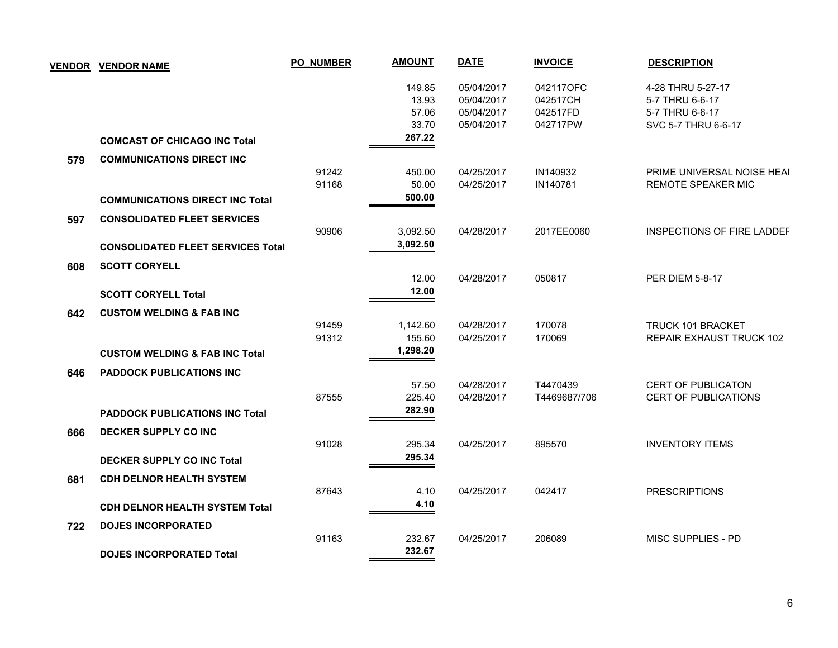|     | <b>VENDOR VENDOR NAME</b>                                                      | <b>PO NUMBER</b> | <b>AMOUNT</b>                     | <b>DATE</b>                                          | <b>INVOICE</b>                                | <b>DESCRIPTION</b>                                                             |
|-----|--------------------------------------------------------------------------------|------------------|-----------------------------------|------------------------------------------------------|-----------------------------------------------|--------------------------------------------------------------------------------|
|     |                                                                                |                  | 149.85<br>13.93<br>57.06<br>33.70 | 05/04/2017<br>05/04/2017<br>05/04/2017<br>05/04/2017 | 042117OFC<br>042517CH<br>042517FD<br>042717PW | 4-28 THRU 5-27-17<br>5-7 THRU 6-6-17<br>5-7 THRU 6-6-17<br>SVC 5-7 THRU 6-6-17 |
|     | <b>COMCAST OF CHICAGO INC Total</b>                                            |                  | 267.22                            |                                                      |                                               |                                                                                |
| 579 | <b>COMMUNICATIONS DIRECT INC</b>                                               |                  |                                   |                                                      |                                               |                                                                                |
|     |                                                                                | 91242<br>91168   | 450.00<br>50.00<br>500.00         | 04/25/2017<br>04/25/2017                             | IN140932<br>IN140781                          | PRIME UNIVERSAL NOISE HEAI<br>REMOTE SPEAKER MIC                               |
|     | <b>COMMUNICATIONS DIRECT INC Total</b>                                         |                  |                                   |                                                      |                                               |                                                                                |
| 597 | <b>CONSOLIDATED FLEET SERVICES</b><br><b>CONSOLIDATED FLEET SERVICES Total</b> | 90906            | 3,092.50<br>3,092.50              | 04/28/2017                                           | 2017EE0060                                    | INSPECTIONS OF FIRE LADDEF                                                     |
| 608 | <b>SCOTT CORYELL</b>                                                           |                  | 12.00                             | 04/28/2017                                           | 050817                                        | <b>PER DIEM 5-8-17</b>                                                         |
|     | <b>SCOTT CORYELL Total</b>                                                     |                  | 12.00                             |                                                      |                                               |                                                                                |
| 642 | <b>CUSTOM WELDING &amp; FAB INC</b>                                            |                  |                                   |                                                      |                                               |                                                                                |
|     | <b>CUSTOM WELDING &amp; FAB INC Total</b>                                      | 91459<br>91312   | 1,142.60<br>155.60<br>1,298.20    | 04/28/2017<br>04/25/2017                             | 170078<br>170069                              | TRUCK 101 BRACKET<br>REPAIR EXHAUST TRUCK 102                                  |
| 646 | <b>PADDOCK PUBLICATIONS INC</b>                                                |                  |                                   |                                                      |                                               |                                                                                |
|     | <b>PADDOCK PUBLICATIONS INC Total</b>                                          | 87555            | 57.50<br>225.40<br>282.90         | 04/28/2017<br>04/28/2017                             | T4470439<br>T4469687/706                      | <b>CERT OF PUBLICATON</b><br><b>CERT OF PUBLICATIONS</b>                       |
| 666 | DECKER SUPPLY CO INC                                                           | 91028            | 295.34                            | 04/25/2017                                           | 895570                                        | <b>INVENTORY ITEMS</b>                                                         |
|     | <b>DECKER SUPPLY CO INC Total</b>                                              |                  | 295.34                            |                                                      |                                               |                                                                                |
| 681 | <b>CDH DELNOR HEALTH SYSTEM</b>                                                | 87643            | 4.10                              | 04/25/2017                                           | 042417                                        | <b>PRESCRIPTIONS</b>                                                           |
|     | <b>CDH DELNOR HEALTH SYSTEM Total</b>                                          |                  | 4.10                              |                                                      |                                               |                                                                                |
| 722 | <b>DOJES INCORPORATED</b>                                                      | 91163            | 232.67                            | 04/25/2017                                           | 206089                                        | MISC SUPPLIES - PD                                                             |
|     | <b>DOJES INCORPORATED Total</b>                                                |                  | 232.67                            |                                                      |                                               |                                                                                |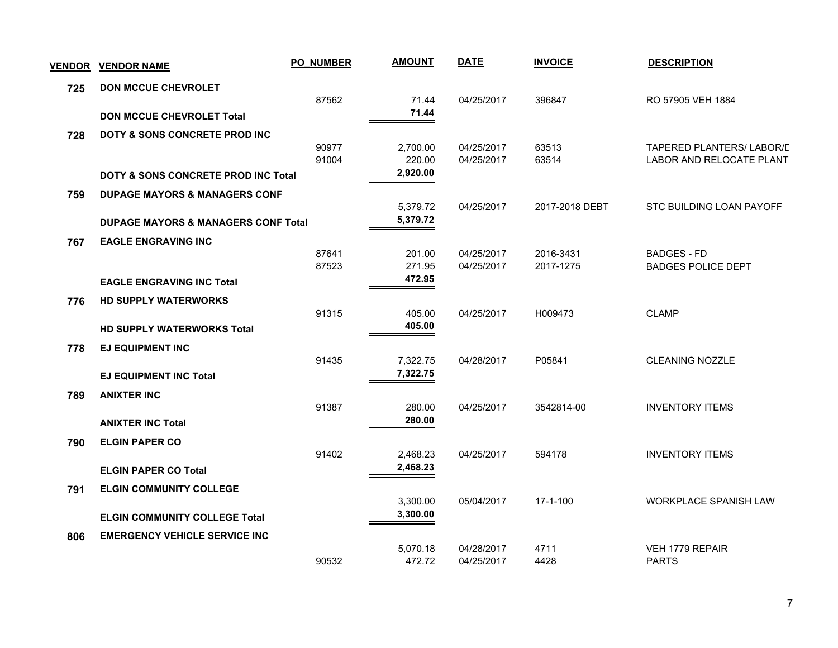| <b>VENDOR</b> | <b>VENDOR NAME</b>                             | <b>PO_NUMBER</b> | <b>AMOUNT</b>        | <b>DATE</b> | <b>INVOICE</b> | <b>DESCRIPTION</b>               |
|---------------|------------------------------------------------|------------------|----------------------|-------------|----------------|----------------------------------|
| 725           | <b>DON MCCUE CHEVROLET</b>                     |                  |                      |             |                |                                  |
|               |                                                | 87562            | 71.44                | 04/25/2017  | 396847         | RO 57905 VEH 1884                |
|               | <b>DON MCCUE CHEVROLET Total</b>               |                  | 71.44                |             |                |                                  |
| 728           | <b>DOTY &amp; SONS CONCRETE PROD INC.</b>      |                  |                      |             |                |                                  |
|               |                                                | 90977            | 2,700.00             | 04/25/2017  | 63513          | <b>TAPERED PLANTERS/ LABOR/L</b> |
|               |                                                | 91004            | 220.00<br>2,920.00   | 04/25/2017  | 63514          | LABOR AND RELOCATE PLANT         |
|               | DOTY & SONS CONCRETE PROD INC Total            |                  |                      |             |                |                                  |
| 759           | <b>DUPAGE MAYORS &amp; MANAGERS CONF</b>       |                  |                      |             |                | STC BUILDING LOAN PAYOFF         |
|               |                                                |                  | 5,379.72<br>5,379.72 | 04/25/2017  | 2017-2018 DEBT |                                  |
|               | <b>DUPAGE MAYORS &amp; MANAGERS CONF Total</b> |                  |                      |             |                |                                  |
| 767           | <b>EAGLE ENGRAVING INC</b>                     | 87641            | 201.00               | 04/25/2017  | 2016-3431      | <b>BADGES - FD</b>               |
|               |                                                | 87523            | 271.95               | 04/25/2017  | 2017-1275      | <b>BADGES POLICE DEPT</b>        |
|               | <b>EAGLE ENGRAVING INC Total</b>               |                  | 472.95               |             |                |                                  |
| 776           | <b>HD SUPPLY WATERWORKS</b>                    |                  |                      |             |                |                                  |
|               |                                                | 91315            | 405.00               | 04/25/2017  | H009473        | <b>CLAMP</b>                     |
|               | <b>HD SUPPLY WATERWORKS Total</b>              |                  | 405.00               |             |                |                                  |
| 778           | <b>EJ EQUIPMENT INC</b>                        |                  |                      |             |                |                                  |
|               |                                                | 91435            | 7,322.75             | 04/28/2017  | P05841         | <b>CLEANING NOZZLE</b>           |
|               | <b>EJ EQUIPMENT INC Total</b>                  |                  | 7,322.75             |             |                |                                  |
| 789           | <b>ANIXTER INC</b>                             |                  |                      |             |                |                                  |
|               |                                                | 91387            | 280.00               | 04/25/2017  | 3542814-00     | <b>INVENTORY ITEMS</b>           |
|               | <b>ANIXTER INC Total</b>                       |                  | 280.00               |             |                |                                  |
| 790           | <b>ELGIN PAPER CO</b>                          |                  |                      |             |                |                                  |
|               |                                                | 91402            | 2,468.23             | 04/25/2017  | 594178         | <b>INVENTORY ITEMS</b>           |
|               | <b>ELGIN PAPER CO Total</b>                    |                  | 2,468.23             |             |                |                                  |
| 791           | <b>ELGIN COMMUNITY COLLEGE</b>                 |                  |                      |             |                |                                  |
|               |                                                |                  | 3,300.00             | 05/04/2017  | $17 - 1 - 100$ | WORKPLACE SPANISH LAW            |
|               | <b>ELGIN COMMUNITY COLLEGE Total</b>           |                  | 3,300.00             |             |                |                                  |
| 806           | <b>EMERGENCY VEHICLE SERVICE INC</b>           |                  |                      |             |                |                                  |
|               |                                                |                  | 5,070.18             | 04/28/2017  | 4711           | VEH 1779 REPAIR                  |
|               |                                                | 90532            | 472.72               | 04/25/2017  | 4428           | <b>PARTS</b>                     |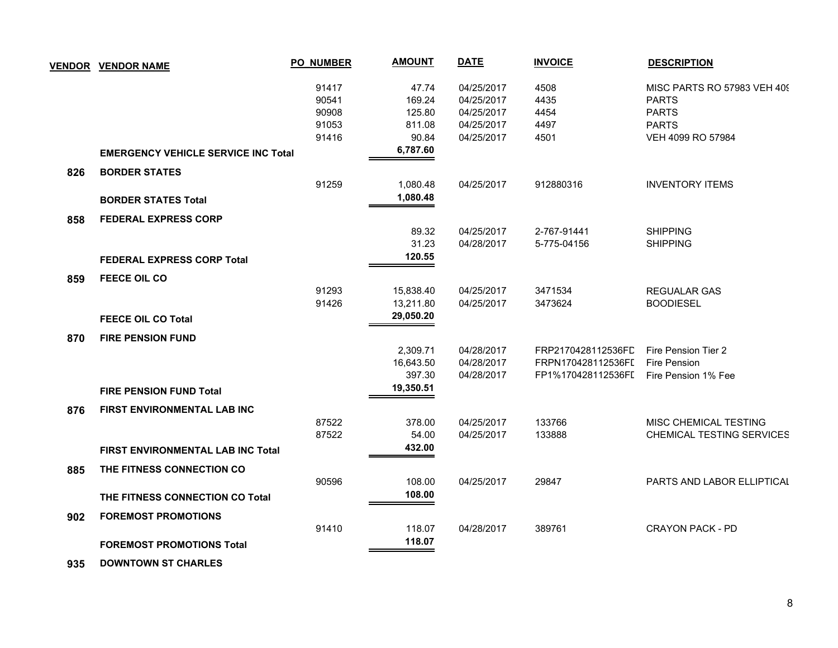|     | <b>VENDOR VENDOR NAME</b>                  | <b>PO_NUMBER</b> | <b>AMOUNT</b> | <b>DATE</b> | <b>INVOICE</b>     | <b>DESCRIPTION</b>          |
|-----|--------------------------------------------|------------------|---------------|-------------|--------------------|-----------------------------|
|     |                                            | 91417            | 47.74         | 04/25/2017  | 4508               | MISC PARTS RO 57983 VEH 409 |
|     |                                            | 90541            | 169.24        | 04/25/2017  | 4435               | <b>PARTS</b>                |
|     |                                            | 90908            | 125.80        | 04/25/2017  | 4454               | <b>PARTS</b>                |
|     |                                            | 91053            | 811.08        | 04/25/2017  | 4497               | <b>PARTS</b>                |
|     |                                            | 91416            | 90.84         | 04/25/2017  | 4501               | VEH 4099 RO 57984           |
|     | <b>EMERGENCY VEHICLE SERVICE INC Total</b> |                  | 6,787.60      |             |                    |                             |
| 826 | <b>BORDER STATES</b>                       |                  |               |             |                    |                             |
|     |                                            | 91259            | 1,080.48      | 04/25/2017  | 912880316          | <b>INVENTORY ITEMS</b>      |
|     | <b>BORDER STATES Total</b>                 |                  | 1,080.48      |             |                    |                             |
| 858 | <b>FEDERAL EXPRESS CORP</b>                |                  |               |             |                    |                             |
|     |                                            |                  | 89.32         | 04/25/2017  | 2-767-91441        | <b>SHIPPING</b>             |
|     |                                            |                  | 31.23         | 04/28/2017  | 5-775-04156        | <b>SHIPPING</b>             |
|     | <b>FEDERAL EXPRESS CORP Total</b>          |                  | 120.55        |             |                    |                             |
| 859 | <b>FEECE OIL CO</b>                        |                  |               |             |                    |                             |
|     |                                            | 91293            | 15,838.40     | 04/25/2017  | 3471534            | <b>REGUALAR GAS</b>         |
|     |                                            | 91426            | 13,211.80     | 04/25/2017  | 3473624            | <b>BOODIESEL</b>            |
|     | <b>FEECE OIL CO Total</b>                  |                  | 29,050.20     |             |                    |                             |
| 870 | <b>FIRE PENSION FUND</b>                   |                  |               |             |                    |                             |
|     |                                            |                  | 2,309.71      | 04/28/2017  | FRP2170428112536FL | Fire Pension Tier 2         |
|     |                                            |                  | 16,643.50     | 04/28/2017  | FRPN170428112536FI | Fire Pension                |
|     |                                            |                  | 397.30        | 04/28/2017  | FP1%170428112536FI | Fire Pension 1% Fee         |
|     | <b>FIRE PENSION FUND Total</b>             |                  | 19,350.51     |             |                    |                             |
| 876 | FIRST ENVIRONMENTAL LAB INC                |                  |               |             |                    |                             |
|     |                                            | 87522            | 378.00        | 04/25/2017  | 133766             | MISC CHEMICAL TESTING       |
|     |                                            | 87522            | 54.00         | 04/25/2017  | 133888             | CHEMICAL TESTING SERVICES   |
|     | FIRST ENVIRONMENTAL LAB INC Total          |                  | 432.00        |             |                    |                             |
| 885 | THE FITNESS CONNECTION CO                  |                  |               |             |                    |                             |
|     |                                            | 90596            | 108.00        | 04/25/2017  | 29847              | PARTS AND LABOR ELLIPTICAL  |
|     | THE FITNESS CONNECTION CO Total            |                  | 108.00        |             |                    |                             |
| 902 | <b>FOREMOST PROMOTIONS</b>                 |                  |               |             |                    |                             |
|     |                                            | 91410            | 118.07        | 04/28/2017  | 389761             | <b>CRAYON PACK - PD</b>     |
|     | <b>FOREMOST PROMOTIONS Total</b>           |                  | 118.07        |             |                    |                             |
|     |                                            |                  |               |             |                    |                             |

 **935 DOWNTOWN ST CHARLES**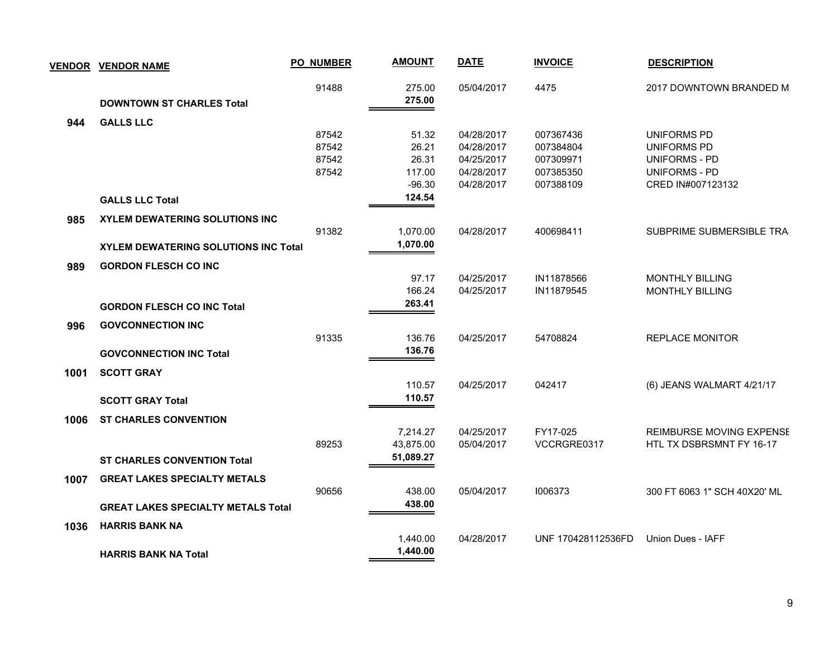|      | <b>VENDOR VENDOR NAME</b>                   | <b>PO NUMBER</b> | <b>AMOUNT</b>    | <b>DATE</b> | <b>INVOICE</b>     | <b>DESCRIPTION</b>           |
|------|---------------------------------------------|------------------|------------------|-------------|--------------------|------------------------------|
|      | <b>DOWNTOWN ST CHARLES Total</b>            | 91488            | 275.00<br>275.00 | 05/04/2017  | 4475               | 2017 DOWNTOWN BRANDED M      |
|      |                                             |                  |                  |             |                    |                              |
| 944  | <b>GALLS LLC</b>                            | 87542            | 51.32            | 04/28/2017  | 007367436          | UNIFORMS PD                  |
|      |                                             | 87542            | 26.21            | 04/28/2017  | 007384804          | UNIFORMS PD                  |
|      |                                             | 87542            | 26.31            | 04/25/2017  | 007309971          | <b>UNIFORMS - PD</b>         |
|      |                                             | 87542            | 117.00           | 04/28/2017  | 007385350          | <b>UNIFORMS - PD</b>         |
|      |                                             |                  | $-96.30$         | 04/28/2017  | 007388109          | CRED IN#007123132            |
|      | <b>GALLS LLC Total</b>                      |                  | 124.54           |             |                    |                              |
| 985  | <b>XYLEM DEWATERING SOLUTIONS INC</b>       |                  |                  |             |                    |                              |
|      |                                             | 91382            | 1,070.00         | 04/28/2017  | 400698411          | SUBPRIME SUBMERSIBLE TRA     |
|      | <b>XYLEM DEWATERING SOLUTIONS INC Total</b> |                  | 1,070.00         |             |                    |                              |
| 989  | <b>GORDON FLESCH CO INC</b>                 |                  |                  |             |                    |                              |
|      |                                             |                  | 97.17            | 04/25/2017  | IN11878566         | <b>MONTHLY BILLING</b>       |
|      |                                             |                  | 166.24           | 04/25/2017  | IN11879545         | <b>MONTHLY BILLING</b>       |
|      | <b>GORDON FLESCH CO INC Total</b>           |                  | 263.41           |             |                    |                              |
| 996  | <b>GOVCONNECTION INC</b>                    |                  |                  |             |                    |                              |
|      |                                             | 91335            | 136.76           | 04/25/2017  | 54708824           | <b>REPLACE MONITOR</b>       |
|      | <b>GOVCONNECTION INC Total</b>              |                  | 136.76           |             |                    |                              |
| 1001 | <b>SCOTT GRAY</b>                           |                  |                  |             |                    |                              |
|      |                                             |                  | 110.57           | 04/25/2017  | 042417             | (6) JEANS WALMART 4/21/17    |
|      | <b>SCOTT GRAY Total</b>                     |                  | 110.57           |             |                    |                              |
| 1006 | <b>ST CHARLES CONVENTION</b>                |                  |                  |             |                    |                              |
|      |                                             |                  | 7,214.27         | 04/25/2017  | FY17-025           | REIMBURSE MOVING EXPENSE     |
|      |                                             | 89253            | 43,875.00        | 05/04/2017  | VCCRGRE0317        | HTL TX DSBRSMNT FY 16-17     |
|      | <b>ST CHARLES CONVENTION Total</b>          |                  | 51,089.27        |             |                    |                              |
| 1007 | <b>GREAT LAKES SPECIALTY METALS</b>         |                  |                  |             |                    |                              |
|      |                                             | 90656            | 438.00           | 05/04/2017  | 1006373            | 300 FT 6063 1" SCH 40X20' ML |
|      | <b>GREAT LAKES SPECIALTY METALS Total</b>   |                  | 438.00           |             |                    |                              |
| 1036 | <b>HARRIS BANK NA</b>                       |                  |                  |             |                    |                              |
|      |                                             |                  | 1,440.00         | 04/28/2017  | UNF 170428112536FD | Union Dues - IAFF            |
|      | <b>HARRIS BANK NA Total</b>                 |                  | 1,440.00         |             |                    |                              |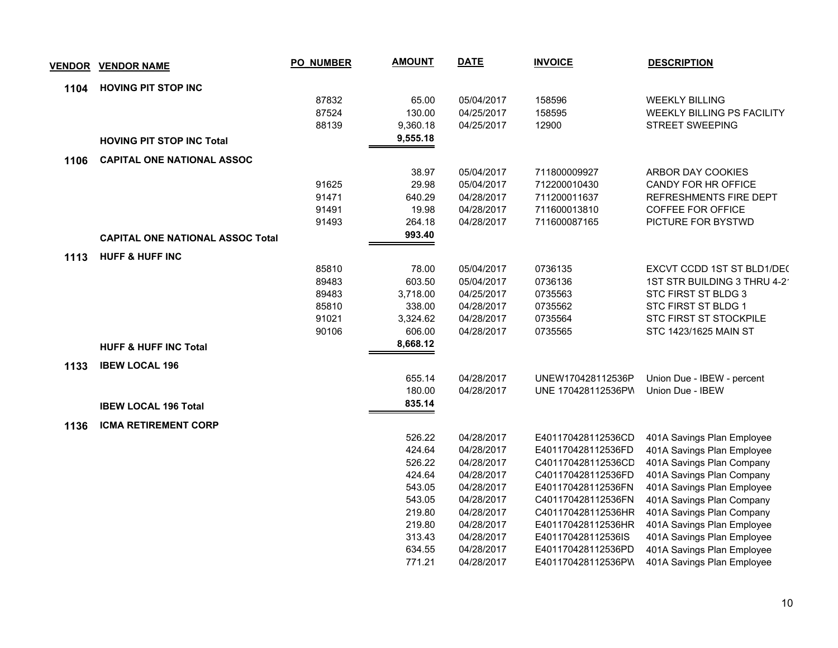|      | <u>VENDOR VENDOR NAME</u>               | <b>PO_NUMBER</b> | <b>AMOUNT</b> | <b>DATE</b> | <b>INVOICE</b>     | <b>DESCRIPTION</b>                |
|------|-----------------------------------------|------------------|---------------|-------------|--------------------|-----------------------------------|
| 1104 | <b>HOVING PIT STOP INC</b>              |                  |               |             |                    |                                   |
|      |                                         | 87832            | 65.00         | 05/04/2017  | 158596             | <b>WEEKLY BILLING</b>             |
|      |                                         | 87524            | 130.00        | 04/25/2017  | 158595             | <b>WEEKLY BILLING PS FACILITY</b> |
|      |                                         | 88139            | 9,360.18      | 04/25/2017  | 12900              | <b>STREET SWEEPING</b>            |
|      | <b>HOVING PIT STOP INC Total</b>        |                  | 9,555.18      |             |                    |                                   |
| 1106 | <b>CAPITAL ONE NATIONAL ASSOC</b>       |                  |               |             |                    |                                   |
|      |                                         |                  | 38.97         | 05/04/2017  | 711800009927       | ARBOR DAY COOKIES                 |
|      |                                         | 91625            | 29.98         | 05/04/2017  | 712200010430       | CANDY FOR HR OFFICE               |
|      |                                         | 91471            | 640.29        | 04/28/2017  | 711200011637       | REFRESHMENTS FIRE DEPT            |
|      |                                         | 91491            | 19.98         | 04/28/2017  | 711600013810       | <b>COFFEE FOR OFFICE</b>          |
|      |                                         | 91493            | 264.18        | 04/28/2017  | 711600087165       | PICTURE FOR BYSTWD                |
|      | <b>CAPITAL ONE NATIONAL ASSOC Total</b> |                  | 993.40        |             |                    |                                   |
| 1113 | <b>HUFF &amp; HUFF INC</b>              |                  |               |             |                    |                                   |
|      |                                         | 85810            | 78.00         | 05/04/2017  | 0736135            | EXCVT CCDD 1ST ST BLD1/DEC        |
|      |                                         | 89483            | 603.50        | 05/04/2017  | 0736136            | 1ST STR BUILDING 3 THRU 4-2       |
|      |                                         | 89483            | 3,718.00      | 04/25/2017  | 0735563            | STC FIRST ST BLDG 3               |
|      |                                         | 85810            | 338.00        | 04/28/2017  | 0735562            | STC FIRST ST BLDG 1               |
|      |                                         | 91021            | 3,324.62      | 04/28/2017  | 0735564            | STC FIRST ST STOCKPILE            |
|      |                                         | 90106            | 606.00        | 04/28/2017  | 0735565            | STC 1423/1625 MAIN ST             |
|      | <b>HUFF &amp; HUFF INC Total</b>        |                  | 8,668.12      |             |                    |                                   |
| 1133 | <b>IBEW LOCAL 196</b>                   |                  |               |             |                    |                                   |
|      |                                         |                  | 655.14        | 04/28/2017  | UNEW170428112536P  | Union Due - IBEW - percent        |
|      |                                         |                  | 180.00        | 04/28/2017  | UNE 170428112536PW | Union Due - IBEW                  |
|      | <b>IBEW LOCAL 196 Total</b>             |                  | 835.14        |             |                    |                                   |
| 1136 | <b>ICMA RETIREMENT CORP</b>             |                  |               |             |                    |                                   |
|      |                                         |                  | 526.22        | 04/28/2017  | E401170428112536CD | 401A Savings Plan Employee        |
|      |                                         |                  | 424.64        | 04/28/2017  | E401170428112536FD | 401A Savings Plan Employee        |
|      |                                         |                  | 526.22        | 04/28/2017  | C401170428112536CD | 401A Savings Plan Company         |
|      |                                         |                  | 424.64        | 04/28/2017  | C401170428112536FD | 401A Savings Plan Company         |
|      |                                         |                  | 543.05        | 04/28/2017  | E401170428112536FN | 401A Savings Plan Employee        |
|      |                                         |                  | 543.05        | 04/28/2017  | C401170428112536FN | 401A Savings Plan Company         |
|      |                                         |                  | 219.80        | 04/28/2017  | C401170428112536HR | 401A Savings Plan Company         |
|      |                                         |                  | 219.80        | 04/28/2017  | E401170428112536HR | 401A Savings Plan Employee        |
|      |                                         |                  | 313.43        | 04/28/2017  | E401170428112536IS | 401A Savings Plan Employee        |
|      |                                         |                  | 634.55        | 04/28/2017  | E401170428112536PD | 401A Savings Plan Employee        |
|      |                                         |                  | 771.21        | 04/28/2017  | E401170428112536PW | 401A Savings Plan Employee        |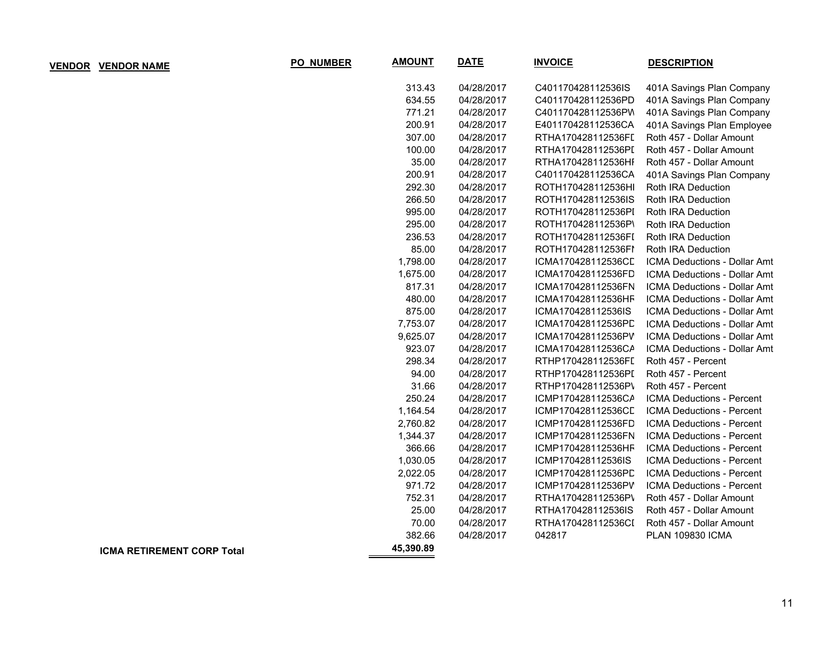| <b>VENDOR NAME</b>                | PO_NUMBER | <b>AMOUNT</b> | <b>DATE</b> | <b>INVOICE</b>     | <b>DESCRIPTION</b>               |
|-----------------------------------|-----------|---------------|-------------|--------------------|----------------------------------|
|                                   |           | 313.43        | 04/28/2017  | C401170428112536IS | 401A Savings Plan Company        |
|                                   |           | 634.55        | 04/28/2017  | C401170428112536PD | 401A Savings Plan Company        |
|                                   |           | 771.21        | 04/28/2017  | C401170428112536PW | 401A Savings Plan Company        |
|                                   |           | 200.91        | 04/28/2017  | E401170428112536CA | 401A Savings Plan Employee       |
|                                   |           | 307.00        | 04/28/2017  | RTHA170428112536FI | Roth 457 - Dollar Amount         |
|                                   |           | 100.00        | 04/28/2017  | RTHA170428112536PI | Roth 457 - Dollar Amount         |
|                                   |           | 35.00         | 04/28/2017  | RTHA170428112536HI | Roth 457 - Dollar Amount         |
|                                   |           | 200.91        | 04/28/2017  | C401170428112536CA | 401A Savings Plan Company        |
|                                   |           | 292.30        | 04/28/2017  | ROTH170428112536HI | Roth IRA Deduction               |
|                                   |           | 266.50        | 04/28/2017  | ROTH170428112536IS | Roth IRA Deduction               |
|                                   |           | 995.00        | 04/28/2017  | ROTH170428112536PI | Roth IRA Deduction               |
|                                   |           | 295.00        | 04/28/2017  | ROTH170428112536P\ | Roth IRA Deduction               |
|                                   |           | 236.53        | 04/28/2017  | ROTH170428112536FI | Roth IRA Deduction               |
|                                   |           | 85.00         | 04/28/2017  | ROTH170428112536FI | Roth IRA Deduction               |
|                                   |           | 1,798.00      | 04/28/2017  | ICMA170428112536CL | ICMA Deductions - Dollar Amt     |
|                                   |           | 1,675.00      | 04/28/2017  | ICMA170428112536FD | ICMA Deductions - Dollar Amt     |
|                                   |           | 817.31        | 04/28/2017  | ICMA170428112536FN | ICMA Deductions - Dollar Amt     |
|                                   |           | 480.00        | 04/28/2017  | ICMA170428112536HF | ICMA Deductions - Dollar Amt     |
|                                   |           | 875.00        | 04/28/2017  | ICMA170428112536IS | ICMA Deductions - Dollar Amt     |
|                                   |           | 7,753.07      | 04/28/2017  | ICMA170428112536PD | ICMA Deductions - Dollar Amt     |
|                                   |           | 9,625.07      | 04/28/2017  | ICMA170428112536PV | ICMA Deductions - Dollar Amt     |
|                                   |           | 923.07        | 04/28/2017  | ICMA170428112536CA | ICMA Deductions - Dollar Amt     |
|                                   |           | 298.34        | 04/28/2017  | RTHP170428112536FI | Roth 457 - Percent               |
|                                   |           | 94.00         | 04/28/2017  | RTHP170428112536PI | Roth 457 - Percent               |
|                                   |           | 31.66         | 04/28/2017  | RTHP170428112536P\ | Roth 457 - Percent               |
|                                   |           | 250.24        | 04/28/2017  | ICMP170428112536CA | ICMA Deductions - Percent        |
|                                   |           | 1,164.54      | 04/28/2017  | ICMP170428112536CD | ICMA Deductions - Percent        |
|                                   |           | 2,760.82      | 04/28/2017  | ICMP170428112536FD | ICMA Deductions - Percent        |
|                                   |           | 1,344.37      | 04/28/2017  | ICMP170428112536FN | ICMA Deductions - Percent        |
|                                   |           | 366.66        | 04/28/2017  | ICMP170428112536HF | ICMA Deductions - Percent        |
|                                   |           | 1,030.05      | 04/28/2017  | ICMP170428112536IS | ICMA Deductions - Percent        |
|                                   |           | 2,022.05      | 04/28/2017  | ICMP170428112536PD | ICMA Deductions - Percent        |
|                                   |           | 971.72        | 04/28/2017  | ICMP170428112536PV | <b>ICMA Deductions - Percent</b> |
|                                   |           | 752.31        | 04/28/2017  | RTHA170428112536P\ | Roth 457 - Dollar Amount         |
|                                   |           | 25.00         | 04/28/2017  | RTHA170428112536IS | Roth 457 - Dollar Amount         |
|                                   |           | 70.00         | 04/28/2017  | RTHA170428112536CI | Roth 457 - Dollar Amount         |
|                                   |           | 382.66        | 04/28/2017  | 042817             | <b>PLAN 109830 ICMA</b>          |
| <b>ICMA RETIREMENT CORP Total</b> |           | 45,390.89     |             |                    |                                  |

 $VENDOR$  **VENDOR NAME**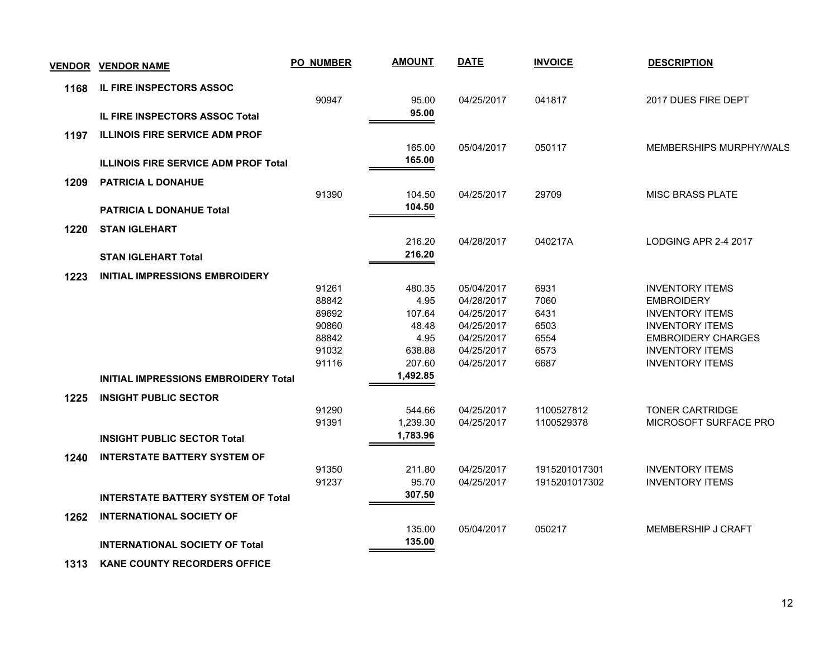| <b>VENDOR</b> | <b>VENDOR NAME</b>                          | <b>PO NUMBER</b> | <b>AMOUNT</b> | <b>DATE</b> | <b>INVOICE</b> | <b>DESCRIPTION</b>        |
|---------------|---------------------------------------------|------------------|---------------|-------------|----------------|---------------------------|
| 1168          | IL FIRE INSPECTORS ASSOC                    |                  |               |             |                |                           |
|               |                                             | 90947            | 95.00         | 04/25/2017  | 041817         | 2017 DUES FIRE DEPT       |
|               | <b>IL FIRE INSPECTORS ASSOC Total</b>       |                  | 95.00         |             |                |                           |
| 1197          | <b>ILLINOIS FIRE SERVICE ADM PROF</b>       |                  |               |             |                |                           |
|               |                                             |                  | 165.00        | 05/04/2017  | 050117         | MEMBERSHIPS MURPHY/WALS   |
|               | <b>ILLINOIS FIRE SERVICE ADM PROF Total</b> |                  | 165.00        |             |                |                           |
| 1209          | <b>PATRICIA L DONAHUE</b>                   |                  |               |             |                |                           |
|               |                                             | 91390            | 104.50        | 04/25/2017  | 29709          | <b>MISC BRASS PLATE</b>   |
|               | <b>PATRICIA L DONAHUE Total</b>             |                  | 104.50        |             |                |                           |
| 1220          | <b>STAN IGLEHART</b>                        |                  |               |             |                |                           |
|               |                                             |                  | 216.20        | 04/28/2017  | 040217A        | LODGING APR 2-4 2017      |
|               | <b>STAN IGLEHART Total</b>                  |                  | 216.20        |             |                |                           |
| 1223          | <b>INITIAL IMPRESSIONS EMBROIDERY</b>       |                  |               |             |                |                           |
|               |                                             | 91261            | 480.35        | 05/04/2017  | 6931           | <b>INVENTORY ITEMS</b>    |
|               |                                             | 88842            | 4.95          | 04/28/2017  | 7060           | <b>EMBROIDERY</b>         |
|               |                                             | 89692            | 107.64        | 04/25/2017  | 6431           | <b>INVENTORY ITEMS</b>    |
|               |                                             | 90860            | 48.48         | 04/25/2017  | 6503           | <b>INVENTORY ITEMS</b>    |
|               |                                             | 88842            | 4.95          | 04/25/2017  | 6554           | <b>EMBROIDERY CHARGES</b> |
|               |                                             | 91032            | 638.88        | 04/25/2017  | 6573           | <b>INVENTORY ITEMS</b>    |
|               |                                             | 91116            | 207.60        | 04/25/2017  | 6687           | <b>INVENTORY ITEMS</b>    |
|               | <b>INITIAL IMPRESSIONS EMBROIDERY Total</b> |                  | 1,492.85      |             |                |                           |
| 1225          | <b>INSIGHT PUBLIC SECTOR</b>                |                  |               |             |                |                           |
|               |                                             | 91290            | 544.66        | 04/25/2017  | 1100527812     | <b>TONER CARTRIDGE</b>    |
|               |                                             | 91391            | 1,239.30      | 04/25/2017  | 1100529378     | MICROSOFT SURFACE PRO     |
|               | <b>INSIGHT PUBLIC SECTOR Total</b>          |                  | 1,783.96      |             |                |                           |
| 1240          | <b>INTERSTATE BATTERY SYSTEM OF</b>         |                  |               |             |                |                           |
|               |                                             | 91350            | 211.80        | 04/25/2017  | 1915201017301  | <b>INVENTORY ITEMS</b>    |
|               |                                             | 91237            | 95.70         | 04/25/2017  | 1915201017302  | <b>INVENTORY ITEMS</b>    |
|               | <b>INTERSTATE BATTERY SYSTEM OF Total</b>   |                  | 307.50        |             |                |                           |
| 1262          | <b>INTERNATIONAL SOCIETY OF</b>             |                  |               |             |                |                           |
|               |                                             |                  | 135.00        | 05/04/2017  | 050217         | MEMBERSHIP J CRAFT        |
|               | <b>INTERNATIONAL SOCIETY OF Total</b>       |                  | 135.00        |             |                |                           |
|               |                                             |                  |               |             |                |                           |

 **1313 KANE COUNTY RECORDERS OFFICE**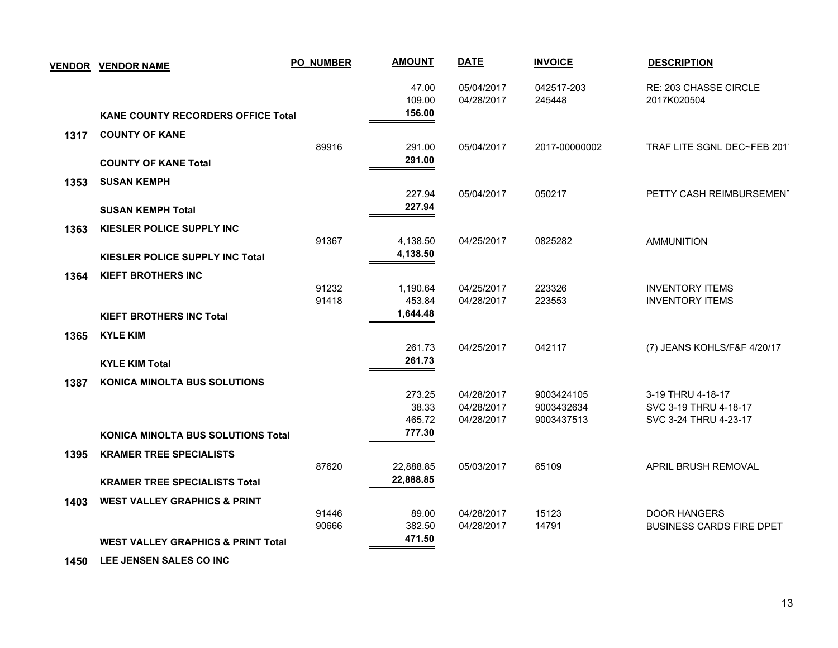|      | <b>VENDOR VENDOR NAME</b>                     | <b>PO_NUMBER</b> | <b>AMOUNT</b>             | <b>DATE</b>              | <b>INVOICE</b>       | <b>DESCRIPTION</b>                   |
|------|-----------------------------------------------|------------------|---------------------------|--------------------------|----------------------|--------------------------------------|
|      |                                               |                  | 47.00<br>109.00<br>156.00 | 05/04/2017<br>04/28/2017 | 042517-203<br>245448 | RE: 203 CHASSE CIRCLE<br>2017K020504 |
|      | KANE COUNTY RECORDERS OFFICE Total            |                  |                           |                          |                      |                                      |
| 1317 | <b>COUNTY OF KANE</b>                         |                  |                           |                          |                      |                                      |
|      |                                               | 89916            | 291.00<br>291.00          | 05/04/2017               | 2017-00000002        | TRAF LITE SGNL DEC~FEB 2011          |
|      | <b>COUNTY OF KANE Total</b>                   |                  |                           |                          |                      |                                      |
| 1353 | <b>SUSAN KEMPH</b>                            |                  |                           |                          |                      |                                      |
|      |                                               |                  | 227.94                    | 05/04/2017               | 050217               | PETTY CASH REIMBURSEMENT             |
|      | <b>SUSAN KEMPH Total</b>                      |                  | 227.94                    |                          |                      |                                      |
| 1363 | KIESLER POLICE SUPPLY INC                     |                  |                           |                          |                      |                                      |
|      |                                               | 91367            | 4,138.50                  | 04/25/2017               | 0825282              | <b>AMMUNITION</b>                    |
|      | <b>KIESLER POLICE SUPPLY INC Total</b>        |                  | 4,138.50                  |                          |                      |                                      |
| 1364 | <b>KIEFT BROTHERS INC</b>                     |                  |                           |                          |                      |                                      |
|      |                                               | 91232            | 1,190.64                  | 04/25/2017               | 223326               | <b>INVENTORY ITEMS</b>               |
|      |                                               | 91418            | 453.84                    | 04/28/2017               | 223553               | <b>INVENTORY ITEMS</b>               |
|      | <b>KIEFT BROTHERS INC Total</b>               |                  | 1,644.48                  |                          |                      |                                      |
| 1365 | <b>KYLE KIM</b>                               |                  |                           |                          |                      |                                      |
|      |                                               |                  | 261.73                    | 04/25/2017               | 042117               | (7) JEANS KOHLS/F&F 4/20/17          |
|      | <b>KYLE KIM Total</b>                         |                  | 261.73                    |                          |                      |                                      |
| 1387 | <b>KONICA MINOLTA BUS SOLUTIONS</b>           |                  |                           |                          |                      |                                      |
|      |                                               |                  | 273.25                    | 04/28/2017               | 9003424105           | 3-19 THRU 4-18-17                    |
|      |                                               |                  | 38.33                     | 04/28/2017               | 9003432634           | SVC 3-19 THRU 4-18-17                |
|      |                                               |                  | 465.72                    | 04/28/2017               | 9003437513           | SVC 3-24 THRU 4-23-17                |
|      | <b>KONICA MINOLTA BUS SOLUTIONS Total</b>     |                  | 777.30                    |                          |                      |                                      |
| 1395 | <b>KRAMER TREE SPECIALISTS</b>                |                  |                           |                          |                      |                                      |
|      |                                               | 87620            | 22,888.85                 | 05/03/2017               | 65109                | APRIL BRUSH REMOVAL                  |
|      | <b>KRAMER TREE SPECIALISTS Total</b>          |                  | 22,888.85                 |                          |                      |                                      |
| 1403 | <b>WEST VALLEY GRAPHICS &amp; PRINT</b>       |                  |                           |                          |                      |                                      |
|      |                                               | 91446            | 89.00                     | 04/28/2017               | 15123                | <b>DOOR HANGERS</b>                  |
|      |                                               | 90666            | 382.50                    | 04/28/2017               | 14791                | <b>BUSINESS CARDS FIRE DPET</b>      |
|      | <b>WEST VALLEY GRAPHICS &amp; PRINT Total</b> |                  | 471.50                    |                          |                      |                                      |
|      |                                               |                  |                           |                          |                      |                                      |

 **1450 LEE JENSEN SALES CO INC**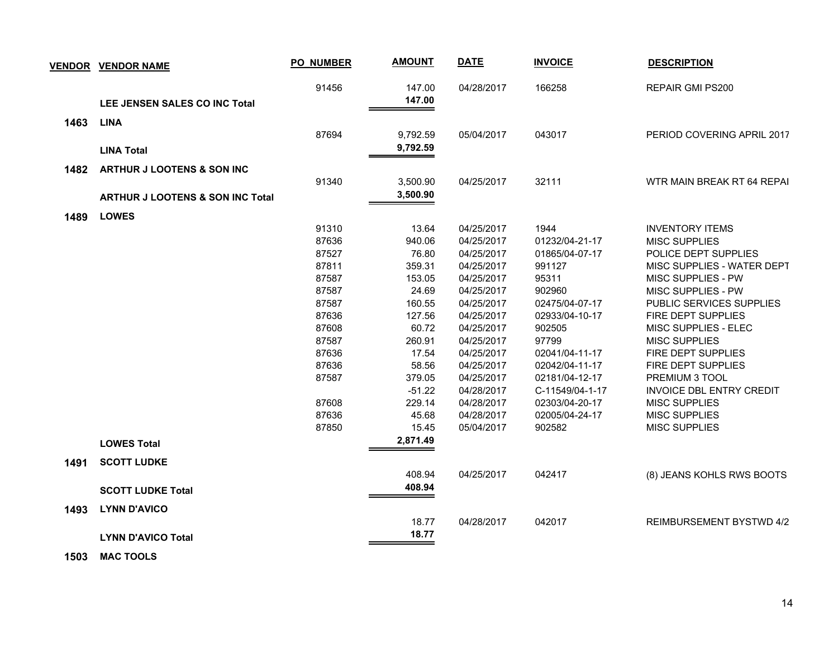| <b>VENDOR</b> | <b>VENDOR NAME</b>                          | PO_NUMBER | <b>AMOUNT</b> | <b>DATE</b> | <b>INVOICE</b>  | <b>DESCRIPTION</b>              |
|---------------|---------------------------------------------|-----------|---------------|-------------|-----------------|---------------------------------|
|               |                                             | 91456     | 147.00        | 04/28/2017  | 166258          | <b>REPAIR GMI PS200</b>         |
|               | LEE JENSEN SALES CO INC Total               |           | 147.00        |             |                 |                                 |
| 1463          | <b>LINA</b>                                 |           |               |             |                 |                                 |
|               |                                             | 87694     | 9,792.59      | 05/04/2017  | 043017          | PERIOD COVERING APRIL 2017      |
|               | <b>LINA Total</b>                           |           | 9,792.59      |             |                 |                                 |
| 1482          | <b>ARTHUR J LOOTENS &amp; SON INC</b>       |           |               |             |                 |                                 |
|               |                                             | 91340     | 3,500.90      | 04/25/2017  | 32111           | WTR MAIN BREAK RT 64 REPAI      |
|               | <b>ARTHUR J LOOTENS &amp; SON INC Total</b> |           | 3,500.90      |             |                 |                                 |
|               | <b>LOWES</b>                                |           |               |             |                 |                                 |
| 1489          |                                             | 91310     | 13.64         | 04/25/2017  | 1944            | <b>INVENTORY ITEMS</b>          |
|               |                                             | 87636     | 940.06        | 04/25/2017  | 01232/04-21-17  | <b>MISC SUPPLIES</b>            |
|               |                                             | 87527     | 76.80         | 04/25/2017  | 01865/04-07-17  | POLICE DEPT SUPPLIES            |
|               |                                             | 87811     | 359.31        | 04/25/2017  | 991127          | MISC SUPPLIES - WATER DEPT      |
|               |                                             | 87587     | 153.05        | 04/25/2017  | 95311           | MISC SUPPLIES - PW              |
|               |                                             | 87587     | 24.69         | 04/25/2017  | 902960          | MISC SUPPLIES - PW              |
|               |                                             | 87587     | 160.55        | 04/25/2017  | 02475/04-07-17  | PUBLIC SERVICES SUPPLIES        |
|               |                                             | 87636     | 127.56        | 04/25/2017  | 02933/04-10-17  | FIRE DEPT SUPPLIES              |
|               |                                             | 87608     | 60.72         | 04/25/2017  | 902505          | MISC SUPPLIES - ELEC            |
|               |                                             | 87587     | 260.91        | 04/25/2017  | 97799           | <b>MISC SUPPLIES</b>            |
|               |                                             | 87636     | 17.54         | 04/25/2017  | 02041/04-11-17  | FIRE DEPT SUPPLIES              |
|               |                                             | 87636     | 58.56         | 04/25/2017  | 02042/04-11-17  | FIRE DEPT SUPPLIES              |
|               |                                             | 87587     | 379.05        | 04/25/2017  | 02181/04-12-17  | PREMIUM 3 TOOL                  |
|               |                                             |           | $-51.22$      | 04/28/2017  | C-11549/04-1-17 | <b>INVOICE DBL ENTRY CREDIT</b> |
|               |                                             | 87608     | 229.14        | 04/28/2017  | 02303/04-20-17  | <b>MISC SUPPLIES</b>            |
|               |                                             | 87636     | 45.68         | 04/28/2017  | 02005/04-24-17  | <b>MISC SUPPLIES</b>            |
|               |                                             | 87850     | 15.45         | 05/04/2017  | 902582          | <b>MISC SUPPLIES</b>            |
|               | <b>LOWES Total</b>                          |           | 2,871.49      |             |                 |                                 |
| 1491          | <b>SCOTT LUDKE</b>                          |           |               |             |                 |                                 |
|               |                                             |           | 408.94        | 04/25/2017  | 042417          | (8) JEANS KOHLS RWS BOOTS       |
|               | <b>SCOTT LUDKE Total</b>                    |           | 408.94        |             |                 |                                 |
| 1493          | <b>LYNN D'AVICO</b>                         |           |               |             |                 |                                 |
|               |                                             |           | 18.77         | 04/28/2017  | 042017          | <b>REIMBURSEMENT BYSTWD 4/2</b> |
|               | <b>LYNN D'AVICO Total</b>                   |           | 18.77         |             |                 |                                 |

 **1503 MAC TOOLS**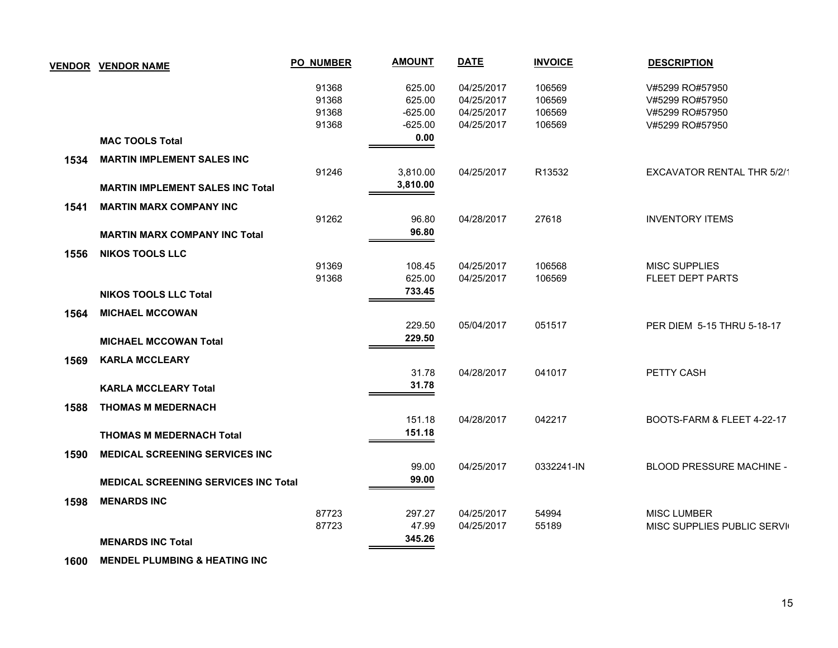| <b>VENDOR</b> | <b>VENDOR NAME</b>                          | <b>PO_NUMBER</b> | <b>AMOUNT</b> | <b>DATE</b> | <b>INVOICE</b> | <b>DESCRIPTION</b>                |
|---------------|---------------------------------------------|------------------|---------------|-------------|----------------|-----------------------------------|
|               |                                             | 91368            | 625.00        | 04/25/2017  | 106569         | V#5299 RO#57950                   |
|               |                                             | 91368            | 625.00        | 04/25/2017  | 106569         | V#5299 RO#57950                   |
|               |                                             | 91368            | $-625.00$     | 04/25/2017  | 106569         | V#5299 RO#57950                   |
|               |                                             | 91368            | $-625.00$     | 04/25/2017  | 106569         | V#5299 RO#57950                   |
|               | <b>MAC TOOLS Total</b>                      |                  | 0.00          |             |                |                                   |
| 1534          | <b>MARTIN IMPLEMENT SALES INC</b>           |                  |               |             |                |                                   |
|               |                                             | 91246            | 3,810.00      | 04/25/2017  | R13532         | <b>EXCAVATOR RENTAL THR 5/2/1</b> |
|               | <b>MARTIN IMPLEMENT SALES INC Total</b>     |                  | 3,810.00      |             |                |                                   |
| 1541          | <b>MARTIN MARX COMPANY INC</b>              |                  |               |             |                |                                   |
|               |                                             | 91262            | 96.80         | 04/28/2017  | 27618          | <b>INVENTORY ITEMS</b>            |
|               | <b>MARTIN MARX COMPANY INC Total</b>        |                  | 96.80         |             |                |                                   |
| 1556          | <b>NIKOS TOOLS LLC</b>                      |                  |               |             |                |                                   |
|               |                                             | 91369            | 108.45        | 04/25/2017  | 106568         | <b>MISC SUPPLIES</b>              |
|               |                                             | 91368            | 625.00        | 04/25/2017  | 106569         | <b>FLEET DEPT PARTS</b>           |
|               | <b>NIKOS TOOLS LLC Total</b>                |                  | 733.45        |             |                |                                   |
| 1564          | <b>MICHAEL MCCOWAN</b>                      |                  |               |             |                |                                   |
|               |                                             |                  | 229.50        | 05/04/2017  | 051517         | PER DIEM 5-15 THRU 5-18-17        |
|               | <b>MICHAEL MCCOWAN Total</b>                |                  | 229.50        |             |                |                                   |
| 1569          | <b>KARLA MCCLEARY</b>                       |                  |               |             |                |                                   |
|               |                                             |                  | 31.78         | 04/28/2017  | 041017         | PETTY CASH                        |
|               | <b>KARLA MCCLEARY Total</b>                 |                  | 31.78         |             |                |                                   |
| 1588          | <b>THOMAS M MEDERNACH</b>                   |                  |               |             |                |                                   |
|               |                                             |                  | 151.18        | 04/28/2017  | 042217         | BOOTS-FARM & FLEET 4-22-17        |
|               | <b>THOMAS M MEDERNACH Total</b>             |                  | 151.18        |             |                |                                   |
| 1590          | <b>MEDICAL SCREENING SERVICES INC</b>       |                  |               |             |                |                                   |
|               |                                             |                  | 99.00         | 04/25/2017  | 0332241-IN     | BLOOD PRESSURE MACHINE -          |
|               | <b>MEDICAL SCREENING SERVICES INC Total</b> |                  | 99.00         |             |                |                                   |
| 1598          | <b>MENARDS INC</b>                          |                  |               |             |                |                                   |
|               |                                             | 87723            | 297.27        | 04/25/2017  | 54994          | <b>MISC LUMBER</b>                |
|               |                                             | 87723            | 47.99         | 04/25/2017  | 55189          | MISC SUPPLIES PUBLIC SERVIO       |
|               | <b>MENARDS INC Total</b>                    |                  | 345.26        |             |                |                                   |

 **1600 MENDEL PLUMBING & HEATING INC**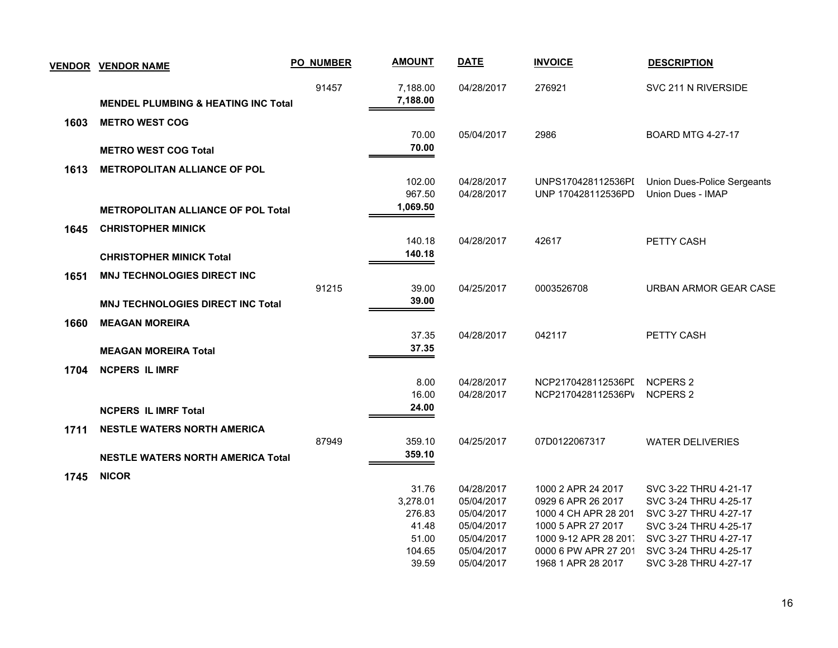|      | <b>VENDOR VENDOR NAME</b>                      | <b>PO_NUMBER</b> | <b>AMOUNT</b>        | <b>DATE</b> | <b>INVOICE</b>        | <b>DESCRIPTION</b>          |
|------|------------------------------------------------|------------------|----------------------|-------------|-----------------------|-----------------------------|
|      | <b>MENDEL PLUMBING &amp; HEATING INC Total</b> | 91457            | 7,188.00<br>7,188.00 | 04/28/2017  | 276921                | SVC 211 N RIVERSIDE         |
|      |                                                |                  |                      |             |                       |                             |
| 1603 | <b>METRO WEST COG</b>                          |                  | 70.00                | 05/04/2017  | 2986                  | <b>BOARD MTG 4-27-17</b>    |
|      | <b>METRO WEST COG Total</b>                    |                  | 70.00                |             |                       |                             |
|      |                                                |                  |                      |             |                       |                             |
| 1613 | <b>METROPOLITAN ALLIANCE OF POL</b>            |                  |                      |             |                       |                             |
|      |                                                |                  | 102.00               | 04/28/2017  | UNPS170428112536PI    | Union Dues-Police Sergeants |
|      |                                                |                  | 967.50<br>1,069.50   | 04/28/2017  | UNP 170428112536PD    | Union Dues - IMAP           |
|      | <b>METROPOLITAN ALLIANCE OF POL Total</b>      |                  |                      |             |                       |                             |
| 1645 | <b>CHRISTOPHER MINICK</b>                      |                  |                      |             |                       |                             |
|      |                                                |                  | 140.18               | 04/28/2017  | 42617                 | PETTY CASH                  |
|      | <b>CHRISTOPHER MINICK Total</b>                |                  | 140.18               |             |                       |                             |
| 1651 | <b>MNJ TECHNOLOGIES DIRECT INC</b>             |                  |                      |             |                       |                             |
|      |                                                | 91215            | 39.00                | 04/25/2017  | 0003526708            | URBAN ARMOR GEAR CASE       |
|      | <b>MNJ TECHNOLOGIES DIRECT INC Total</b>       |                  | 39.00                |             |                       |                             |
|      |                                                |                  |                      |             |                       |                             |
| 1660 | <b>MEAGAN MOREIRA</b>                          |                  | 37.35                | 04/28/2017  | 042117                | PETTY CASH                  |
|      |                                                |                  | 37.35                |             |                       |                             |
|      | <b>MEAGAN MOREIRA Total</b>                    |                  |                      |             |                       |                             |
| 1704 | <b>NCPERS IL IMRF</b>                          |                  |                      |             |                       |                             |
|      |                                                |                  | 8.00                 | 04/28/2017  | NCP2170428112536PL    | <b>NCPERS 2</b>             |
|      |                                                |                  | 16.00                | 04/28/2017  | NCP2170428112536PV    | <b>NCPERS 2</b>             |
|      | <b>NCPERS IL IMRF Total</b>                    |                  | 24.00                |             |                       |                             |
| 1711 | <b>NESTLE WATERS NORTH AMERICA</b>             |                  |                      |             |                       |                             |
|      |                                                | 87949            | 359.10               | 04/25/2017  | 07D0122067317         | <b>WATER DELIVERIES</b>     |
|      | <b>NESTLE WATERS NORTH AMERICA Total</b>       |                  | 359.10               |             |                       |                             |
| 1745 | <b>NICOR</b>                                   |                  |                      |             |                       |                             |
|      |                                                |                  | 31.76                | 04/28/2017  | 1000 2 APR 24 2017    | SVC 3-22 THRU 4-21-17       |
|      |                                                |                  | 3,278.01             | 05/04/2017  | 0929 6 APR 26 2017    | SVC 3-24 THRU 4-25-17       |
|      |                                                |                  | 276.83               | 05/04/2017  | 1000 4 CH APR 28 201  | SVC 3-27 THRU 4-27-17       |
|      |                                                |                  | 41.48                | 05/04/2017  | 1000 5 APR 27 2017    | SVC 3-24 THRU 4-25-17       |
|      |                                                |                  | 51.00                | 05/04/2017  | 1000 9-12 APR 28 2011 | SVC 3-27 THRU 4-27-17       |
|      |                                                |                  | 104.65               | 05/04/2017  | 0000 6 PW APR 27 201  | SVC 3-24 THRU 4-25-17       |
|      |                                                |                  | 39.59                | 05/04/2017  | 1968 1 APR 28 2017    | SVC 3-28 THRU 4-27-17       |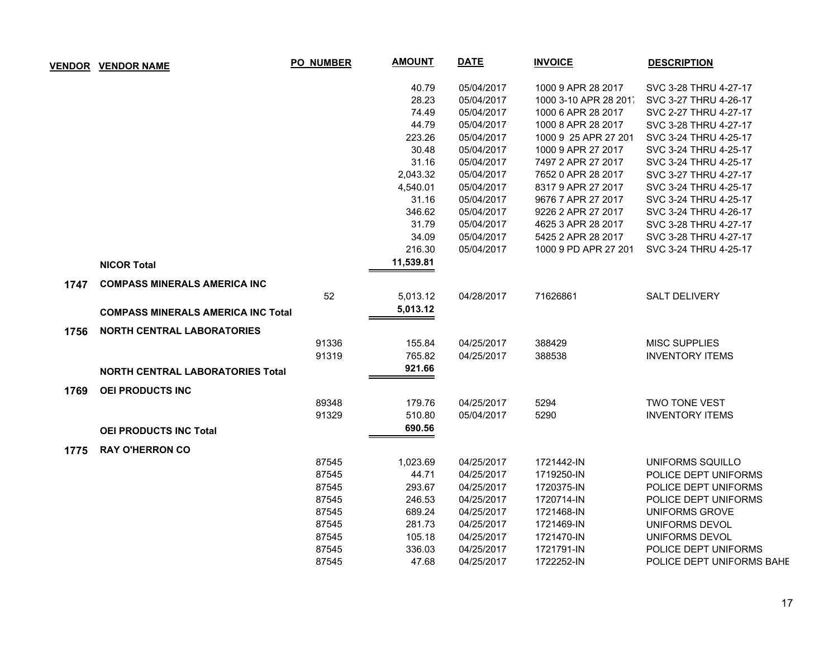| <b>VENDOR</b> | <b>VENDOR NAME</b>                        | <b>PO_NUMBER</b> | <b>AMOUNT</b> | <b>DATE</b> | <b>INVOICE</b>        | <b>DESCRIPTION</b>        |
|---------------|-------------------------------------------|------------------|---------------|-------------|-----------------------|---------------------------|
|               |                                           |                  | 40.79         | 05/04/2017  | 1000 9 APR 28 2017    | SVC 3-28 THRU 4-27-17     |
|               |                                           |                  | 28.23         | 05/04/2017  | 1000 3-10 APR 28 201. | SVC 3-27 THRU 4-26-17     |
|               |                                           |                  | 74.49         | 05/04/2017  | 1000 6 APR 28 2017    | SVC 2-27 THRU 4-27-17     |
|               |                                           |                  | 44.79         | 05/04/2017  | 1000 8 APR 28 2017    | SVC 3-28 THRU 4-27-17     |
|               |                                           |                  | 223.26        | 05/04/2017  | 1000 9 25 APR 27 201  | SVC 3-24 THRU 4-25-17     |
|               |                                           |                  | 30.48         | 05/04/2017  | 1000 9 APR 27 2017    | SVC 3-24 THRU 4-25-17     |
|               |                                           |                  | 31.16         | 05/04/2017  | 7497 2 APR 27 2017    | SVC 3-24 THRU 4-25-17     |
|               |                                           |                  | 2,043.32      | 05/04/2017  | 7652 0 APR 28 2017    | SVC 3-27 THRU 4-27-17     |
|               |                                           |                  | 4,540.01      | 05/04/2017  | 8317 9 APR 27 2017    | SVC 3-24 THRU 4-25-17     |
|               |                                           |                  | 31.16         | 05/04/2017  | 9676 7 APR 27 2017    | SVC 3-24 THRU 4-25-17     |
|               |                                           |                  | 346.62        | 05/04/2017  | 9226 2 APR 27 2017    | SVC 3-24 THRU 4-26-17     |
|               |                                           |                  | 31.79         | 05/04/2017  | 4625 3 APR 28 2017    | SVC 3-28 THRU 4-27-17     |
|               |                                           |                  | 34.09         | 05/04/2017  | 5425 2 APR 28 2017    | SVC 3-28 THRU 4-27-17     |
|               |                                           |                  | 216.30        | 05/04/2017  | 1000 9 PD APR 27 201  | SVC 3-24 THRU 4-25-17     |
|               | <b>NICOR Total</b>                        |                  | 11,539.81     |             |                       |                           |
| 1747          | <b>COMPASS MINERALS AMERICA INC</b>       |                  |               |             |                       |                           |
|               |                                           | 52               | 5,013.12      | 04/28/2017  | 71626861              | <b>SALT DELIVERY</b>      |
|               | <b>COMPASS MINERALS AMERICA INC Total</b> |                  | 5,013.12      |             |                       |                           |
| 1756          | <b>NORTH CENTRAL LABORATORIES</b>         |                  |               |             |                       |                           |
|               |                                           | 91336            | 155.84        | 04/25/2017  | 388429                | <b>MISC SUPPLIES</b>      |
|               |                                           | 91319            | 765.82        | 04/25/2017  | 388538                | <b>INVENTORY ITEMS</b>    |
|               | <b>NORTH CENTRAL LABORATORIES Total</b>   |                  | 921.66        |             |                       |                           |
| 1769          | <b>OEI PRODUCTS INC</b>                   |                  |               |             |                       |                           |
|               |                                           | 89348            | 179.76        | 04/25/2017  | 5294                  | TWO TONE VEST             |
|               |                                           | 91329            | 510.80        | 05/04/2017  | 5290                  | <b>INVENTORY ITEMS</b>    |
|               | <b>OEI PRODUCTS INC Total</b>             |                  | 690.56        |             |                       |                           |
| 1775          | <b>RAY O'HERRON CO</b>                    |                  |               |             |                       |                           |
|               |                                           | 87545            | 1,023.69      | 04/25/2017  | 1721442-IN            | UNIFORMS SQUILLO          |
|               |                                           | 87545            | 44.71         | 04/25/2017  | 1719250-IN            | POLICE DEPT UNIFORMS      |
|               |                                           | 87545            | 293.67        | 04/25/2017  | 1720375-IN            | POLICE DEPT UNIFORMS      |
|               |                                           | 87545            | 246.53        | 04/25/2017  | 1720714-IN            | POLICE DEPT UNIFORMS      |
|               |                                           | 87545            | 689.24        | 04/25/2017  | 1721468-IN            | <b>UNIFORMS GROVE</b>     |
|               |                                           | 87545            | 281.73        | 04/25/2017  | 1721469-IN            | UNIFORMS DEVOL            |
|               |                                           | 87545            | 105.18        | 04/25/2017  | 1721470-IN            | <b>UNIFORMS DEVOL</b>     |
|               |                                           | 87545            | 336.03        | 04/25/2017  | 1721791-IN            | POLICE DEPT UNIFORMS      |
|               |                                           | 87545            | 47.68         | 04/25/2017  | 1722252-IN            | POLICE DEPT UNIFORMS BAHE |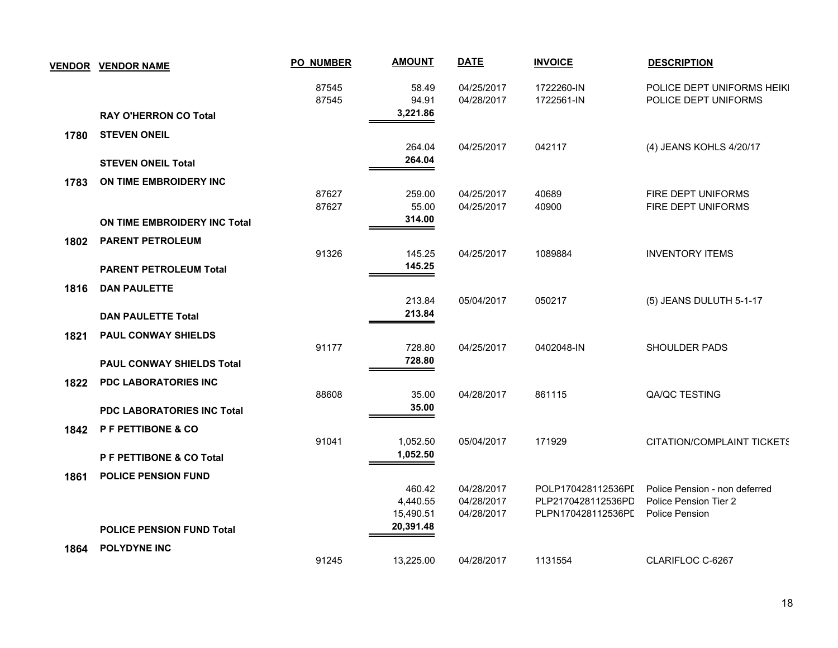|      | <b>VENDOR VENDOR NAME</b>           | <b>PO_NUMBER</b> | <b>AMOUNT</b>                   | <b>DATE</b>                            | <b>INVOICE</b>                                                 | <b>DESCRIPTION</b>                                                       |
|------|-------------------------------------|------------------|---------------------------------|----------------------------------------|----------------------------------------------------------------|--------------------------------------------------------------------------|
|      |                                     | 87545<br>87545   | 58.49<br>94.91                  | 04/25/2017<br>04/28/2017               | 1722260-IN<br>1722561-IN                                       | POLICE DEPT UNIFORMS HEIKI<br>POLICE DEPT UNIFORMS                       |
|      | <b>RAY O'HERRON CO Total</b>        |                  | 3,221.86                        |                                        |                                                                |                                                                          |
| 1780 | <b>STEVEN ONEIL</b>                 |                  |                                 |                                        |                                                                |                                                                          |
|      | <b>STEVEN ONEIL Total</b>           |                  | 264.04<br>264.04                | 04/25/2017                             | 042117                                                         | (4) JEANS KOHLS 4/20/17                                                  |
| 1783 | ON TIME EMBROIDERY INC              |                  |                                 |                                        |                                                                |                                                                          |
|      |                                     | 87627<br>87627   | 259.00<br>55.00<br>314.00       | 04/25/2017<br>04/25/2017               | 40689<br>40900                                                 | FIRE DEPT UNIFORMS<br>FIRE DEPT UNIFORMS                                 |
|      | <b>ON TIME EMBROIDERY INC Total</b> |                  |                                 |                                        |                                                                |                                                                          |
| 1802 | <b>PARENT PETROLEUM</b>             | 91326            | 145.25<br>145.25                | 04/25/2017                             | 1089884                                                        | <b>INVENTORY ITEMS</b>                                                   |
|      | <b>PARENT PETROLEUM Total</b>       |                  |                                 |                                        |                                                                |                                                                          |
| 1816 | <b>DAN PAULETTE</b>                 |                  | 213.84                          | 05/04/2017                             | 050217                                                         | (5) JEANS DULUTH 5-1-17                                                  |
|      | <b>DAN PAULETTE Total</b>           |                  | 213.84                          |                                        |                                                                |                                                                          |
| 1821 | <b>PAUL CONWAY SHIELDS</b>          | 91177            | 728.80                          | 04/25/2017                             | 0402048-IN                                                     | <b>SHOULDER PADS</b>                                                     |
|      | PAUL CONWAY SHIELDS Total           |                  | 728.80                          |                                        |                                                                |                                                                          |
| 1822 | PDC LABORATORIES INC                | 88608            | 35.00                           | 04/28/2017                             | 861115                                                         | QA/QC TESTING                                                            |
|      | <b>PDC LABORATORIES INC Total</b>   |                  | 35.00                           |                                        |                                                                |                                                                          |
| 1842 | P F PETTIBONE & CO                  | 91041            | 1,052.50                        | 05/04/2017                             | 171929                                                         | CITATION/COMPLAINT TICKETS                                               |
|      | P F PETTIBONE & CO Total            |                  | 1,052.50                        |                                        |                                                                |                                                                          |
| 1861 | <b>POLICE PENSION FUND</b>          |                  |                                 |                                        |                                                                |                                                                          |
|      |                                     |                  | 460.42<br>4,440.55<br>15,490.51 | 04/28/2017<br>04/28/2017<br>04/28/2017 | POLP170428112536PI<br>PLP2170428112536PD<br>PLPN170428112536PD | Police Pension - non deferred<br>Police Pension Tier 2<br>Police Pension |
|      | <b>POLICE PENSION FUND Total</b>    |                  | 20,391.48                       |                                        |                                                                |                                                                          |
| 1864 | POLYDYNE INC                        | 91245            | 13,225.00                       | 04/28/2017                             | 1131554                                                        | CLARIFLOC C-6267                                                         |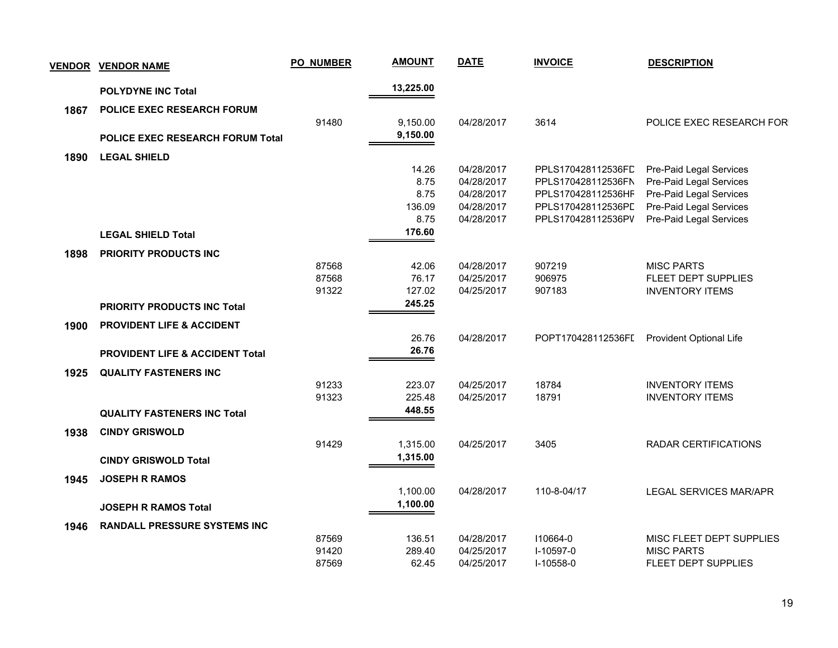| <b>VENDOR</b> | <b>VENDOR NAME</b>                         | <b>PO_NUMBER</b> | <b>AMOUNT</b> | <b>DATE</b> | <b>INVOICE</b>     | <b>DESCRIPTION</b>                                 |
|---------------|--------------------------------------------|------------------|---------------|-------------|--------------------|----------------------------------------------------|
|               | <b>POLYDYNE INC Total</b>                  |                  | 13,225.00     |             |                    |                                                    |
| 1867          | POLICE EXEC RESEARCH FORUM                 |                  |               |             |                    |                                                    |
|               |                                            | 91480            | 9,150.00      | 04/28/2017  | 3614               | POLICE EXEC RESEARCH FOR                           |
|               | <b>POLICE EXEC RESEARCH FORUM Total</b>    |                  | 9,150.00      |             |                    |                                                    |
|               |                                            |                  |               |             |                    |                                                    |
| 1890          | <b>LEGAL SHIELD</b>                        |                  | 14.26         | 04/28/2017  | PPLS170428112536FD |                                                    |
|               |                                            |                  | 8.75          | 04/28/2017  | PPLS170428112536FN | Pre-Paid Legal Services<br>Pre-Paid Legal Services |
|               |                                            |                  | 8.75          | 04/28/2017  | PPLS170428112536HF | Pre-Paid Legal Services                            |
|               |                                            |                  | 136.09        | 04/28/2017  | PPLS170428112536PL | Pre-Paid Legal Services                            |
|               |                                            |                  | 8.75          | 04/28/2017  | PPLS170428112536PV | Pre-Paid Legal Services                            |
|               | <b>LEGAL SHIELD Total</b>                  |                  | 176.60        |             |                    |                                                    |
| 1898          | <b>PRIORITY PRODUCTS INC</b>               |                  |               |             |                    |                                                    |
|               |                                            | 87568            | 42.06         | 04/28/2017  | 907219             | <b>MISC PARTS</b>                                  |
|               |                                            | 87568            | 76.17         | 04/25/2017  | 906975             | FLEET DEPT SUPPLIES                                |
|               |                                            | 91322            | 127.02        | 04/25/2017  | 907183             | <b>INVENTORY ITEMS</b>                             |
|               | <b>PRIORITY PRODUCTS INC Total</b>         |                  | 245.25        |             |                    |                                                    |
| 1900          | <b>PROVIDENT LIFE &amp; ACCIDENT</b>       |                  |               |             |                    |                                                    |
|               |                                            |                  | 26.76         | 04/28/2017  | POPT170428112536FI | <b>Provident Optional Life</b>                     |
|               | <b>PROVIDENT LIFE &amp; ACCIDENT Total</b> |                  | 26.76         |             |                    |                                                    |
| 1925          | <b>QUALITY FASTENERS INC</b>               |                  |               |             |                    |                                                    |
|               |                                            | 91233            | 223.07        | 04/25/2017  | 18784              | <b>INVENTORY ITEMS</b>                             |
|               |                                            | 91323            | 225.48        | 04/25/2017  | 18791              | <b>INVENTORY ITEMS</b>                             |
|               | <b>QUALITY FASTENERS INC Total</b>         |                  | 448.55        |             |                    |                                                    |
| 1938          | <b>CINDY GRISWOLD</b>                      |                  |               |             |                    |                                                    |
|               |                                            | 91429            | 1,315.00      | 04/25/2017  | 3405               | <b>RADAR CERTIFICATIONS</b>                        |
|               | <b>CINDY GRISWOLD Total</b>                |                  | 1,315.00      |             |                    |                                                    |
| 1945          | <b>JOSEPH R RAMOS</b>                      |                  |               |             |                    |                                                    |
|               |                                            |                  | 1,100.00      | 04/28/2017  | 110-8-04/17        | LEGAL SERVICES MAR/APR                             |
|               | <b>JOSEPH R RAMOS Total</b>                |                  | 1,100.00      |             |                    |                                                    |
|               | <b>RANDALL PRESSURE SYSTEMS INC</b>        |                  |               |             |                    |                                                    |
| 1946          |                                            | 87569            | 136.51        | 04/28/2017  | 110664-0           | MISC FLEET DEPT SUPPLIES                           |
|               |                                            | 91420            | 289.40        | 04/25/2017  | I-10597-0          | <b>MISC PARTS</b>                                  |
|               |                                            | 87569            | 62.45         | 04/25/2017  | I-10558-0          | FLEET DEPT SUPPLIES                                |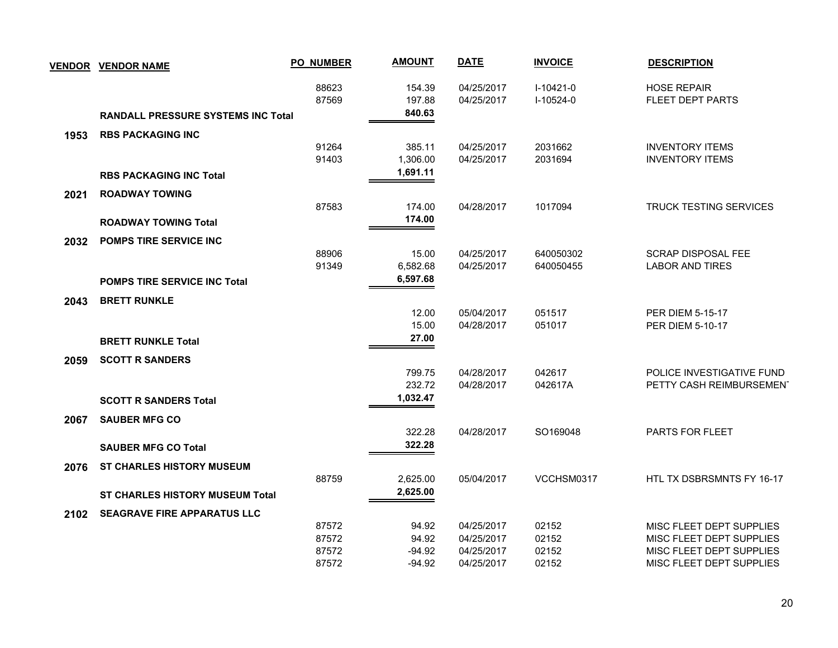|      | <b>VENDOR VENDOR NAME</b>                 | <b>PO_NUMBER</b> | <b>AMOUNT</b> | <b>DATE</b> | <b>INVOICE</b> | <b>DESCRIPTION</b>            |
|------|-------------------------------------------|------------------|---------------|-------------|----------------|-------------------------------|
|      |                                           | 88623            | 154.39        | 04/25/2017  | $I-10421-0$    | <b>HOSE REPAIR</b>            |
|      |                                           | 87569            | 197.88        | 04/25/2017  | $I-10524-0$    | FLEET DEPT PARTS              |
|      | <b>RANDALL PRESSURE SYSTEMS INC Total</b> |                  | 840.63        |             |                |                               |
| 1953 | <b>RBS PACKAGING INC</b>                  |                  |               |             |                |                               |
|      |                                           | 91264            | 385.11        | 04/25/2017  | 2031662        | <b>INVENTORY ITEMS</b>        |
|      |                                           | 91403            | 1,306.00      | 04/25/2017  | 2031694        | <b>INVENTORY ITEMS</b>        |
|      | <b>RBS PACKAGING INC Total</b>            |                  | 1,691.11      |             |                |                               |
| 2021 | <b>ROADWAY TOWING</b>                     |                  |               |             |                |                               |
|      |                                           | 87583            | 174.00        | 04/28/2017  | 1017094        | <b>TRUCK TESTING SERVICES</b> |
|      | <b>ROADWAY TOWING Total</b>               |                  | 174.00        |             |                |                               |
| 2032 | <b>POMPS TIRE SERVICE INC.</b>            |                  |               |             |                |                               |
|      |                                           | 88906            | 15.00         | 04/25/2017  | 640050302      | <b>SCRAP DISPOSAL FEE</b>     |
|      |                                           | 91349            | 6,582.68      | 04/25/2017  | 640050455      | <b>LABOR AND TIRES</b>        |
|      | <b>POMPS TIRE SERVICE INC Total</b>       |                  | 6,597.68      |             |                |                               |
| 2043 | <b>BRETT RUNKLE</b>                       |                  |               |             |                |                               |
|      |                                           |                  | 12.00         | 05/04/2017  | 051517         | PER DIEM 5-15-17              |
|      |                                           |                  | 15.00         | 04/28/2017  | 051017         | <b>PER DIEM 5-10-17</b>       |
|      | <b>BRETT RUNKLE Total</b>                 |                  | 27.00         |             |                |                               |
| 2059 | <b>SCOTT R SANDERS</b>                    |                  |               |             |                |                               |
|      |                                           |                  | 799.75        | 04/28/2017  | 042617         | POLICE INVESTIGATIVE FUND     |
|      |                                           |                  | 232.72        | 04/28/2017  | 042617A        | PETTY CASH REIMBURSEMENT      |
|      | <b>SCOTT R SANDERS Total</b>              |                  | 1,032.47      |             |                |                               |
| 2067 | <b>SAUBER MFG CO</b>                      |                  |               |             |                |                               |
|      |                                           |                  | 322.28        | 04/28/2017  | SO169048       | PARTS FOR FLEET               |
|      | <b>SAUBER MFG CO Total</b>                |                  | 322.28        |             |                |                               |
| 2076 | <b>ST CHARLES HISTORY MUSEUM</b>          |                  |               |             |                |                               |
|      |                                           | 88759            | 2,625.00      | 05/04/2017  | VCCHSM0317     | HTL TX DSBRSMNTS FY 16-17     |
|      | ST CHARLES HISTORY MUSEUM Total           |                  | 2,625.00      |             |                |                               |
| 2102 | <b>SEAGRAVE FIRE APPARATUS LLC</b>        |                  |               |             |                |                               |
|      |                                           | 87572            | 94.92         | 04/25/2017  | 02152          | MISC FLEET DEPT SUPPLIES      |
|      |                                           | 87572            | 94.92         | 04/25/2017  | 02152          | MISC FLEET DEPT SUPPLIES      |
|      |                                           | 87572            | -94.92        | 04/25/2017  | 02152          | MISC FLEET DEPT SUPPLIES      |
|      |                                           | 87572            | $-94.92$      | 04/25/2017  | 02152          | MISC FLEET DEPT SUPPLIES      |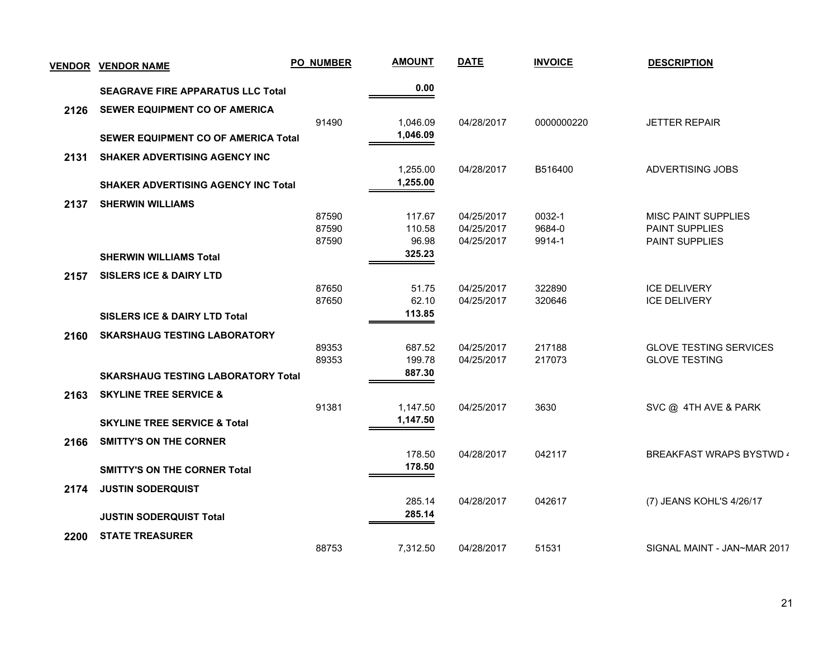| <b>VENDOR</b> | <b>VENDOR NAME</b>                         | <b>PO_NUMBER</b> | <b>AMOUNT</b> | <b>DATE</b> | <b>INVOICE</b> | <b>DESCRIPTION</b>              |
|---------------|--------------------------------------------|------------------|---------------|-------------|----------------|---------------------------------|
|               | <b>SEAGRAVE FIRE APPARATUS LLC Total</b>   |                  | 0.00          |             |                |                                 |
| 2126          | <b>SEWER EQUIPMENT CO OF AMERICA</b>       |                  |               |             |                |                                 |
|               |                                            | 91490            | 1,046.09      | 04/28/2017  | 0000000220     | <b>JETTER REPAIR</b>            |
|               | <b>SEWER EQUIPMENT CO OF AMERICA Total</b> |                  | 1,046.09      |             |                |                                 |
| 2131          | <b>SHAKER ADVERTISING AGENCY INC</b>       |                  |               |             |                |                                 |
|               |                                            |                  | 1,255.00      | 04/28/2017  | B516400        | ADVERTISING JOBS                |
|               | <b>SHAKER ADVERTISING AGENCY INC Total</b> |                  | 1,255.00      |             |                |                                 |
| 2137          | <b>SHERWIN WILLIAMS</b>                    |                  |               |             |                |                                 |
|               |                                            | 87590            | 117.67        | 04/25/2017  | 0032-1         | <b>MISC PAINT SUPPLIES</b>      |
|               |                                            | 87590            | 110.58        | 04/25/2017  | 9684-0         | <b>PAINT SUPPLIES</b>           |
|               |                                            | 87590            | 96.98         | 04/25/2017  | 9914-1         | <b>PAINT SUPPLIES</b>           |
|               | <b>SHERWIN WILLIAMS Total</b>              |                  | 325.23        |             |                |                                 |
| 2157          | <b>SISLERS ICE &amp; DAIRY LTD</b>         |                  |               |             |                |                                 |
|               |                                            | 87650            | 51.75         | 04/25/2017  | 322890         | <b>ICE DELIVERY</b>             |
|               |                                            | 87650            | 62.10         | 04/25/2017  | 320646         | <b>ICE DELIVERY</b>             |
|               | <b>SISLERS ICE &amp; DAIRY LTD Total</b>   |                  | 113.85        |             |                |                                 |
| 2160          | <b>SKARSHAUG TESTING LABORATORY</b>        |                  |               |             |                |                                 |
|               |                                            | 89353            | 687.52        | 04/25/2017  | 217188         | <b>GLOVE TESTING SERVICES</b>   |
|               |                                            | 89353            | 199.78        | 04/25/2017  | 217073         | <b>GLOVE TESTING</b>            |
|               | <b>SKARSHAUG TESTING LABORATORY Total</b>  |                  | 887.30        |             |                |                                 |
| 2163          | <b>SKYLINE TREE SERVICE &amp;</b>          |                  |               |             |                |                                 |
|               |                                            | 91381            | 1,147.50      | 04/25/2017  | 3630           | SVC @ 4TH AVE & PARK            |
|               | <b>SKYLINE TREE SERVICE &amp; Total</b>    |                  | 1,147.50      |             |                |                                 |
| 2166          | <b>SMITTY'S ON THE CORNER</b>              |                  |               |             |                |                                 |
|               |                                            |                  | 178.50        | 04/28/2017  | 042117         | <b>BREAKFAST WRAPS BYSTWD 4</b> |
|               | <b>SMITTY'S ON THE CORNER Total</b>        |                  | 178.50        |             |                |                                 |
| 2174          | <b>JUSTIN SODERQUIST</b>                   |                  |               |             |                |                                 |
|               |                                            |                  | 285.14        | 04/28/2017  | 042617         | (7) JEANS KOHL'S 4/26/17        |
|               | <b>JUSTIN SODERQUIST Total</b>             |                  | 285.14        |             |                |                                 |
| 2200          | <b>STATE TREASURER</b>                     |                  |               |             |                |                                 |
|               |                                            | 88753            | 7,312.50      | 04/28/2017  | 51531          | SIGNAL MAINT - JAN~MAR 2017     |
|               |                                            |                  |               |             |                |                                 |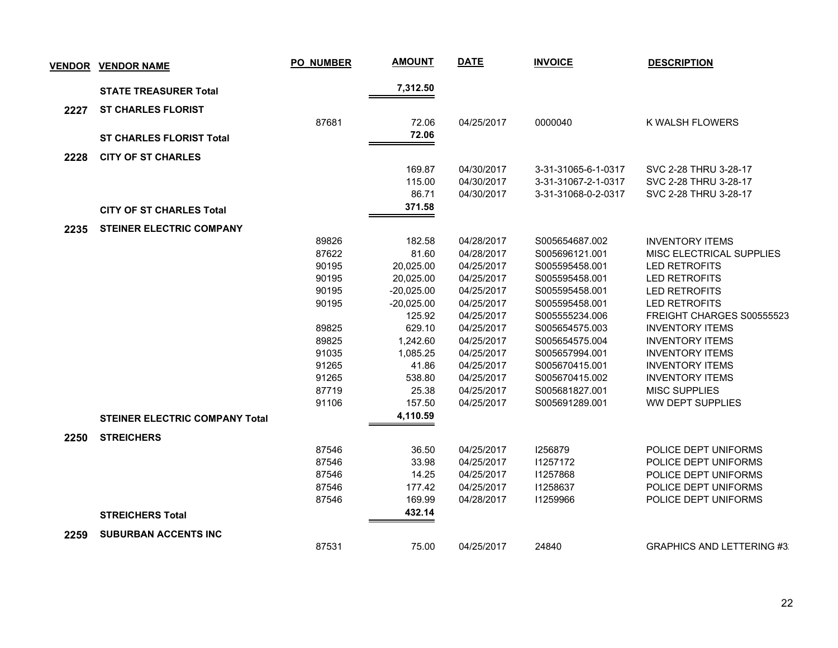| <b>VENDOR</b> | <b>VENDOR NAME</b>                    | <b>PO_NUMBER</b> | <b>AMOUNT</b>   | <b>DATE</b>              | <b>INVOICE</b>                             | <b>DESCRIPTION</b>                             |
|---------------|---------------------------------------|------------------|-----------------|--------------------------|--------------------------------------------|------------------------------------------------|
|               | <b>STATE TREASURER Total</b>          |                  | 7,312.50        |                          |                                            |                                                |
| 2227          | <b>ST CHARLES FLORIST</b>             |                  |                 |                          |                                            |                                                |
|               |                                       | 87681            | 72.06           | 04/25/2017               | 0000040                                    | K WALSH FLOWERS                                |
|               | <b>ST CHARLES FLORIST Total</b>       |                  | 72.06           |                          |                                            |                                                |
|               |                                       |                  |                 |                          |                                            |                                                |
| 2228          | <b>CITY OF ST CHARLES</b>             |                  |                 |                          |                                            |                                                |
|               |                                       |                  | 169.87          | 04/30/2017               | 3-31-31065-6-1-0317                        | SVC 2-28 THRU 3-28-17                          |
|               |                                       |                  | 115.00<br>86.71 | 04/30/2017<br>04/30/2017 | 3-31-31067-2-1-0317<br>3-31-31068-0-2-0317 | SVC 2-28 THRU 3-28-17<br>SVC 2-28 THRU 3-28-17 |
|               |                                       |                  | 371.58          |                          |                                            |                                                |
|               | <b>CITY OF ST CHARLES Total</b>       |                  |                 |                          |                                            |                                                |
| 2235          | <b>STEINER ELECTRIC COMPANY</b>       |                  |                 |                          |                                            |                                                |
|               |                                       | 89826            | 182.58          | 04/28/2017               | S005654687.002                             | <b>INVENTORY ITEMS</b>                         |
|               |                                       | 87622            | 81.60           | 04/28/2017               | S005696121.001                             | MISC ELECTRICAL SUPPLIES                       |
|               |                                       | 90195            | 20,025.00       | 04/25/2017               | S005595458.001                             | LED RETROFITS                                  |
|               |                                       | 90195            | 20,025.00       | 04/25/2017               | S005595458.001                             | <b>LED RETROFITS</b>                           |
|               |                                       | 90195            | $-20,025.00$    | 04/25/2017               | S005595458.001                             | <b>LED RETROFITS</b>                           |
|               |                                       | 90195            | $-20,025.00$    | 04/25/2017               | S005595458.001                             | <b>LED RETROFITS</b>                           |
|               |                                       |                  | 125.92          | 04/25/2017               | S005555234.006                             | FREIGHT CHARGES S00555523                      |
|               |                                       | 89825            | 629.10          | 04/25/2017               | S005654575.003                             | <b>INVENTORY ITEMS</b>                         |
|               |                                       | 89825            | 1,242.60        | 04/25/2017               | S005654575.004                             | <b>INVENTORY ITEMS</b>                         |
|               |                                       | 91035            | 1,085.25        | 04/25/2017               | S005657994.001                             | <b>INVENTORY ITEMS</b>                         |
|               |                                       | 91265            | 41.86           | 04/25/2017               | S005670415.001                             | <b>INVENTORY ITEMS</b>                         |
|               |                                       | 91265            | 538.80          | 04/25/2017               | S005670415.002                             | <b>INVENTORY ITEMS</b>                         |
|               |                                       | 87719            | 25.38           | 04/25/2017               | S005681827.001                             | <b>MISC SUPPLIES</b>                           |
|               |                                       | 91106            | 157.50          | 04/25/2017               | S005691289.001                             | <b>WW DEPT SUPPLIES</b>                        |
|               | <b>STEINER ELECTRIC COMPANY Total</b> |                  | 4,110.59        |                          |                                            |                                                |
| 2250          | <b>STREICHERS</b>                     |                  |                 |                          |                                            |                                                |
|               |                                       | 87546            | 36.50           | 04/25/2017               | 1256879                                    | POLICE DEPT UNIFORMS                           |
|               |                                       | 87546            | 33.98           | 04/25/2017               | 11257172                                   | POLICE DEPT UNIFORMS                           |
|               |                                       | 87546            | 14.25           | 04/25/2017               | 11257868                                   | POLICE DEPT UNIFORMS                           |
|               |                                       | 87546            | 177.42          | 04/25/2017               | 11258637                                   | POLICE DEPT UNIFORMS                           |
|               |                                       | 87546            | 169.99          | 04/28/2017               | 11259966                                   | POLICE DEPT UNIFORMS                           |
|               | <b>STREICHERS Total</b>               |                  | 432.14          |                          |                                            |                                                |
|               |                                       |                  |                 |                          |                                            |                                                |
| 2259          | <b>SUBURBAN ACCENTS INC</b>           | 87531            | 75.00           | 04/25/2017               | 24840                                      | <b>GRAPHICS AND LETTERING #3:</b>              |
|               |                                       |                  |                 |                          |                                            |                                                |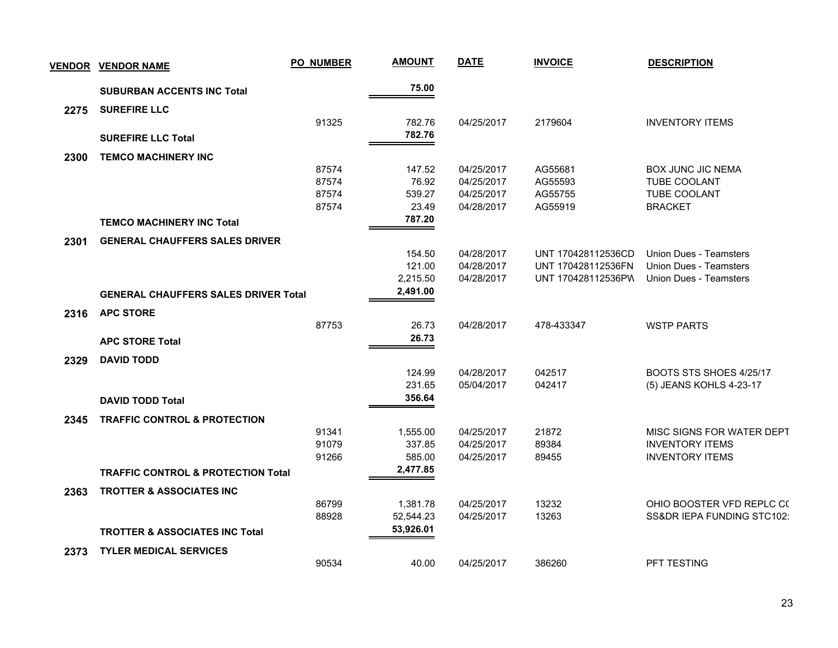|      | <u>VENDOR VENDOR NAME</u>                     | <b>PO_NUMBER</b> | <b>AMOUNT</b> | <b>DATE</b> | <b>INVOICE</b>     | <b>DESCRIPTION</b>            |
|------|-----------------------------------------------|------------------|---------------|-------------|--------------------|-------------------------------|
|      | <b>SUBURBAN ACCENTS INC Total</b>             |                  | 75.00         |             |                    |                               |
| 2275 | <b>SUREFIRE LLC</b>                           |                  |               |             |                    |                               |
|      |                                               | 91325            | 782.76        | 04/25/2017  | 2179604            | <b>INVENTORY ITEMS</b>        |
|      | <b>SUREFIRE LLC Total</b>                     |                  | 782.76        |             |                    |                               |
|      | <b>TEMCO MACHINERY INC</b>                    |                  |               |             |                    |                               |
| 2300 |                                               | 87574            | 147.52        | 04/25/2017  | AG55681            | <b>BOX JUNC JIC NEMA</b>      |
|      |                                               | 87574            | 76.92         | 04/25/2017  | AG55593            | TUBE COOLANT                  |
|      |                                               | 87574            | 539.27        | 04/25/2017  | AG55755            | TUBE COOLANT                  |
|      |                                               | 87574            | 23.49         | 04/28/2017  | AG55919            | <b>BRACKET</b>                |
|      | <b>TEMCO MACHINERY INC Total</b>              |                  | 787.20        |             |                    |                               |
| 2301 | <b>GENERAL CHAUFFERS SALES DRIVER</b>         |                  |               |             |                    |                               |
|      |                                               |                  | 154.50        | 04/28/2017  | UNT 170428112536CD | Union Dues - Teamsters        |
|      |                                               |                  | 121.00        | 04/28/2017  | UNT 170428112536FN | <b>Union Dues - Teamsters</b> |
|      |                                               |                  | 2,215.50      | 04/28/2017  | UNT 170428112536PW | <b>Union Dues - Teamsters</b> |
|      | <b>GENERAL CHAUFFERS SALES DRIVER Total</b>   |                  | 2,491.00      |             |                    |                               |
| 2316 | <b>APC STORE</b>                              |                  |               |             |                    |                               |
|      |                                               | 87753            | 26.73         | 04/28/2017  | 478-433347         | <b>WSTP PARTS</b>             |
|      | <b>APC STORE Total</b>                        |                  | 26.73         |             |                    |                               |
| 2329 | <b>DAVID TODD</b>                             |                  |               |             |                    |                               |
|      |                                               |                  | 124.99        | 04/28/2017  | 042517             | BOOTS STS SHOES 4/25/17       |
|      |                                               |                  | 231.65        | 05/04/2017  | 042417             | (5) JEANS KOHLS 4-23-17       |
|      | <b>DAVID TODD Total</b>                       |                  | 356.64        |             |                    |                               |
| 2345 | <b>TRAFFIC CONTROL &amp; PROTECTION</b>       |                  |               |             |                    |                               |
|      |                                               | 91341            | 1,555.00      | 04/25/2017  | 21872              | MISC SIGNS FOR WATER DEPT     |
|      |                                               | 91079            | 337.85        | 04/25/2017  | 89384              | <b>INVENTORY ITEMS</b>        |
|      |                                               | 91266            | 585.00        | 04/25/2017  | 89455              | <b>INVENTORY ITEMS</b>        |
|      | <b>TRAFFIC CONTROL &amp; PROTECTION Total</b> |                  | 2,477.85      |             |                    |                               |
| 2363 | <b>TROTTER &amp; ASSOCIATES INC</b>           |                  |               |             |                    |                               |
|      |                                               | 86799            | 1,381.78      | 04/25/2017  | 13232              | OHIO BOOSTER VFD REPLC C(     |
|      |                                               | 88928            | 52,544.23     | 04/25/2017  | 13263              | SS&DR IEPA FUNDING STC102:    |
|      | <b>TROTTER &amp; ASSOCIATES INC Total</b>     |                  | 53,926.01     |             |                    |                               |
| 2373 | <b>TYLER MEDICAL SERVICES</b>                 |                  |               |             |                    |                               |
|      |                                               | 90534            | 40.00         | 04/25/2017  | 386260             | <b>PFT TESTING</b>            |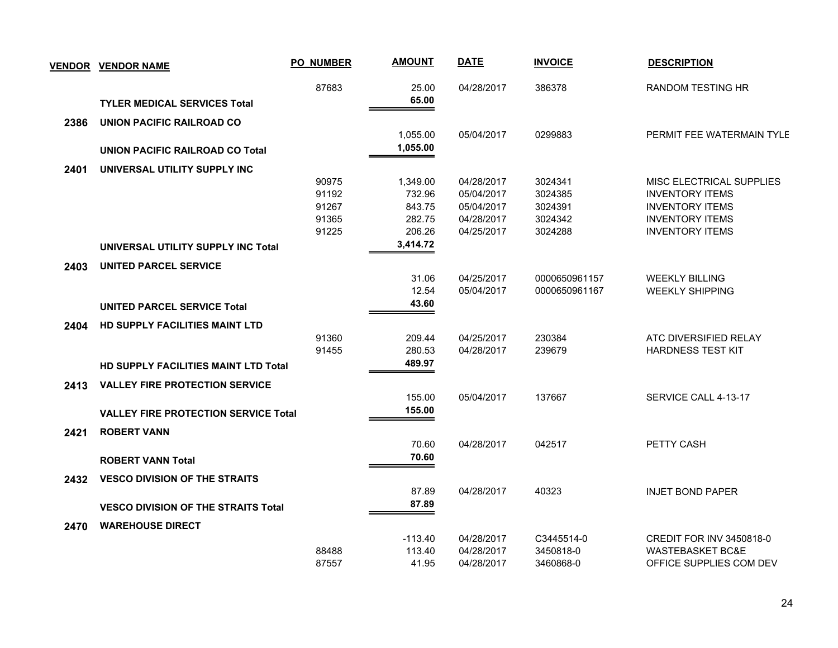|      | <b>VENDOR VENDOR NAME</b>                   | <b>PO_NUMBER</b> | <b>AMOUNT</b> | <b>DATE</b> | <b>INVOICE</b> | <b>DESCRIPTION</b>          |
|------|---------------------------------------------|------------------|---------------|-------------|----------------|-----------------------------|
|      |                                             | 87683            | 25.00         | 04/28/2017  | 386378         | <b>RANDOM TESTING HR</b>    |
|      | <b>TYLER MEDICAL SERVICES Total</b>         |                  | 65.00         |             |                |                             |
| 2386 | UNION PACIFIC RAILROAD CO                   |                  |               |             |                |                             |
|      |                                             |                  | 1,055.00      | 05/04/2017  | 0299883        | PERMIT FEE WATERMAIN TYLE   |
|      | UNION PACIFIC RAILROAD CO Total             |                  | 1,055.00      |             |                |                             |
| 2401 | UNIVERSAL UTILITY SUPPLY INC                |                  |               |             |                |                             |
|      |                                             | 90975            | 1,349.00      | 04/28/2017  | 3024341        | MISC ELECTRICAL SUPPLIES    |
|      |                                             | 91192            | 732.96        | 05/04/2017  | 3024385        | <b>INVENTORY ITEMS</b>      |
|      |                                             | 91267            | 843.75        | 05/04/2017  | 3024391        | <b>INVENTORY ITEMS</b>      |
|      |                                             | 91365            | 282.75        | 04/28/2017  | 3024342        | <b>INVENTORY ITEMS</b>      |
|      |                                             | 91225            | 206.26        | 04/25/2017  | 3024288        | <b>INVENTORY ITEMS</b>      |
|      | UNIVERSAL UTILITY SUPPLY INC Total          |                  | 3,414.72      |             |                |                             |
| 2403 | <b>UNITED PARCEL SERVICE</b>                |                  |               |             |                |                             |
|      |                                             |                  | 31.06         | 04/25/2017  | 0000650961157  | <b>WEEKLY BILLING</b>       |
|      |                                             |                  | 12.54         | 05/04/2017  | 0000650961167  | <b>WEEKLY SHIPPING</b>      |
|      | <b>UNITED PARCEL SERVICE Total</b>          |                  | 43.60         |             |                |                             |
| 2404 | <b>HD SUPPLY FACILITIES MAINT LTD</b>       |                  |               |             |                |                             |
|      |                                             | 91360            | 209.44        | 04/25/2017  | 230384         | ATC DIVERSIFIED RELAY       |
|      |                                             | 91455            | 280.53        | 04/28/2017  | 239679         | <b>HARDNESS TEST KIT</b>    |
|      | <b>HD SUPPLY FACILITIES MAINT LTD Total</b> |                  | 489.97        |             |                |                             |
| 2413 | <b>VALLEY FIRE PROTECTION SERVICE</b>       |                  |               |             |                |                             |
|      |                                             |                  | 155.00        | 05/04/2017  | 137667         | SERVICE CALL 4-13-17        |
|      | <b>VALLEY FIRE PROTECTION SERVICE Total</b> |                  | 155.00        |             |                |                             |
| 2421 | <b>ROBERT VANN</b>                          |                  |               |             |                |                             |
|      |                                             |                  | 70.60         | 04/28/2017  | 042517         | PETTY CASH                  |
|      | <b>ROBERT VANN Total</b>                    |                  | 70.60         |             |                |                             |
| 2432 | <b>VESCO DIVISION OF THE STRAITS</b>        |                  |               |             |                |                             |
|      |                                             |                  | 87.89         | 04/28/2017  | 40323          | <b>INJET BOND PAPER</b>     |
|      | <b>VESCO DIVISION OF THE STRAITS Total</b>  |                  | 87.89         |             |                |                             |
| 2470 | <b>WAREHOUSE DIRECT</b>                     |                  |               |             |                |                             |
|      |                                             |                  | $-113.40$     | 04/28/2017  | C3445514-0     | CREDIT FOR INV 3450818-0    |
|      |                                             | 88488            | 113.40        | 04/28/2017  | 3450818-0      | <b>WASTEBASKET BC&amp;E</b> |
|      |                                             | 87557            | 41.95         | 04/28/2017  | 3460868-0      | OFFICE SUPPLIES COM DEV     |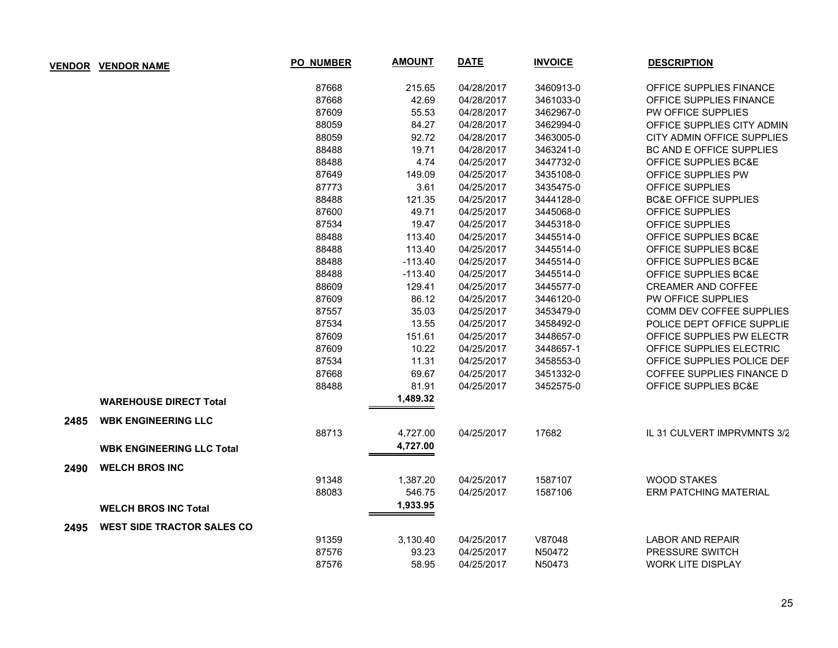|      | <b>VENDOR VENDOR NAME</b>         | <b>PO_NUMBER</b> | <b>AMOUNT</b> | <b>DATE</b> | <b>INVOICE</b> | <b>DESCRIPTION</b>              |
|------|-----------------------------------|------------------|---------------|-------------|----------------|---------------------------------|
|      |                                   | 87668            | 215.65        | 04/28/2017  | 3460913-0      | OFFICE SUPPLIES FINANCE         |
|      |                                   | 87668            | 42.69         | 04/28/2017  | 3461033-0      | OFFICE SUPPLIES FINANCE         |
|      |                                   | 87609            | 55.53         | 04/28/2017  | 3462967-0      | PW OFFICE SUPPLIES              |
|      |                                   | 88059            | 84.27         | 04/28/2017  | 3462994-0      | OFFICE SUPPLIES CITY ADMIN      |
|      |                                   | 88059            | 92.72         | 04/28/2017  | 3463005-0      | CITY ADMIN OFFICE SUPPLIES      |
|      |                                   | 88488            | 19.71         | 04/28/2017  | 3463241-0      | BC AND E OFFICE SUPPLIES        |
|      |                                   | 88488            | 4.74          | 04/25/2017  | 3447732-0      | OFFICE SUPPLIES BC&E            |
|      |                                   | 87649            | 149.09        | 04/25/2017  | 3435108-0      | OFFICE SUPPLIES PW              |
|      |                                   | 87773            | 3.61          | 04/25/2017  | 3435475-0      | OFFICE SUPPLIES                 |
|      |                                   | 88488            | 121.35        | 04/25/2017  | 3444128-0      | <b>BC&amp;E OFFICE SUPPLIES</b> |
|      |                                   | 87600            | 49.71         | 04/25/2017  | 3445068-0      | <b>OFFICE SUPPLIES</b>          |
|      |                                   | 87534            | 19.47         | 04/25/2017  | 3445318-0      | OFFICE SUPPLIES                 |
|      |                                   | 88488            | 113.40        | 04/25/2017  | 3445514-0      | OFFICE SUPPLIES BC&E            |
|      |                                   | 88488            | 113.40        | 04/25/2017  | 3445514-0      | OFFICE SUPPLIES BC&E            |
|      |                                   | 88488            | $-113.40$     | 04/25/2017  | 3445514-0      | OFFICE SUPPLIES BC&E            |
|      |                                   | 88488            | $-113.40$     | 04/25/2017  | 3445514-0      | <b>OFFICE SUPPLIES BC&amp;E</b> |
|      |                                   | 88609            | 129.41        | 04/25/2017  | 3445577-0      | <b>CREAMER AND COFFEE</b>       |
|      |                                   | 87609            | 86.12         | 04/25/2017  | 3446120-0      | PW OFFICE SUPPLIES              |
|      |                                   | 87557            | 35.03         | 04/25/2017  | 3453479-0      | COMM DEV COFFEE SUPPLIES        |
|      |                                   | 87534            | 13.55         | 04/25/2017  | 3458492-0      | POLICE DEPT OFFICE SUPPLIE      |
|      |                                   | 87609            | 151.61        | 04/25/2017  | 3448657-0      | OFFICE SUPPLIES PW ELECTR       |
|      |                                   | 87609            | 10.22         | 04/25/2017  | 3448657-1      | OFFICE SUPPLIES ELECTRIC        |
|      |                                   | 87534            | 11.31         | 04/25/2017  | 3458553-0      | OFFICE SUPPLIES POLICE DEP      |
|      |                                   | 87668            | 69.67         | 04/25/2017  | 3451332-0      | COFFEE SUPPLIES FINANCE DI      |
|      |                                   | 88488            | 81.91         | 04/25/2017  | 3452575-0      | <b>OFFICE SUPPLIES BC&amp;E</b> |
|      | <b>WAREHOUSE DIRECT Total</b>     |                  | 1,489.32      |             |                |                                 |
| 2485 | <b>WBK ENGINEERING LLC</b>        |                  |               |             |                |                                 |
|      |                                   | 88713            | 4,727.00      | 04/25/2017  | 17682          | IL 31 CULVERT IMPRVMNTS 3/2     |
|      | <b>WBK ENGINEERING LLC Total</b>  |                  | 4,727.00      |             |                |                                 |
| 2490 | <b>WELCH BROS INC</b>             |                  |               |             |                |                                 |
|      |                                   | 91348            | 1,387.20      | 04/25/2017  | 1587107        | <b>WOOD STAKES</b>              |
|      |                                   | 88083            | 546.75        | 04/25/2017  | 1587106        | <b>ERM PATCHING MATERIAL</b>    |
|      | <b>WELCH BROS INC Total</b>       |                  | 1,933.95      |             |                |                                 |
| 2495 | <b>WEST SIDE TRACTOR SALES CO</b> |                  |               |             |                |                                 |
|      |                                   | 91359            | 3,130.40      | 04/25/2017  | V87048         | <b>LABOR AND REPAIR</b>         |
|      |                                   | 87576            | 93.23         | 04/25/2017  | N50472         | PRESSURE SWITCH                 |
|      |                                   | 87576            | 58.95         | 04/25/2017  | N50473         | <b>WORK LITE DISPLAY</b>        |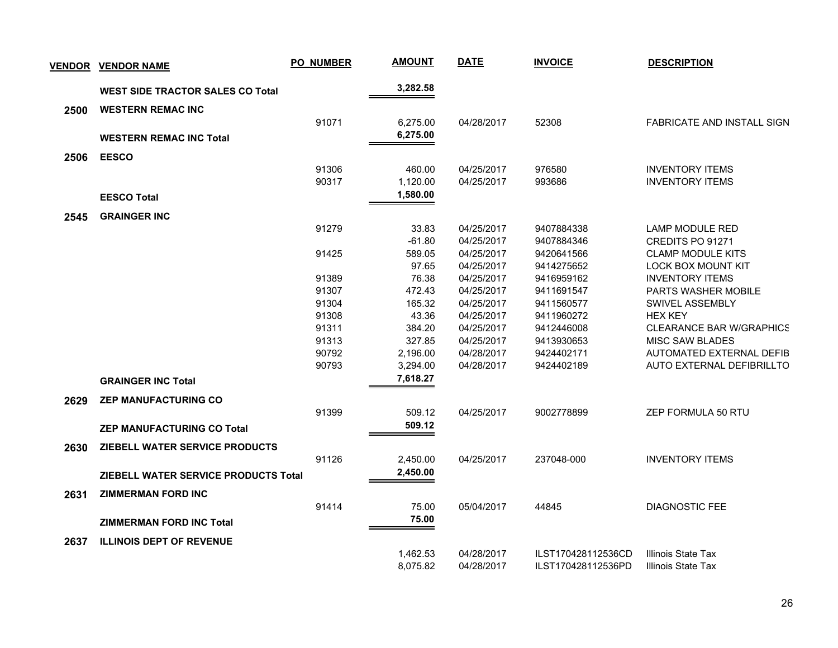|      | <b>VENDOR VENDOR NAME</b>               | <b>PO_NUMBER</b> | <b>AMOUNT</b>        | <b>DATE</b>              | <b>INVOICE</b>           | <b>DESCRIPTION</b>                                 |
|------|-----------------------------------------|------------------|----------------------|--------------------------|--------------------------|----------------------------------------------------|
|      | <b>WEST SIDE TRACTOR SALES CO Total</b> |                  | 3,282.58             |                          |                          |                                                    |
| 2500 | <b>WESTERN REMAC INC</b>                |                  |                      |                          |                          |                                                    |
|      |                                         | 91071            | 6,275.00             | 04/28/2017               | 52308                    | FABRICATE AND INSTALL SIGN                         |
|      | <b>WESTERN REMAC INC Total</b>          |                  | 6,275.00             |                          |                          |                                                    |
|      |                                         |                  |                      |                          |                          |                                                    |
| 2506 | <b>EESCO</b>                            |                  |                      |                          |                          |                                                    |
|      |                                         | 91306            | 460.00               | 04/25/2017               | 976580                   | <b>INVENTORY ITEMS</b>                             |
|      |                                         | 90317            | 1,120.00             | 04/25/2017               | 993686                   | <b>INVENTORY ITEMS</b>                             |
|      | <b>EESCO Total</b>                      |                  | 1,580.00             |                          |                          |                                                    |
| 2545 | <b>GRAINGER INC</b>                     |                  |                      |                          |                          |                                                    |
|      |                                         | 91279            | 33.83                | 04/25/2017               | 9407884338               | <b>LAMP MODULE RED</b>                             |
|      |                                         |                  | $-61.80$             | 04/25/2017               | 9407884346               | CREDITS PO 91271                                   |
|      |                                         | 91425            | 589.05               | 04/25/2017               | 9420641566               | <b>CLAMP MODULE KITS</b>                           |
|      |                                         |                  | 97.65                | 04/25/2017               | 9414275652               | <b>LOCK BOX MOUNT KIT</b>                          |
|      |                                         | 91389            | 76.38                | 04/25/2017               | 9416959162               | <b>INVENTORY ITEMS</b>                             |
|      |                                         | 91307            | 472.43               | 04/25/2017               | 9411691547               | <b>PARTS WASHER MOBILE</b>                         |
|      |                                         | 91304            | 165.32               | 04/25/2017               | 9411560577               | SWIVEL ASSEMBLY                                    |
|      |                                         | 91308            | 43.36                | 04/25/2017               | 9411960272               | <b>HEX KEY</b>                                     |
|      |                                         | 91311            | 384.20               | 04/25/2017               | 9412446008               | <b>CLEARANCE BAR W/GRAPHICS</b>                    |
|      |                                         | 91313<br>90792   | 327.85               | 04/25/2017<br>04/28/2017 | 9413930653<br>9424402171 | <b>MISC SAW BLADES</b><br>AUTOMATED EXTERNAL DEFIB |
|      |                                         | 90793            | 2,196.00<br>3,294.00 | 04/28/2017               | 9424402189               | AUTO EXTERNAL DEFIBRILLTO                          |
|      |                                         |                  | 7,618.27             |                          |                          |                                                    |
|      | <b>GRAINGER INC Total</b>               |                  |                      |                          |                          |                                                    |
| 2629 | <b>ZEP MANUFACTURING CO</b>             |                  |                      |                          |                          |                                                    |
|      |                                         | 91399            | 509.12               | 04/25/2017               | 9002778899               | ZEP FORMULA 50 RTU                                 |
|      | <b>ZEP MANUFACTURING CO Total</b>       |                  | 509.12               |                          |                          |                                                    |
| 2630 | ZIEBELL WATER SERVICE PRODUCTS          |                  |                      |                          |                          |                                                    |
|      |                                         | 91126            | 2,450.00             | 04/25/2017               | 237048-000               | <b>INVENTORY ITEMS</b>                             |
|      |                                         |                  | 2,450.00             |                          |                          |                                                    |
|      | ZIEBELL WATER SERVICE PRODUCTS Total    |                  |                      |                          |                          |                                                    |
| 2631 | <b>ZIMMERMAN FORD INC</b>               |                  |                      |                          |                          |                                                    |
|      |                                         | 91414            | 75.00                | 05/04/2017               | 44845                    | <b>DIAGNOSTIC FEE</b>                              |
|      | <b>ZIMMERMAN FORD INC Total</b>         |                  | 75.00                |                          |                          |                                                    |
|      |                                         |                  |                      |                          |                          |                                                    |
| 2637 | <b>ILLINOIS DEPT OF REVENUE</b>         |                  | 1,462.53             | 04/28/2017               | ILST170428112536CD       | <b>Illinois State Tax</b>                          |
|      |                                         |                  | 8,075.82             | 04/28/2017               | ILST170428112536PD       | Illinois State Tax                                 |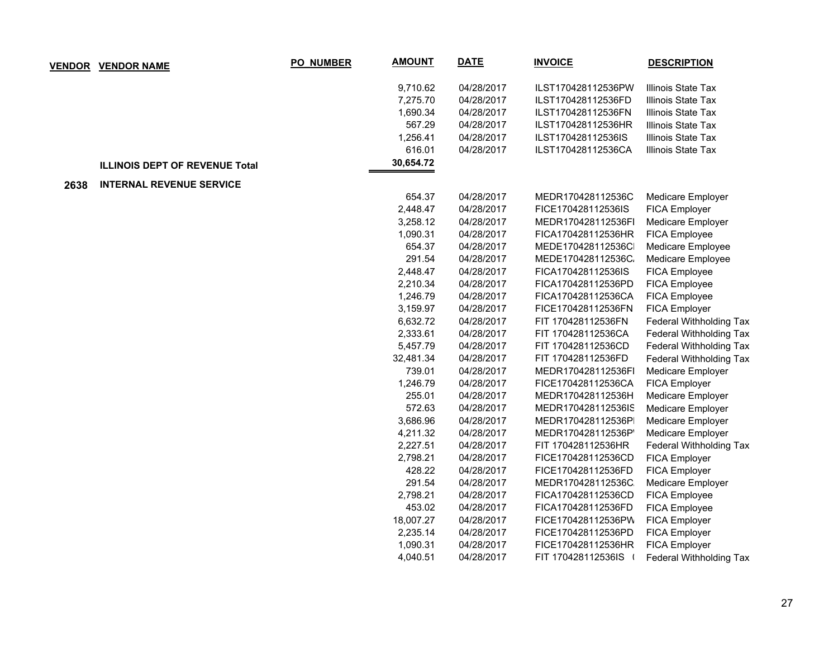|      | <b>VENDOR VENDOR NAME</b>             | <b>PO_NUMBER</b> | <b>AMOUNT</b> | <b>DATE</b> | <b>INVOICE</b>       | <b>DESCRIPTION</b>      |
|------|---------------------------------------|------------------|---------------|-------------|----------------------|-------------------------|
|      |                                       |                  | 9,710.62      | 04/28/2017  | ILST170428112536PW   | Illinois State Tax      |
|      |                                       |                  | 7,275.70      | 04/28/2017  | ILST170428112536FD   | Illinois State Tax      |
|      |                                       |                  | 1,690.34      | 04/28/2017  | ILST170428112536FN   | Illinois State Tax      |
|      |                                       |                  | 567.29        | 04/28/2017  | ILST170428112536HR   | Illinois State Tax      |
|      |                                       |                  | 1,256.41      | 04/28/2017  | ILST170428112536IS   | Illinois State Tax      |
|      |                                       |                  | 616.01        | 04/28/2017  | ILST170428112536CA   | Illinois State Tax      |
|      | <b>ILLINOIS DEPT OF REVENUE Total</b> |                  | 30,654.72     |             |                      |                         |
| 2638 | <b>INTERNAL REVENUE SERVICE</b>       |                  |               |             |                      |                         |
|      |                                       |                  | 654.37        | 04/28/2017  | MEDR170428112536C    | Medicare Employer       |
|      |                                       |                  | 2,448.47      | 04/28/2017  | FICE170428112536IS   | FICA Employer           |
|      |                                       |                  | 3,258.12      | 04/28/2017  | MEDR170428112536FI   | Medicare Employer       |
|      |                                       |                  | 1,090.31      | 04/28/2017  | FICA170428112536HR   | FICA Employee           |
|      |                                       |                  | 654.37        | 04/28/2017  | MEDE170428112536C    | Medicare Employee       |
|      |                                       |                  | 291.54        | 04/28/2017  | MEDE170428112536C.   | Medicare Employee       |
|      |                                       |                  | 2,448.47      | 04/28/2017  | FICA170428112536IS   | FICA Employee           |
|      |                                       |                  | 2,210.34      | 04/28/2017  | FICA170428112536PD   | FICA Employee           |
|      |                                       |                  | 1,246.79      | 04/28/2017  | FICA170428112536CA   | FICA Employee           |
|      |                                       |                  | 3,159.97      | 04/28/2017  | FICE170428112536FN   | FICA Employer           |
|      |                                       |                  | 6,632.72      | 04/28/2017  | FIT 170428112536FN   | Federal Withholding Tax |
|      |                                       |                  | 2,333.61      | 04/28/2017  | FIT 170428112536CA   | Federal Withholding Tax |
|      |                                       |                  | 5,457.79      | 04/28/2017  | FIT 170428112536CD   | Federal Withholding Tax |
|      |                                       |                  | 32,481.34     | 04/28/2017  | FIT 170428112536FD   | Federal Withholding Tax |
|      |                                       |                  | 739.01        | 04/28/2017  | MEDR170428112536FI   | Medicare Employer       |
|      |                                       |                  | 1,246.79      | 04/28/2017  | FICE170428112536CA   | FICA Employer           |
|      |                                       |                  | 255.01        | 04/28/2017  | MEDR170428112536H    | Medicare Employer       |
|      |                                       |                  | 572.63        | 04/28/2017  | MEDR170428112536IS   | Medicare Employer       |
|      |                                       |                  | 3,686.96      | 04/28/2017  | MEDR170428112536P    | Medicare Employer       |
|      |                                       |                  | 4,211.32      | 04/28/2017  | MEDR170428112536P    | Medicare Employer       |
|      |                                       |                  | 2,227.51      | 04/28/2017  | FIT 170428112536HR   | Federal Withholding Tax |
|      |                                       |                  | 2,798.21      | 04/28/2017  | FICE170428112536CD   | FICA Employer           |
|      |                                       |                  | 428.22        | 04/28/2017  | FICE170428112536FD   | FICA Employer           |
|      |                                       |                  | 291.54        | 04/28/2017  | MEDR170428112536C    | Medicare Employer       |
|      |                                       |                  | 2,798.21      | 04/28/2017  | FICA170428112536CD   | FICA Employee           |
|      |                                       |                  | 453.02        | 04/28/2017  | FICA170428112536FD   | FICA Employee           |
|      |                                       |                  | 18,007.27     | 04/28/2017  | FICE170428112536PW   | FICA Employer           |
|      |                                       |                  | 2,235.14      | 04/28/2017  | FICE170428112536PD   | FICA Employer           |
|      |                                       |                  | 1,090.31      | 04/28/2017  | FICE170428112536HR   | FICA Employer           |
|      |                                       |                  | 4,040.51      | 04/28/2017  | FIT 170428112536IS ( | Federal Withholding Tax |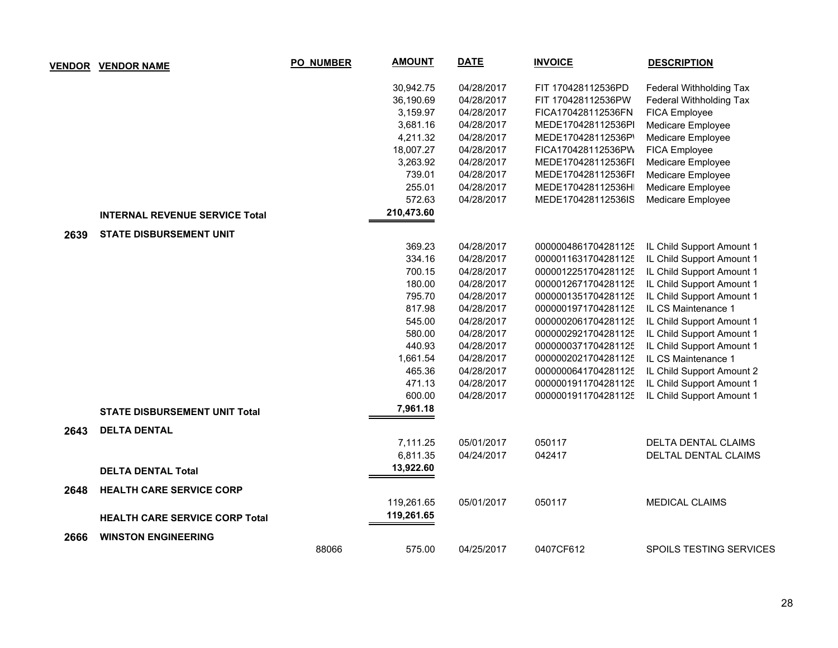| <b>VENDOR</b> | <b>VENDOR NAME</b>                    | <b>PO_NUMBER</b> | <b>AMOUNT</b> | <b>DATE</b> | <b>INVOICE</b>      | <b>DESCRIPTION</b>         |
|---------------|---------------------------------------|------------------|---------------|-------------|---------------------|----------------------------|
|               |                                       |                  | 30,942.75     | 04/28/2017  | FIT 170428112536PD  | Federal Withholding Tax    |
|               |                                       |                  | 36,190.69     | 04/28/2017  | FIT 170428112536PW  | Federal Withholding Tax    |
|               |                                       |                  | 3,159.97      | 04/28/2017  | FICA170428112536FN  | FICA Employee              |
|               |                                       |                  | 3,681.16      | 04/28/2017  | MEDE170428112536PI  | Medicare Employee          |
|               |                                       |                  | 4,211.32      | 04/28/2017  | MEDE170428112536P'  | Medicare Employee          |
|               |                                       |                  | 18,007.27     | 04/28/2017  | FICA170428112536PV  | FICA Employee              |
|               |                                       |                  | 3,263.92      | 04/28/2017  | MEDE170428112536FI  | Medicare Employee          |
|               |                                       |                  | 739.01        | 04/28/2017  | MEDE170428112536FI  | Medicare Employee          |
|               |                                       |                  | 255.01        | 04/28/2017  | MEDE170428112536H   | Medicare Employee          |
|               |                                       |                  | 572.63        | 04/28/2017  | MEDE170428112536IS  | Medicare Employee          |
|               | <b>INTERNAL REVENUE SERVICE Total</b> |                  | 210,473.60    |             |                     |                            |
| 2639          | <b>STATE DISBURSEMENT UNIT</b>        |                  |               |             |                     |                            |
|               |                                       |                  | 369.23        | 04/28/2017  | 0000004861704281125 | IL Child Support Amount 1  |
|               |                                       |                  | 334.16        | 04/28/2017  | 0000011631704281125 | IL Child Support Amount 1  |
|               |                                       |                  | 700.15        | 04/28/2017  | 0000012251704281125 | IL Child Support Amount 1  |
|               |                                       |                  | 180.00        | 04/28/2017  | 0000012671704281125 | IL Child Support Amount 1  |
|               |                                       |                  | 795.70        | 04/28/2017  | 0000001351704281125 | IL Child Support Amount 1  |
|               |                                       |                  | 817.98        | 04/28/2017  | 0000001971704281125 | IL CS Maintenance 1        |
|               |                                       |                  | 545.00        | 04/28/2017  | 0000002061704281125 | IL Child Support Amount 1  |
|               |                                       |                  | 580.00        | 04/28/2017  | 0000002921704281125 | IL Child Support Amount 1  |
|               |                                       |                  | 440.93        | 04/28/2017  | 0000000371704281125 | IL Child Support Amount 1  |
|               |                                       |                  | 1,661.54      | 04/28/2017  | 0000002021704281125 | IL CS Maintenance 1        |
|               |                                       |                  | 465.36        | 04/28/2017  | 0000000641704281125 | IL Child Support Amount 2  |
|               |                                       |                  | 471.13        | 04/28/2017  | 0000001911704281125 | IL Child Support Amount 1  |
|               |                                       |                  | 600.00        | 04/28/2017  | 0000001911704281125 | IL Child Support Amount 1  |
|               | <b>STATE DISBURSEMENT UNIT Total</b>  |                  | 7,961.18      |             |                     |                            |
| 2643          | <b>DELTA DENTAL</b>                   |                  |               |             |                     |                            |
|               |                                       |                  | 7,111.25      | 05/01/2017  | 050117              | <b>DELTA DENTAL CLAIMS</b> |
|               |                                       |                  | 6,811.35      | 04/24/2017  | 042417              | DELTAL DENTAL CLAIMS       |
|               | <b>DELTA DENTAL Total</b>             |                  | 13,922.60     |             |                     |                            |
| 2648          | <b>HEALTH CARE SERVICE CORP</b>       |                  |               |             |                     |                            |
|               |                                       |                  | 119,261.65    | 05/01/2017  | 050117              | <b>MEDICAL CLAIMS</b>      |
|               | <b>HEALTH CARE SERVICE CORP Total</b> |                  | 119,261.65    |             |                     |                            |
| 2666          | <b>WINSTON ENGINEERING</b>            |                  |               |             |                     |                            |
|               |                                       | 88066            | 575.00        | 04/25/2017  | 0407CF612           | SPOILS TESTING SERVICES    |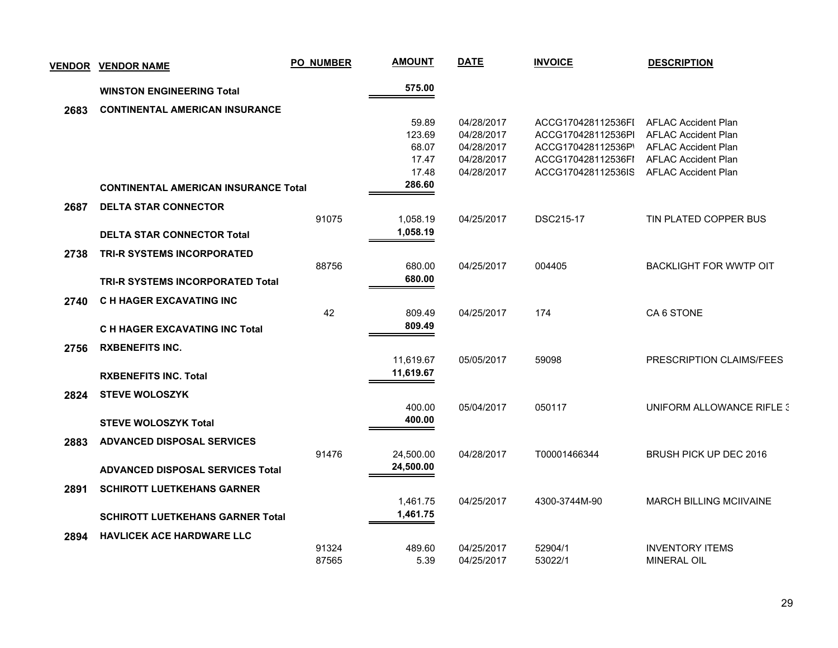| <b>VENDOR</b> | <b>VENDOR NAME</b>                          | <b>PO_NUMBER</b> | <b>AMOUNT</b>    | <b>DATE</b> | <b>INVOICE</b>     | <b>DESCRIPTION</b>             |
|---------------|---------------------------------------------|------------------|------------------|-------------|--------------------|--------------------------------|
|               | <b>WINSTON ENGINEERING Total</b>            |                  | 575.00           |             |                    |                                |
| 2683          | <b>CONTINENTAL AMERICAN INSURANCE</b>       |                  |                  |             |                    |                                |
|               |                                             |                  | 59.89            | 04/28/2017  | ACCG170428112536FI | <b>AFLAC Accident Plan</b>     |
|               |                                             |                  | 123.69           | 04/28/2017  | ACCG170428112536PI | <b>AFLAC Accident Plan</b>     |
|               |                                             |                  | 68.07            | 04/28/2017  | ACCG170428112536P' | <b>AFLAC Accident Plan</b>     |
|               |                                             |                  | 17.47            | 04/28/2017  | ACCG170428112536FI | <b>AFLAC Accident Plan</b>     |
|               |                                             |                  | 17.48            | 04/28/2017  | ACCG170428112536IS | <b>AFLAC Accident Plan</b>     |
|               | <b>CONTINENTAL AMERICAN INSURANCE Total</b> |                  | 286.60           |             |                    |                                |
| 2687          | <b>DELTA STAR CONNECTOR</b>                 |                  |                  |             |                    |                                |
|               |                                             | 91075            | 1,058.19         | 04/25/2017  | <b>DSC215-17</b>   | TIN PLATED COPPER BUS          |
|               | <b>DELTA STAR CONNECTOR Total</b>           |                  | 1,058.19         |             |                    |                                |
| 2738          | <b>TRI-R SYSTEMS INCORPORATED</b>           |                  |                  |             |                    |                                |
|               |                                             | 88756            | 680.00           | 04/25/2017  | 004405             | <b>BACKLIGHT FOR WWTP OIT</b>  |
|               | <b>TRI-R SYSTEMS INCORPORATED Total</b>     |                  | 680.00           |             |                    |                                |
| 2740          | C H HAGER EXCAVATING INC                    |                  |                  |             |                    |                                |
|               |                                             | 42               | 809.49           | 04/25/2017  | 174                | CA6 STONE                      |
|               | <b>C H HAGER EXCAVATING INC Total</b>       |                  | 809.49           |             |                    |                                |
| 2756          | <b>RXBENEFITS INC.</b>                      |                  |                  |             |                    |                                |
|               |                                             |                  | 11,619.67        | 05/05/2017  | 59098              | PRESCRIPTION CLAIMS/FEES       |
|               | <b>RXBENEFITS INC. Total</b>                |                  | 11,619.67        |             |                    |                                |
|               |                                             |                  |                  |             |                    |                                |
| 2824          | <b>STEVE WOLOSZYK</b>                       |                  |                  |             | 050117             |                                |
|               |                                             |                  | 400.00<br>400.00 | 05/04/2017  |                    | UNIFORM ALLOWANCE RIFLE 3      |
|               | <b>STEVE WOLOSZYK Total</b>                 |                  |                  |             |                    |                                |
| 2883          | <b>ADVANCED DISPOSAL SERVICES</b>           |                  |                  |             |                    |                                |
|               |                                             | 91476            | 24,500.00        | 04/28/2017  | T00001466344       | BRUSH PICK UP DEC 2016         |
|               | <b>ADVANCED DISPOSAL SERVICES Total</b>     |                  | 24,500.00        |             |                    |                                |
| 2891          | <b>SCHIROTT LUETKEHANS GARNER</b>           |                  |                  |             |                    |                                |
|               |                                             |                  | 1,461.75         | 04/25/2017  | 4300-3744M-90      | <b>MARCH BILLING MCIIVAINE</b> |
|               | <b>SCHIROTT LUETKEHANS GARNER Total</b>     |                  | 1,461.75         |             |                    |                                |
| 2894          | <b>HAVLICEK ACE HARDWARE LLC</b>            |                  |                  |             |                    |                                |
|               |                                             | 91324            | 489.60           | 04/25/2017  | 52904/1            | <b>INVENTORY ITEMS</b>         |
|               |                                             | 87565            | 5.39             | 04/25/2017  | 53022/1            | MINERAL OIL                    |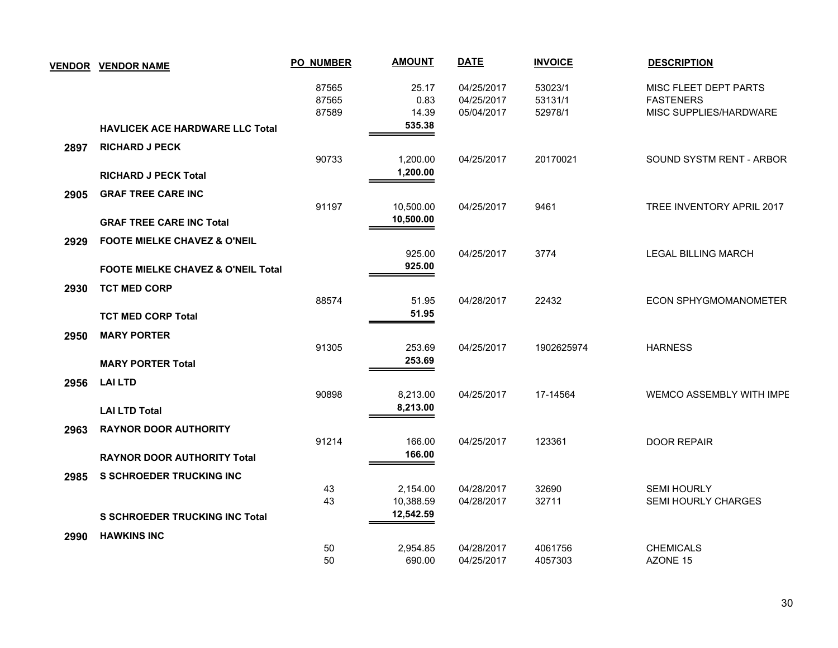|      | VENDOR VENDOR NAME                            | <b>PO_NUMBER</b>        | <b>AMOUNT</b>          | <b>DATE</b>                            | <b>INVOICE</b>                | <b>DESCRIPTION</b>                                                  |
|------|-----------------------------------------------|-------------------------|------------------------|----------------------------------------|-------------------------------|---------------------------------------------------------------------|
|      |                                               | 87565<br>87565<br>87589 | 25.17<br>0.83<br>14.39 | 04/25/2017<br>04/25/2017<br>05/04/2017 | 53023/1<br>53131/1<br>52978/1 | MISC FLEET DEPT PARTS<br><b>FASTENERS</b><br>MISC SUPPLIES/HARDWARE |
|      | <b>HAVLICEK ACE HARDWARE LLC Total</b>        |                         | 535.38                 |                                        |                               |                                                                     |
| 2897 | <b>RICHARD J PECK</b>                         |                         |                        |                                        |                               |                                                                     |
|      |                                               | 90733                   | 1,200.00<br>1,200.00   | 04/25/2017                             | 20170021                      | SOUND SYSTM RENT - ARBOR                                            |
|      | <b>RICHARD J PECK Total</b>                   |                         |                        |                                        |                               |                                                                     |
| 2905 | <b>GRAF TREE CARE INC</b>                     | 91197                   | 10,500.00              | 04/25/2017                             | 9461                          | TREE INVENTORY APRIL 2017                                           |
|      | <b>GRAF TREE CARE INC Total</b>               |                         | 10,500.00              |                                        |                               |                                                                     |
|      |                                               |                         |                        |                                        |                               |                                                                     |
| 2929 | <b>FOOTE MIELKE CHAVEZ &amp; O'NEIL</b>       |                         | 925.00                 | 04/25/2017                             | 3774                          | <b>LEGAL BILLING MARCH</b>                                          |
|      | <b>FOOTE MIELKE CHAVEZ &amp; O'NEIL Total</b> |                         | 925.00                 |                                        |                               |                                                                     |
| 2930 | <b>TCT MED CORP</b>                           |                         |                        |                                        |                               |                                                                     |
|      |                                               | 88574                   | 51.95                  | 04/28/2017                             | 22432                         | <b>ECON SPHYGMOMANOMETER</b>                                        |
|      | <b>TCT MED CORP Total</b>                     |                         | 51.95                  |                                        |                               |                                                                     |
| 2950 | <b>MARY PORTER</b>                            |                         |                        |                                        |                               |                                                                     |
|      |                                               | 91305                   | 253.69                 | 04/25/2017                             | 1902625974                    | <b>HARNESS</b>                                                      |
|      | <b>MARY PORTER Total</b>                      |                         | 253.69                 |                                        |                               |                                                                     |
| 2956 | <b>LAI LTD</b>                                |                         |                        |                                        |                               |                                                                     |
|      |                                               | 90898                   | 8,213.00               | 04/25/2017                             | 17-14564                      | WEMCO ASSEMBLY WITH IMPE                                            |
|      | <b>LAI LTD Total</b>                          |                         | 8,213.00               |                                        |                               |                                                                     |
| 2963 | <b>RAYNOR DOOR AUTHORITY</b>                  |                         |                        |                                        |                               |                                                                     |
|      |                                               | 91214                   | 166.00<br>166.00       | 04/25/2017                             | 123361                        | <b>DOOR REPAIR</b>                                                  |
|      | <b>RAYNOR DOOR AUTHORITY Total</b>            |                         |                        |                                        |                               |                                                                     |
| 2985 | <b>S SCHROEDER TRUCKING INC</b>               | 43                      | 2,154.00               | 04/28/2017                             | 32690                         | <b>SEMI HOURLY</b>                                                  |
|      |                                               | 43                      | 10,388.59              | 04/28/2017                             | 32711                         | SEMI HOURLY CHARGES                                                 |
|      | <b>S SCHROEDER TRUCKING INC Total</b>         |                         | 12,542.59              |                                        |                               |                                                                     |
| 2990 | <b>HAWKINS INC</b>                            |                         |                        |                                        |                               |                                                                     |
|      |                                               | 50                      | 2,954.85               | 04/28/2017                             | 4061756                       | <b>CHEMICALS</b>                                                    |
|      |                                               | 50                      | 690.00                 | 04/25/2017                             | 4057303                       | AZONE 15                                                            |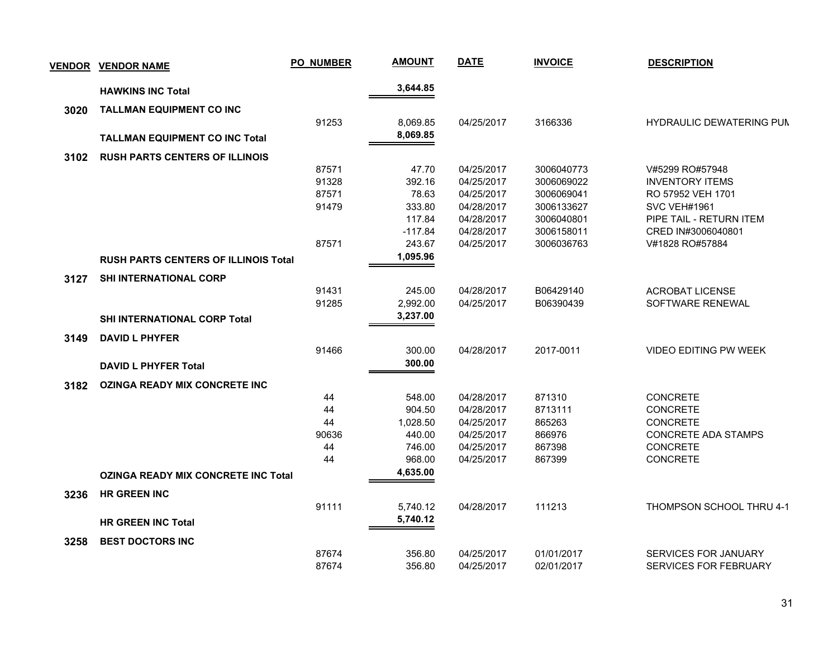| <b>VENDOR</b> | <b>VENDOR NAME</b>                          | <b>PO_NUMBER</b> | <b>AMOUNT</b> | <b>DATE</b> | <b>INVOICE</b> | <b>DESCRIPTION</b>              |
|---------------|---------------------------------------------|------------------|---------------|-------------|----------------|---------------------------------|
|               | <b>HAWKINS INC Total</b>                    |                  | 3,644.85      |             |                |                                 |
|               |                                             |                  |               |             |                |                                 |
| 3020          | <b>TALLMAN EQUIPMENT CO INC</b>             | 91253            | 8,069.85      | 04/25/2017  | 3166336        | <b>HYDRAULIC DEWATERING PUM</b> |
|               |                                             |                  | 8,069.85      |             |                |                                 |
|               | <b>TALLMAN EQUIPMENT CO INC Total</b>       |                  |               |             |                |                                 |
| 3102          | <b>RUSH PARTS CENTERS OF ILLINOIS</b>       |                  |               |             |                |                                 |
|               |                                             | 87571            | 47.70         | 04/25/2017  | 3006040773     | V#5299 RO#57948                 |
|               |                                             | 91328            | 392.16        | 04/25/2017  | 3006069022     | <b>INVENTORY ITEMS</b>          |
|               |                                             | 87571            | 78.63         | 04/25/2017  | 3006069041     | RO 57952 VEH 1701               |
|               |                                             | 91479            | 333.80        | 04/28/2017  | 3006133627     | SVC VEH#1961                    |
|               |                                             |                  | 117.84        | 04/28/2017  | 3006040801     | PIPE TAIL - RETURN ITEM         |
|               |                                             |                  | $-117.84$     | 04/28/2017  | 3006158011     | CRED IN#3006040801              |
|               |                                             | 87571            | 243.67        | 04/25/2017  | 3006036763     | V#1828 RO#57884                 |
|               | <b>RUSH PARTS CENTERS OF ILLINOIS Total</b> |                  | 1,095.96      |             |                |                                 |
| 3127          | <b>SHI INTERNATIONAL CORP</b>               |                  |               |             |                |                                 |
|               |                                             | 91431            | 245.00        | 04/28/2017  | B06429140      | <b>ACROBAT LICENSE</b>          |
|               |                                             | 91285            | 2,992.00      | 04/25/2017  | B06390439      | SOFTWARE RENEWAL                |
|               | <b>SHI INTERNATIONAL CORP Total</b>         |                  | 3,237.00      |             |                |                                 |
| 3149          | <b>DAVID L PHYFER</b>                       |                  |               |             |                |                                 |
|               |                                             | 91466            | 300.00        | 04/28/2017  | 2017-0011      | VIDEO EDITING PW WEEK           |
|               | <b>DAVID L PHYFER Total</b>                 |                  | 300.00        |             |                |                                 |
| 3182          | <b>OZINGA READY MIX CONCRETE INC</b>        |                  |               |             |                |                                 |
|               |                                             | 44               | 548.00        | 04/28/2017  | 871310         | <b>CONCRETE</b>                 |
|               |                                             | 44               | 904.50        | 04/28/2017  | 8713111        | <b>CONCRETE</b>                 |
|               |                                             | 44               | 1,028.50      | 04/25/2017  | 865263         | <b>CONCRETE</b>                 |
|               |                                             | 90636            | 440.00        | 04/25/2017  | 866976         | CONCRETE ADA STAMPS             |
|               |                                             | 44               | 746.00        | 04/25/2017  | 867398         | <b>CONCRETE</b>                 |
|               |                                             | 44               | 968.00        | 04/25/2017  | 867399         | <b>CONCRETE</b>                 |
|               | <b>OZINGA READY MIX CONCRETE INC Total</b>  |                  | 4,635.00      |             |                |                                 |
| 3236          | <b>HR GREEN INC</b>                         |                  |               |             |                |                                 |
|               |                                             | 91111            | 5,740.12      | 04/28/2017  | 111213         | THOMPSON SCHOOL THRU 4-1        |
|               | <b>HR GREEN INC Total</b>                   |                  | 5,740.12      |             |                |                                 |
|               |                                             |                  |               |             |                |                                 |
| 3258          | <b>BEST DOCTORS INC</b>                     |                  |               |             |                |                                 |
|               |                                             | 87674            | 356.80        | 04/25/2017  | 01/01/2017     | SERVICES FOR JANUARY            |
|               |                                             | 87674            | 356.80        | 04/25/2017  | 02/01/2017     | SERVICES FOR FEBRUARY           |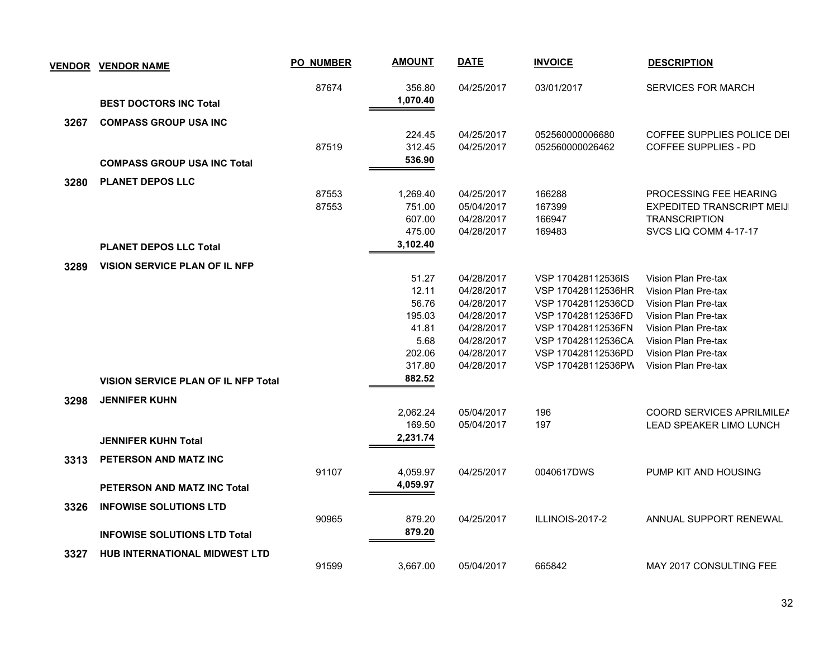| <b>VENDOR</b> | <b>VENDOR NAME</b>                         | <b>PO_NUMBER</b> | <b>AMOUNT</b>      | <b>DATE</b>              | <b>INVOICE</b>                           | <b>DESCRIPTION</b>                         |
|---------------|--------------------------------------------|------------------|--------------------|--------------------------|------------------------------------------|--------------------------------------------|
|               | <b>BEST DOCTORS INC Total</b>              | 87674            | 356.80<br>1,070.40 | 04/25/2017               | 03/01/2017                               | <b>SERVICES FOR MARCH</b>                  |
| 3267          | <b>COMPASS GROUP USA INC</b>               |                  |                    |                          |                                          |                                            |
|               |                                            |                  | 224.45             | 04/25/2017               | 052560000006680                          | COFFEE SUPPLIES POLICE DEI                 |
|               |                                            | 87519            | 312.45             | 04/25/2017               | 052560000026462                          | <b>COFFEE SUPPLIES - PD</b>                |
|               | <b>COMPASS GROUP USA INC Total</b>         |                  | 536.90             |                          |                                          |                                            |
| 3280          | <b>PLANET DEPOS LLC</b>                    |                  |                    |                          |                                          |                                            |
|               |                                            | 87553            | 1,269.40           | 04/25/2017               | 166288                                   | PROCESSING FEE HEARING                     |
|               |                                            | 87553            | 751.00             | 05/04/2017               | 167399                                   | EXPEDITED TRANSCRIPT MEIJ                  |
|               |                                            |                  | 607.00             | 04/28/2017               | 166947                                   | <b>TRANSCRIPTION</b>                       |
|               |                                            |                  | 475.00             | 04/28/2017               | 169483                                   | SVCS LIQ COMM 4-17-17                      |
|               | <b>PLANET DEPOS LLC Total</b>              |                  | 3,102.40           |                          |                                          |                                            |
| 3289          | <b>VISION SERVICE PLAN OF IL NFP</b>       |                  |                    |                          |                                          |                                            |
|               |                                            |                  | 51.27              | 04/28/2017               | VSP 170428112536IS                       | Vision Plan Pre-tax                        |
|               |                                            |                  | 12.11              | 04/28/2017               | VSP 170428112536HR                       | Vision Plan Pre-tax                        |
|               |                                            |                  | 56.76              | 04/28/2017               | VSP 170428112536CD                       | Vision Plan Pre-tax                        |
|               |                                            |                  | 195.03             | 04/28/2017               | VSP 170428112536FD                       | Vision Plan Pre-tax                        |
|               |                                            |                  | 41.81<br>5.68      | 04/28/2017<br>04/28/2017 | VSP 170428112536FN<br>VSP 170428112536CA | Vision Plan Pre-tax                        |
|               |                                            |                  | 202.06             | 04/28/2017               | VSP 170428112536PD                       | Vision Plan Pre-tax<br>Vision Plan Pre-tax |
|               |                                            |                  | 317.80             | 04/28/2017               | VSP 170428112536PW                       | Vision Plan Pre-tax                        |
|               | <b>VISION SERVICE PLAN OF IL NFP Total</b> |                  | 882.52             |                          |                                          |                                            |
| 3298          | <b>JENNIFER KUHN</b>                       |                  |                    |                          |                                          |                                            |
|               |                                            |                  | 2.062.24           | 05/04/2017               | 196                                      | COORD SERVICES APRILMILEA                  |
|               |                                            |                  | 169.50             | 05/04/2017               | 197                                      | <b>LEAD SPEAKER LIMO LUNCH</b>             |
|               | <b>JENNIFER KUHN Total</b>                 |                  | 2,231.74           |                          |                                          |                                            |
| 3313          | PETERSON AND MATZ INC                      |                  |                    |                          |                                          |                                            |
|               |                                            | 91107            | 4,059.97           | 04/25/2017               | 0040617DWS                               | PUMP KIT AND HOUSING                       |
|               | <b>PETERSON AND MATZ INC Total</b>         |                  | 4,059.97           |                          |                                          |                                            |
| 3326          | <b>INFOWISE SOLUTIONS LTD</b>              |                  |                    |                          |                                          |                                            |
|               |                                            | 90965            | 879.20             | 04/25/2017               | ILLINOIS-2017-2                          | ANNUAL SUPPORT RENEWAL                     |
|               | <b>INFOWISE SOLUTIONS LTD Total</b>        |                  | 879.20             |                          |                                          |                                            |
| 3327          | <b>HUB INTERNATIONAL MIDWEST LTD</b>       |                  |                    |                          |                                          |                                            |
|               |                                            | 91599            | 3.667.00           | 05/04/2017               | 665842                                   | <b>MAY 2017 CONSULTING FEE</b>             |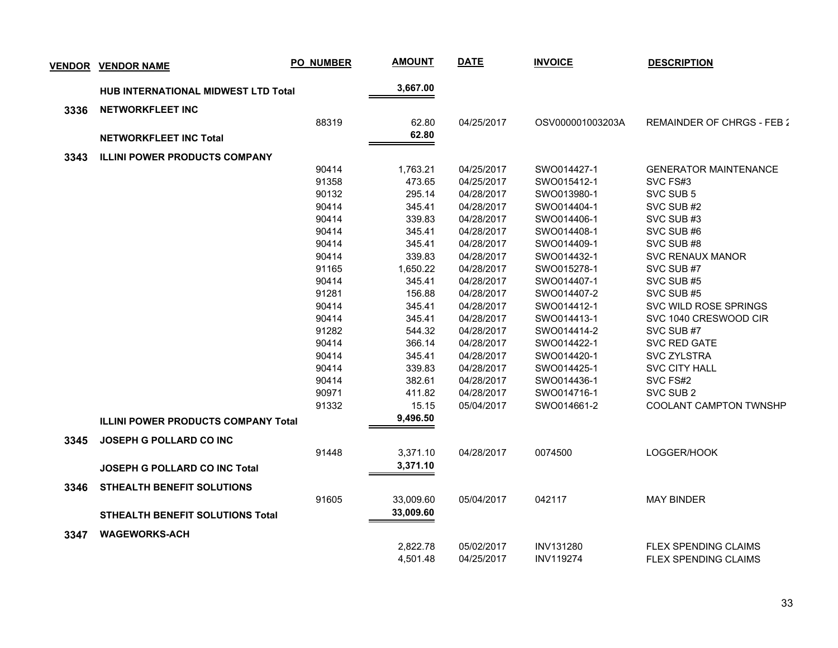| <b>VENDOR</b> | <b>VENDOR NAME</b>                         | <b>PO_NUMBER</b> | <b>AMOUNT</b> | <b>DATE</b> | <b>INVOICE</b>   | <b>DESCRIPTION</b>            |
|---------------|--------------------------------------------|------------------|---------------|-------------|------------------|-------------------------------|
|               | <b>HUB INTERNATIONAL MIDWEST LTD Total</b> |                  | 3,667.00      |             |                  |                               |
| 3336          | NETWORKFLEET INC                           |                  |               |             |                  |                               |
|               |                                            | 88319            | 62.80         | 04/25/2017  | OSV000001003203A | REMAINDER OF CHRGS - FEB 2    |
|               | <b>NETWORKFLEET INC Total</b>              |                  | 62.80         |             |                  |                               |
|               |                                            |                  |               |             |                  |                               |
| 3343          | <b>ILLINI POWER PRODUCTS COMPANY</b>       |                  |               |             |                  |                               |
|               |                                            | 90414            | 1,763.21      | 04/25/2017  | SWO014427-1      | <b>GENERATOR MAINTENANCE</b>  |
|               |                                            | 91358            | 473.65        | 04/25/2017  | SWO015412-1      | SVC FS#3                      |
|               |                                            | 90132            | 295.14        | 04/28/2017  | SWO013980-1      | SVC SUB 5                     |
|               |                                            | 90414            | 345.41        | 04/28/2017  | SWO014404-1      | SVC SUB#2                     |
|               |                                            | 90414            | 339.83        | 04/28/2017  | SWO014406-1      | SVC SUB#3                     |
|               |                                            | 90414            | 345.41        | 04/28/2017  | SWO014408-1      | SVC SUB#6                     |
|               |                                            | 90414            | 345.41        | 04/28/2017  | SWO014409-1      | SVC SUB#8                     |
|               |                                            | 90414            | 339.83        | 04/28/2017  | SWO014432-1      | <b>SVC RENAUX MANOR</b>       |
|               |                                            | 91165            | 1,650.22      | 04/28/2017  | SWO015278-1      | SVC SUB #7                    |
|               |                                            | 90414            | 345.41        | 04/28/2017  | SWO014407-1      | SVC SUB #5                    |
|               |                                            | 91281            | 156.88        | 04/28/2017  | SWO014407-2      | SVC SUB #5                    |
|               |                                            | 90414            | 345.41        | 04/28/2017  | SWO014412-1      | SVC WILD ROSE SPRINGS         |
|               |                                            | 90414            | 345.41        | 04/28/2017  | SWO014413-1      | SVC 1040 CRESWOOD CIR         |
|               |                                            | 91282            | 544.32        | 04/28/2017  | SWO014414-2      | SVC SUB #7                    |
|               |                                            | 90414            | 366.14        | 04/28/2017  | SWO014422-1      | SVC RED GATE                  |
|               |                                            | 90414            | 345.41        | 04/28/2017  | SWO014420-1      | <b>SVC ZYLSTRA</b>            |
|               |                                            | 90414            | 339.83        | 04/28/2017  | SWO014425-1      | <b>SVC CITY HALL</b>          |
|               |                                            | 90414            | 382.61        | 04/28/2017  | SWO014436-1      | SVC FS#2                      |
|               |                                            | 90971            | 411.82        | 04/28/2017  | SWO014716-1      | SVC SUB 2                     |
|               |                                            | 91332            | 15.15         | 05/04/2017  | SWO014661-2      | <b>COOLANT CAMPTON TWNSHP</b> |
|               | <b>ILLINI POWER PRODUCTS COMPANY Total</b> |                  | 9,496.50      |             |                  |                               |
| 3345          | <b>JOSEPH G POLLARD CO INC</b>             |                  |               |             |                  |                               |
|               |                                            | 91448            | 3,371.10      | 04/28/2017  | 0074500          | LOGGER/HOOK                   |
|               | <b>JOSEPH G POLLARD CO INC Total</b>       |                  | 3,371.10      |             |                  |                               |
| 3346          | <b>STHEALTH BENEFIT SOLUTIONS</b>          |                  |               |             |                  |                               |
|               |                                            | 91605            | 33,009.60     | 05/04/2017  | 042117           | <b>MAY BINDER</b>             |
|               | STHEALTH BENEFIT SOLUTIONS Total           |                  | 33,009.60     |             |                  |                               |
| 3347          | <b>WAGEWORKS-ACH</b>                       |                  |               |             |                  |                               |
|               |                                            |                  | 2,822.78      | 05/02/2017  | <b>INV131280</b> | <b>FLEX SPENDING CLAIMS</b>   |
|               |                                            |                  | 4,501.48      | 04/25/2017  | <b>INV119274</b> | <b>FLEX SPENDING CLAIMS</b>   |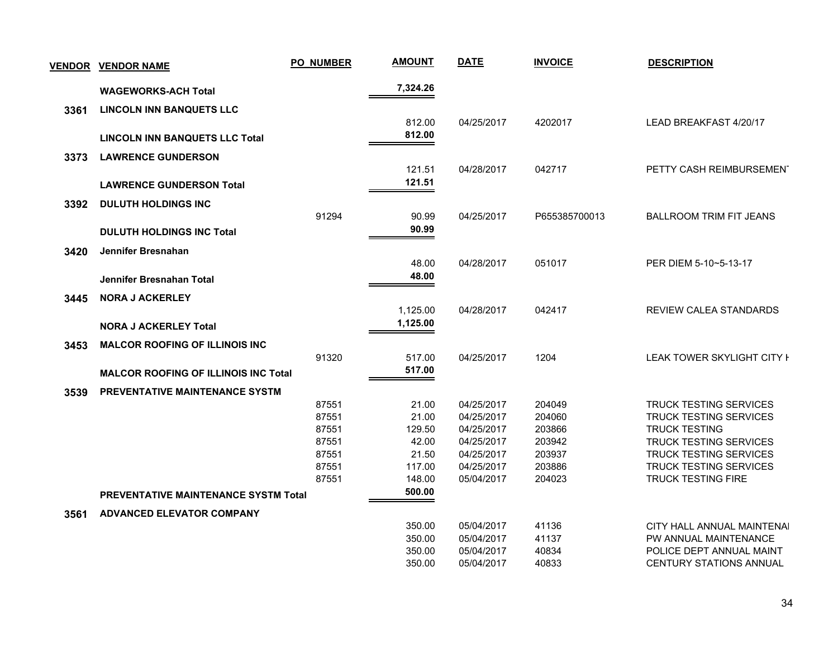| <b>VENDOR</b> | <b>VENDOR NAME</b>                          | <b>PO_NUMBER</b> | <b>AMOUNT</b> | <b>DATE</b> | <b>INVOICE</b> | <b>DESCRIPTION</b>             |
|---------------|---------------------------------------------|------------------|---------------|-------------|----------------|--------------------------------|
|               | <b>WAGEWORKS-ACH Total</b>                  |                  | 7,324.26      |             |                |                                |
| 3361          | <b>LINCOLN INN BANQUETS LLC</b>             |                  |               |             |                |                                |
|               |                                             |                  | 812.00        | 04/25/2017  | 4202017        | LEAD BREAKFAST 4/20/17         |
|               | <b>LINCOLN INN BANQUETS LLC Total</b>       |                  | 812.00        |             |                |                                |
|               |                                             |                  |               |             |                |                                |
| 3373          | <b>LAWRENCE GUNDERSON</b>                   |                  |               |             |                |                                |
|               |                                             |                  | 121.51        | 04/28/2017  | 042717         | PETTY CASH REIMBURSEMENT       |
|               | <b>LAWRENCE GUNDERSON Total</b>             |                  | 121.51        |             |                |                                |
| 3392          | <b>DULUTH HOLDINGS INC</b>                  |                  |               |             |                |                                |
|               |                                             | 91294            | 90.99         | 04/25/2017  | P655385700013  | <b>BALLROOM TRIM FIT JEANS</b> |
|               | <b>DULUTH HOLDINGS INC Total</b>            |                  | 90.99         |             |                |                                |
| 3420          | Jennifer Bresnahan                          |                  |               |             |                |                                |
|               |                                             |                  | 48.00         | 04/28/2017  | 051017         | PER DIEM 5-10~5-13-17          |
|               | Jennifer Bresnahan Total                    |                  | 48.00         |             |                |                                |
|               |                                             |                  |               |             |                |                                |
| 3445          | <b>NORA J ACKERLEY</b>                      |                  |               |             |                |                                |
|               |                                             |                  | 1,125.00      | 04/28/2017  | 042417         | <b>REVIEW CALEA STANDARDS</b>  |
|               | <b>NORA J ACKERLEY Total</b>                |                  | 1,125.00      |             |                |                                |
| 3453          | <b>MALCOR ROOFING OF ILLINOIS INC</b>       |                  |               |             |                |                                |
|               |                                             | 91320            | 517.00        | 04/25/2017  | 1204           | LEAK TOWER SKYLIGHT CITY I     |
|               | <b>MALCOR ROOFING OF ILLINOIS INC Total</b> |                  | 517.00        |             |                |                                |
| 3539          | <b>PREVENTATIVE MAINTENANCE SYSTM</b>       |                  |               |             |                |                                |
|               |                                             | 87551            | 21.00         | 04/25/2017  | 204049         | <b>TRUCK TESTING SERVICES</b>  |
|               |                                             | 87551            | 21.00         | 04/25/2017  | 204060         | <b>TRUCK TESTING SERVICES</b>  |
|               |                                             | 87551            | 129.50        | 04/25/2017  | 203866         | <b>TRUCK TESTING</b>           |
|               |                                             | 87551            | 42.00         | 04/25/2017  | 203942         | TRUCK TESTING SERVICES         |
|               |                                             | 87551            | 21.50         | 04/25/2017  | 203937         | <b>TRUCK TESTING SERVICES</b>  |
|               |                                             | 87551            | 117.00        | 04/25/2017  | 203886         | <b>TRUCK TESTING SERVICES</b>  |
|               |                                             | 87551            | 148.00        | 05/04/2017  | 204023         | <b>TRUCK TESTING FIRE</b>      |
|               | <b>PREVENTATIVE MAINTENANCE SYSTM Total</b> |                  | 500.00        |             |                |                                |
| 3561          | <b>ADVANCED ELEVATOR COMPANY</b>            |                  |               |             |                |                                |
|               |                                             |                  | 350.00        | 05/04/2017  | 41136          | CITY HALL ANNUAL MAINTENAI     |
|               |                                             |                  | 350.00        | 05/04/2017  | 41137          | PW ANNUAL MAINTENANCE          |
|               |                                             |                  | 350.00        | 05/04/2017  | 40834          | POLICE DEPT ANNUAL MAINT       |
|               |                                             |                  | 350.00        | 05/04/2017  | 40833          | <b>CENTURY STATIONS ANNUAL</b> |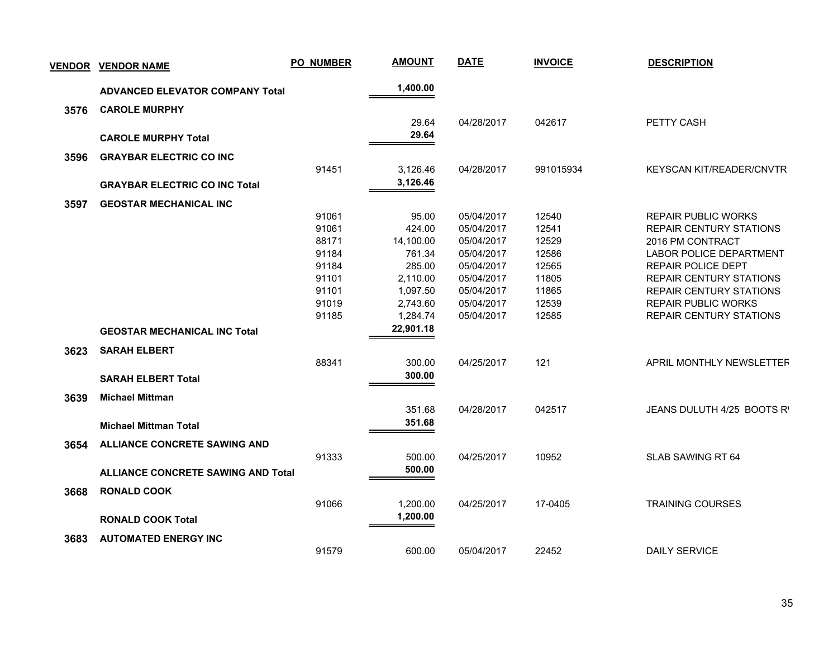| <u>VENDOR</u> | <b>VENDOR NAME</b>                        | <b>PO_NUMBER</b> | <b>AMOUNT</b> | <b>DATE</b> | <b>INVOICE</b> | <b>DESCRIPTION</b>             |
|---------------|-------------------------------------------|------------------|---------------|-------------|----------------|--------------------------------|
|               | <b>ADVANCED ELEVATOR COMPANY Total</b>    |                  | 1,400.00      |             |                |                                |
| 3576          | <b>CAROLE MURPHY</b>                      |                  |               |             |                |                                |
|               |                                           |                  | 29.64         | 04/28/2017  | 042617         | PETTY CASH                     |
|               | <b>CAROLE MURPHY Total</b>                |                  | 29.64         |             |                |                                |
|               |                                           |                  |               |             |                |                                |
| 3596          | <b>GRAYBAR ELECTRIC CO INC</b>            | 91451            | 3,126.46      | 04/28/2017  | 991015934      | KEYSCAN KIT/READER/CNVTR       |
|               |                                           |                  | 3,126.46      |             |                |                                |
|               | <b>GRAYBAR ELECTRIC CO INC Total</b>      |                  |               |             |                |                                |
| 3597          | <b>GEOSTAR MECHANICAL INC</b>             |                  |               |             |                |                                |
|               |                                           | 91061            | 95.00         | 05/04/2017  | 12540          | <b>REPAIR PUBLIC WORKS</b>     |
|               |                                           | 91061            | 424.00        | 05/04/2017  | 12541          | <b>REPAIR CENTURY STATIONS</b> |
|               |                                           | 88171            | 14,100.00     | 05/04/2017  | 12529          | 2016 PM CONTRACT               |
|               |                                           | 91184            | 761.34        | 05/04/2017  | 12586          | <b>LABOR POLICE DEPARTMENT</b> |
|               |                                           | 91184            | 285.00        | 05/04/2017  | 12565          | REPAIR POLICE DEPT             |
|               |                                           | 91101            | 2,110.00      | 05/04/2017  | 11805          | <b>REPAIR CENTURY STATIONS</b> |
|               |                                           | 91101            | 1,097.50      | 05/04/2017  | 11865          | <b>REPAIR CENTURY STATIONS</b> |
|               |                                           | 91019            | 2,743.60      | 05/04/2017  | 12539          | <b>REPAIR PUBLIC WORKS</b>     |
|               |                                           | 91185            | 1,284.74      | 05/04/2017  | 12585          | <b>REPAIR CENTURY STATIONS</b> |
|               | <b>GEOSTAR MECHANICAL INC Total</b>       |                  | 22,901.18     |             |                |                                |
| 3623          | <b>SARAH ELBERT</b>                       |                  |               |             |                |                                |
|               |                                           | 88341            | 300.00        | 04/25/2017  | 121            | APRIL MONTHLY NEWSLETTER       |
|               | <b>SARAH ELBERT Total</b>                 |                  | 300.00        |             |                |                                |
|               |                                           |                  |               |             |                |                                |
| 3639          | <b>Michael Mittman</b>                    |                  |               |             |                |                                |
|               |                                           |                  | 351.68        | 04/28/2017  | 042517         | JEANS DULUTH 4/25 BOOTS R'     |
|               | <b>Michael Mittman Total</b>              |                  | 351.68        |             |                |                                |
| 3654          | <b>ALLIANCE CONCRETE SAWING AND</b>       |                  |               |             |                |                                |
|               |                                           | 91333            | 500.00        | 04/25/2017  | 10952          | SLAB SAWING RT 64              |
|               | <b>ALLIANCE CONCRETE SAWING AND Total</b> |                  | 500.00        |             |                |                                |
|               |                                           |                  |               |             |                |                                |
| 3668          | <b>RONALD COOK</b>                        |                  |               |             |                |                                |
|               |                                           | 91066            | 1,200.00      | 04/25/2017  | 17-0405        | <b>TRAINING COURSES</b>        |
|               | <b>RONALD COOK Total</b>                  |                  | 1,200.00      |             |                |                                |
| 3683          | <b>AUTOMATED ENERGY INC</b>               |                  |               |             |                |                                |
|               |                                           | 91579            | 600.00        | 05/04/2017  | 22452          | <b>DAILY SERVICE</b>           |
|               |                                           |                  |               |             |                |                                |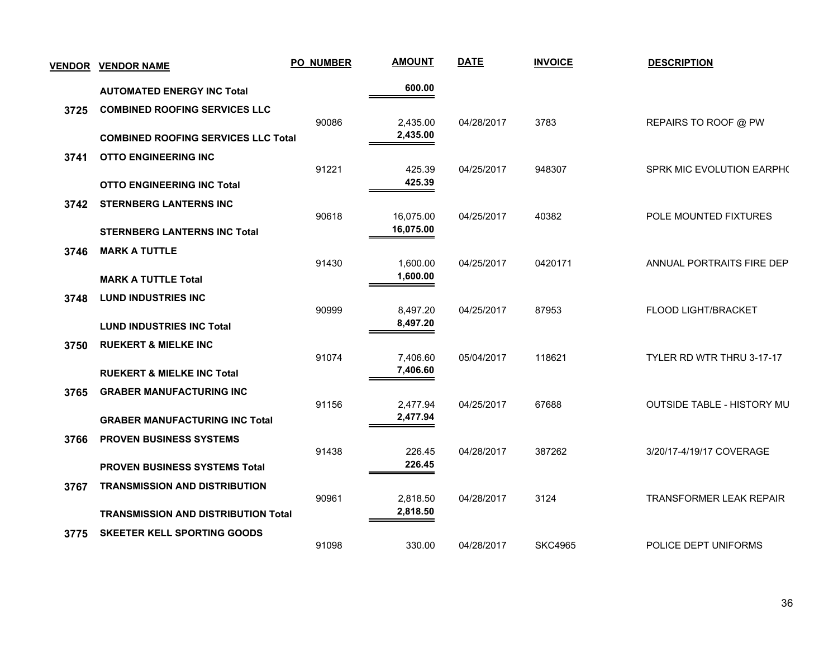| <b>VENDOR</b> | <b>VENDOR NAME</b>                                                           | <b>PO_NUMBER</b> | <b>AMOUNT</b>          | <b>DATE</b> | <b>INVOICE</b> | <b>DESCRIPTION</b>             |
|---------------|------------------------------------------------------------------------------|------------------|------------------------|-------------|----------------|--------------------------------|
|               | <b>AUTOMATED ENERGY INC Total</b>                                            |                  | 600.00                 |             |                |                                |
| 3725          | <b>COMBINED ROOFING SERVICES LLC</b>                                         | 90086            | 2,435.00               | 04/28/2017  | 3783           | REPAIRS TO ROOF @ PW           |
|               | <b>COMBINED ROOFING SERVICES LLC Total</b>                                   |                  | 2,435.00               |             |                |                                |
| 3741          | <b>OTTO ENGINEERING INC</b>                                                  |                  |                        |             |                |                                |
|               | <b>OTTO ENGINEERING INC Total</b>                                            | 91221            | 425.39<br>425.39       | 04/25/2017  | 948307         | SPRK MIC EVOLUTION EARPH(      |
| 3742          | <b>STERNBERG LANTERNS INC</b>                                                |                  |                        |             |                |                                |
|               | <b>STERNBERG LANTERNS INC Total</b>                                          | 90618            | 16,075.00<br>16,075.00 | 04/25/2017  | 40382          | POLE MOUNTED FIXTURES          |
| 3746          | <b>MARK A TUTTLE</b>                                                         |                  |                        |             |                |                                |
|               | <b>MARK A TUTTLE Total</b>                                                   | 91430            | 1,600.00<br>1,600.00   | 04/25/2017  | 0420171        | ANNUAL PORTRAITS FIRE DEP      |
| 3748          | <b>LUND INDUSTRIES INC</b>                                                   |                  |                        |             |                |                                |
|               | <b>LUND INDUSTRIES INC Total</b>                                             | 90999            | 8,497.20<br>8,497.20   | 04/25/2017  | 87953          | FLOOD LIGHT/BRACKET            |
| 3750          | <b>RUEKERT &amp; MIELKE INC</b>                                              |                  |                        |             |                |                                |
|               | <b>RUEKERT &amp; MIELKE INC Total</b>                                        | 91074            | 7,406.60<br>7,406.60   | 05/04/2017  | 118621         | TYLER RD WTR THRU 3-17-17      |
| 3765          | <b>GRABER MANUFACTURING INC</b>                                              |                  |                        |             |                |                                |
|               | <b>GRABER MANUFACTURING INC Total</b>                                        | 91156            | 2,477.94<br>2,477.94   | 04/25/2017  | 67688          | OUTSIDE TABLE - HISTORY MU     |
| 3766          | <b>PROVEN BUSINESS SYSTEMS</b>                                               |                  |                        |             |                |                                |
|               |                                                                              | 91438            | 226.45<br>226.45       | 04/28/2017  | 387262         | 3/20/17-4/19/17 COVERAGE       |
| 3767          | <b>PROVEN BUSINESS SYSTEMS Total</b><br><b>TRANSMISSION AND DISTRIBUTION</b> |                  |                        |             |                |                                |
|               |                                                                              | 90961            | 2,818.50<br>2,818.50   | 04/28/2017  | 3124           | <b>TRANSFORMER LEAK REPAIR</b> |
|               | <b>TRANSMISSION AND DISTRIBUTION Total</b>                                   |                  |                        |             |                |                                |
| 3775          | <b>SKEETER KELL SPORTING GOODS</b>                                           | 91098            | 330.00                 | 04/28/2017  | <b>SKC4965</b> | POLICE DEPT UNIFORMS           |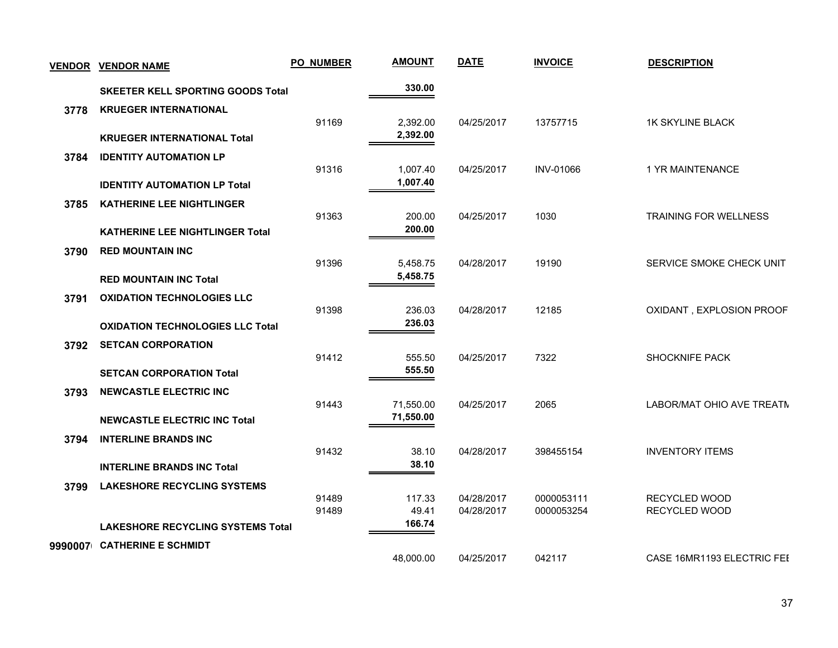| <b>VENDOR</b> | <b>VENDOR NAME</b>                       | <b>PO_NUMBER</b> | <b>AMOUNT</b>          | <b>DATE</b>              | <b>INVOICE</b>           | <b>DESCRIPTION</b>             |
|---------------|------------------------------------------|------------------|------------------------|--------------------------|--------------------------|--------------------------------|
|               | <b>SKEETER KELL SPORTING GOODS Total</b> |                  |                        |                          |                          |                                |
| 3778          | <b>KRUEGER INTERNATIONAL</b>             |                  |                        |                          |                          |                                |
|               | <b>KRUEGER INTERNATIONAL Total</b>       | 91169            | 2,392.00<br>2,392.00   | 04/25/2017               | 13757715                 | <b>1K SKYLINE BLACK</b>        |
| 3784          | <b>IDENTITY AUTOMATION LP</b>            |                  |                        |                          |                          |                                |
|               | <b>IDENTITY AUTOMATION LP Total</b>      | 91316            | 1,007.40<br>1,007.40   | 04/25/2017               | <b>INV-01066</b>         | 1 YR MAINTENANCE               |
| 3785          | <b>KATHERINE LEE NIGHTLINGER</b>         |                  |                        |                          |                          |                                |
|               | <b>KATHERINE LEE NIGHTLINGER Total</b>   | 91363            | 200.00<br>200.00       | 04/25/2017               | 1030                     | <b>TRAINING FOR WELLNESS</b>   |
|               | <b>RED MOUNTAIN INC</b>                  |                  |                        |                          |                          |                                |
| 3790          |                                          | 91396            | 5,458.75               | 04/28/2017               | 19190                    | SERVICE SMOKE CHECK UNIT       |
|               | <b>RED MOUNTAIN INC Total</b>            |                  | 5,458.75               |                          |                          |                                |
| 3791          | <b>OXIDATION TECHNOLOGIES LLC</b>        |                  |                        |                          |                          |                                |
|               | <b>OXIDATION TECHNOLOGIES LLC Total</b>  | 91398            | 236.03<br>236.03       | 04/28/2017               | 12185                    | OXIDANT, EXPLOSION PROOF       |
| 3792          | <b>SETCAN CORPORATION</b>                |                  |                        |                          |                          |                                |
|               |                                          | 91412            | 555.50                 | 04/25/2017               | 7322                     | <b>SHOCKNIFE PACK</b>          |
|               | <b>SETCAN CORPORATION Total</b>          |                  | 555.50                 |                          |                          |                                |
| 3793          | <b>NEWCASTLE ELECTRIC INC</b>            |                  |                        |                          |                          |                                |
|               | <b>NEWCASTLE ELECTRIC INC Total</b>      | 91443            | 71,550.00<br>71,550.00 | 04/25/2017               | 2065                     | LABOR/MAT OHIO AVE TREATM      |
|               | <b>INTERLINE BRANDS INC</b>              |                  |                        |                          |                          |                                |
| 3794          |                                          | 91432            | 38.10                  | 04/28/2017               | 398455154                | <b>INVENTORY ITEMS</b>         |
|               | <b>INTERLINE BRANDS INC Total</b>        |                  | 38.10                  |                          |                          |                                |
| 3799          | <b>LAKESHORE RECYCLING SYSTEMS</b>       |                  |                        |                          |                          |                                |
|               |                                          | 91489<br>91489   | 117.33<br>49.41        | 04/28/2017<br>04/28/2017 | 0000053111<br>0000053254 | RECYCLED WOOD<br>RECYCLED WOOD |
|               | <b>LAKESHORE RECYCLING SYSTEMS Total</b> |                  | 166.74                 |                          |                          |                                |
| 9990007       | <b>CATHERINE E SCHMIDT</b>               |                  |                        |                          |                          |                                |
|               |                                          |                  | 48,000.00              | 04/25/2017               | 042117                   | CASE 16MR1193 ELECTRIC FEI     |